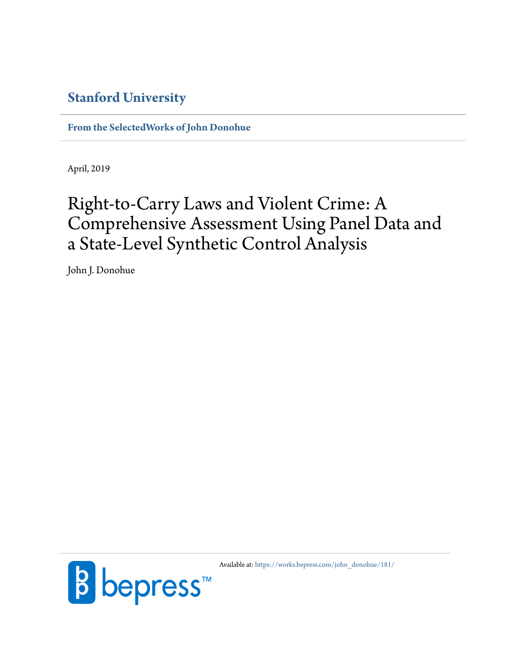## **[Stanford University](http://www.stanford.edu/)**

**[From the SelectedWorks of John Donohue](https://works.bepress.com/john_donohue/)**

April, 2019

# Right-to-Carry Laws and Violent Crime: A Comprehensive Assessment Using Panel Data and a State-Level Synthetic Control Analysis

John J. Donohue



Available at: [https://works.bepress.com/john\\_donohue/181/](https://works.bepress.com/john_donohue/181/)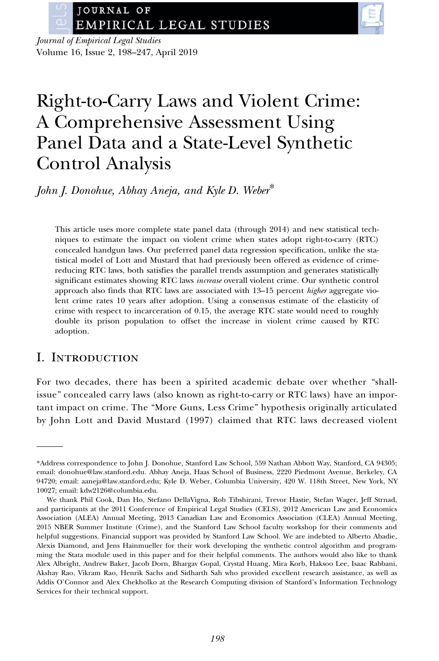

Journal of Empirical Legal Studies Volume 16, Issue 2, 198–247, April 2019

## Right-to-Carry Laws and Violent Crime: A Comprehensive Assessment Using Panel Data and a State-Level Synthetic Control Analysis

John J. Donohue, Abhay Aneja, and Kyle D. Weber\*

This article uses more complete state panel data (through 2014) and new statistical techniques to estimate the impact on violent crime when states adopt right-to-carry (RTC) concealed handgun laws. Our preferred panel data regression specification, unlike the statistical model of Lott and Mustard that had previously been offered as evidence of crimereducing RTC laws, both satisfies the parallel trends assumption and generates statistically significant estimates showing RTC laws increase overall violent crime. Our synthetic control approach also finds that RTC laws are associated with 13–15 percent higher aggregate violent crime rates 10 years after adoption. Using a consensus estimate of the elasticity of crime with respect to incarceration of 0.15, the average RTC state would need to roughly double its prison population to offset the increase in violent crime caused by RTC adoption.

## I. Introduction

For two decades, there has been a spirited academic debate over whether "shallissue" concealed carry laws (also known as right-to-carry or RTC laws) have an important impact on crime. The "More Guns, Less Crime" hypothesis originally articulated by John Lott and David Mustard (1997) claimed that RTC laws decreased violent

<sup>\*</sup>Address correspondence to John J. Donohue, Stanford Law School, 559 Nathan Abbott Way, Stanford, CA 94305; email: [donohue@law.stanford.edu.](mailto:donohue@law.stanford.edu) Abhay Aneja, Haas School of Business, 2220 Piedmont Avenue, Berkeley, CA 94720; email: [aaneja@law.stanford.edu](mailto:aaneja@law.stanford.edu); Kyle D. Weber, Columbia University, 420 W. 118th Street, New York, NY 10027; email: [kdw2126@columbia.edu](mailto:kdw2126@columbia.edu).

We thank Phil Cook, Dan Ho, Stefano DellaVigna, Rob Tibshirani, Trevor Hastie, Stefan Wager, Jeff Strnad, and participants at the 2011 Conference of Empirical Legal Studies (CELS), 2012 American Law and Economics Association (ALEA) Annual Meeting, 2013 Canadian Law and Economics Association (CLEA) Annual Meeting, 2015 NBER Summer Institute (Crime), and the Stanford Law School faculty workshop for their comments and helpful suggestions. Financial support was provided by Stanford Law School. We are indebted to Alberto Abadie, Alexis Diamond, and Jens Hainmueller for their work developing the synthetic control algorithm and programming the Stata module used in this paper and for their helpful comments. The authors would also like to thank Alex Albright, Andrew Baker, Jacob Dorn, Bhargav Gopal, Crystal Huang, Mira Korb, Haksoo Lee, Isaac Rabbani, Akshay Rao, Vikram Rao, Henrik Sachs and Sidharth Sah who provided excellent research assistance, as well as Addis O'Connor and Alex Chekholko at the Research Computing division of Stanford's Information Technology Services for their technical support.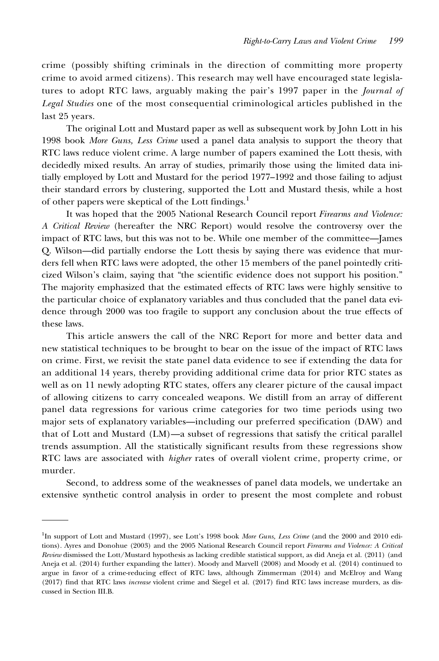crime (possibly shifting criminals in the direction of committing more property crime to avoid armed citizens). This research may well have encouraged state legislatures to adopt RTC laws, arguably making the pair's 1997 paper in the Journal of Legal Studies one of the most consequential criminological articles published in the last 25 years.

The original Lott and Mustard paper as well as subsequent work by John Lott in his 1998 book More Guns, Less Crime used a panel data analysis to support the theory that RTC laws reduce violent crime. A large number of papers examined the Lott thesis, with decidedly mixed results. An array of studies, primarily those using the limited data initially employed by Lott and Mustard for the period 1977–1992 and those failing to adjust their standard errors by clustering, supported the Lott and Mustard thesis, while a host of other papers were skeptical of the Lott findings.<sup>1</sup>

It was hoped that the 2005 National Research Council report Firearms and Violence: A Critical Review (hereafter the NRC Report) would resolve the controversy over the impact of RTC laws, but this was not to be. While one member of the committee—James Q. Wilson—did partially endorse the Lott thesis by saying there was evidence that murders fell when RTC laws were adopted, the other 15 members of the panel pointedly criticized Wilson's claim, saying that "the scientific evidence does not support his position." The majority emphasized that the estimated effects of RTC laws were highly sensitive to the particular choice of explanatory variables and thus concluded that the panel data evidence through 2000 was too fragile to support any conclusion about the true effects of these laws.

This article answers the call of the NRC Report for more and better data and new statistical techniques to be brought to bear on the issue of the impact of RTC laws on crime. First, we revisit the state panel data evidence to see if extending the data for an additional 14 years, thereby providing additional crime data for prior RTC states as well as on 11 newly adopting RTC states, offers any clearer picture of the causal impact of allowing citizens to carry concealed weapons. We distill from an array of different panel data regressions for various crime categories for two time periods using two major sets of explanatory variables—including our preferred specification (DAW) and that of Lott and Mustard (LM)—a subset of regressions that satisfy the critical parallel trends assumption. All the statistically significant results from these regressions show RTC laws are associated with higher rates of overall violent crime, property crime, or murder.

Second, to address some of the weaknesses of panel data models, we undertake an extensive synthetic control analysis in order to present the most complete and robust

<sup>&</sup>lt;sup>1</sup>In support of Lott and Mustard (1997), see Lott's 1998 book More Guns, Less Crime (and the 2000 and 2010 editions). Ayres and Donohue (2003) and the 2005 National Research Council report Firearms and Violence: A Critical Review dismissed the Lott/Mustard hypothesis as lacking credible statistical support, as did Aneja et al. (2011) (and Aneja et al. (2014) further expanding the latter). Moody and Marvell (2008) and Moody et al. (2014) continued to argue in favor of a crime-reducing effect of RTC laws, although Zimmerman (2014) and McElroy and Wang (2017) find that RTC laws increase violent crime and Siegel et al. (2017) find RTC laws increase murders, as discussed in Section III.B.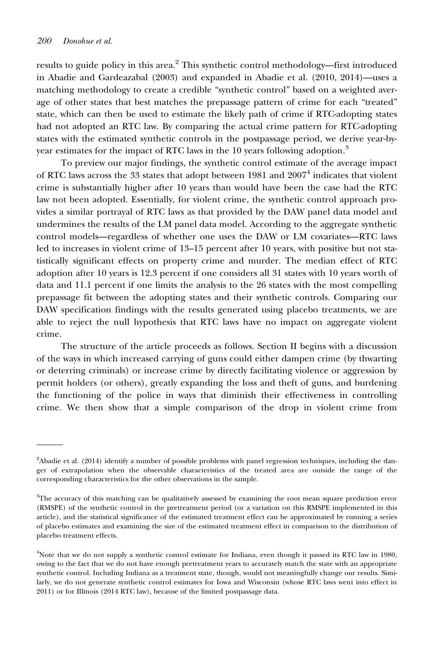results to guide policy in this area.<sup>2</sup> This synthetic control methodology—first introduced in Abadie and Gardeazabal (2003) and expanded in Abadie et al. (2010, 2014)—uses a matching methodology to create a credible "synthetic control" based on a weighted average of other states that best matches the prepassage pattern of crime for each "treated" state, which can then be used to estimate the likely path of crime if RTC-adopting states had not adopted an RTC law. By comparing the actual crime pattern for RTC-adopting states with the estimated synthetic controls in the postpassage period, we derive year-byyear estimates for the impact of RTC laws in the 10 years following adoption.<sup>3</sup>

To preview our major findings, the synthetic control estimate of the average impact of RTC laws across the 33 states that adopt between 1981 and  $2007<sup>4</sup>$  indicates that violent crime is substantially higher after 10 years than would have been the case had the RTC law not been adopted. Essentially, for violent crime, the synthetic control approach provides a similar portrayal of RTC laws as that provided by the DAW panel data model and undermines the results of the LM panel data model. According to the aggregate synthetic control models—regardless of whether one uses the DAW or LM covariates—RTC laws led to increases in violent crime of 13–15 percent after 10 years, with positive but not statistically significant effects on property crime and murder. The median effect of RTC adoption after 10 years is 12.3 percent if one considers all 31 states with 10 years worth of data and 11.1 percent if one limits the analysis to the 26 states with the most compelling prepassage fit between the adopting states and their synthetic controls. Comparing our DAW specification findings with the results generated using placebo treatments, we are able to reject the null hypothesis that RTC laws have no impact on aggregate violent crime.

The structure of the article proceeds as follows. Section II begins with a discussion of the ways in which increased carrying of guns could either dampen crime (by thwarting or deterring criminals) or increase crime by directly facilitating violence or aggression by permit holders (or others), greatly expanding the loss and theft of guns, and burdening the functioning of the police in ways that diminish their effectiveness in controlling crime. We then show that a simple comparison of the drop in violent crime from

<sup>2</sup> Abadie et al. (2014) identify a number of possible problems with panel regression techniques, including the danger of extrapolation when the observable characteristics of the treated area are outside the range of the corresponding characteristics for the other observations in the sample.

<sup>&</sup>lt;sup>3</sup>The accuracy of this matching can be qualitatively assessed by examining the root mean square prediction error (RMSPE) of the synthetic control in the pretreatment period (or a variation on this RMSPE implemented in this article), and the statistical significance of the estimated treatment effect can be approximated by running a series of placebo estimates and examining the size of the estimated treatment effect in comparison to the distribution of placebo treatment effects.

<sup>4</sup> Note that we do not supply a synthetic control estimate for Indiana, even though it passed its RTC law in 1980, owing to the fact that we do not have enough pretreatment years to accurately match the state with an appropriate synthetic control. Including Indiana as a treatment state, though, would not meaningfully change our results. Similarly, we do not generate synthetic control estimates for Iowa and Wisconsin (whose RTC laws went into effect in 2011) or for Illinois (2014 RTC law), because of the limited postpassage data.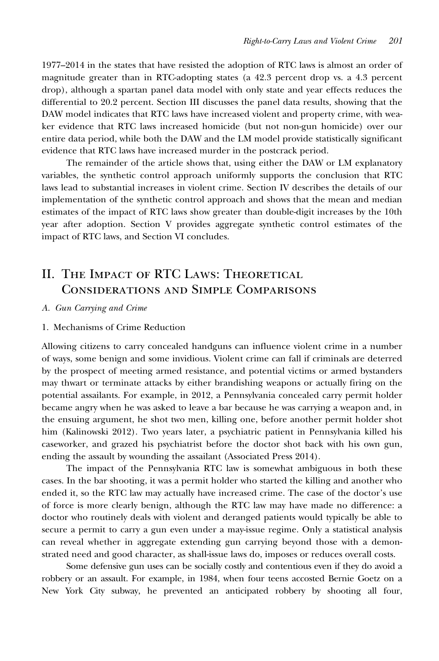1977–2014 in the states that have resisted the adoption of RTC laws is almost an order of magnitude greater than in RTC-adopting states (a 42.3 percent drop vs. a 4.3 percent drop), although a spartan panel data model with only state and year effects reduces the differential to 20.2 percent. Section III discusses the panel data results, showing that the DAW model indicates that RTC laws have increased violent and property crime, with weaker evidence that RTC laws increased homicide (but not non-gun homicide) over our entire data period, while both the DAW and the LM model provide statistically significant evidence that RTC laws have increased murder in the postcrack period.

The remainder of the article shows that, using either the DAW or LM explanatory variables, the synthetic control approach uniformly supports the conclusion that RTC laws lead to substantial increases in violent crime. Section IV describes the details of our implementation of the synthetic control approach and shows that the mean and median estimates of the impact of RTC laws show greater than double-digit increases by the 10th year after adoption. Section V provides aggregate synthetic control estimates of the impact of RTC laws, and Section VI concludes.

## II. THE IMPACT OF RTC LAWS: THEORETICAL Considerations and Simple Comparisons

A. Gun Carrying and Crime

#### 1. Mechanisms of Crime Reduction

Allowing citizens to carry concealed handguns can influence violent crime in a number of ways, some benign and some invidious. Violent crime can fall if criminals are deterred by the prospect of meeting armed resistance, and potential victims or armed bystanders may thwart or terminate attacks by either brandishing weapons or actually firing on the potential assailants. For example, in 2012, a Pennsylvania concealed carry permit holder became angry when he was asked to leave a bar because he was carrying a weapon and, in the ensuing argument, he shot two men, killing one, before another permit holder shot him (Kalinowski 2012). Two years later, a psychiatric patient in Pennsylvania killed his caseworker, and grazed his psychiatrist before the doctor shot back with his own gun, ending the assault by wounding the assailant (Associated Press 2014).

The impact of the Pennsylvania RTC law is somewhat ambiguous in both these cases. In the bar shooting, it was a permit holder who started the killing and another who ended it, so the RTC law may actually have increased crime. The case of the doctor's use of force is more clearly benign, although the RTC law may have made no difference: a doctor who routinely deals with violent and deranged patients would typically be able to secure a permit to carry a gun even under a may-issue regime. Only a statistical analysis can reveal whether in aggregate extending gun carrying beyond those with a demonstrated need and good character, as shall-issue laws do, imposes or reduces overall costs.

Some defensive gun uses can be socially costly and contentious even if they do avoid a robbery or an assault. For example, in 1984, when four teens accosted Bernie Goetz on a New York City subway, he prevented an anticipated robbery by shooting all four,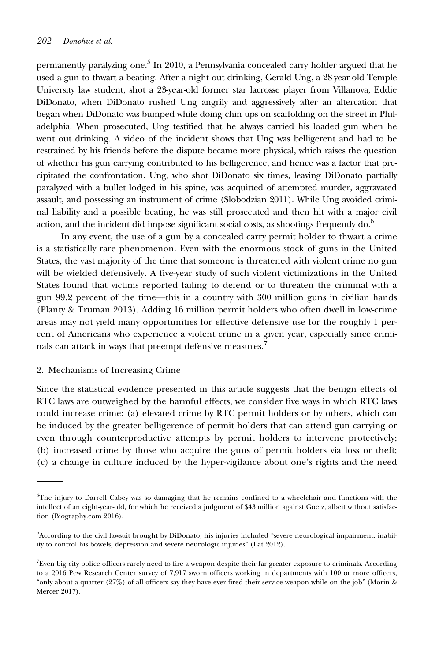permanently paralyzing one.<sup>5</sup> In 2010, a Pennsylvania concealed carry holder argued that he used a gun to thwart a beating. After a night out drinking, Gerald Ung, a 28-year-old Temple University law student, shot a 23-year-old former star lacrosse player from Villanova, Eddie DiDonato, when DiDonato rushed Ung angrily and aggressively after an altercation that began when DiDonato was bumped while doing chin ups on scaffolding on the street in Philadelphia. When prosecuted, Ung testified that he always carried his loaded gun when he went out drinking. A video of the incident shows that Ung was belligerent and had to be restrained by his friends before the dispute became more physical, which raises the question of whether his gun carrying contributed to his belligerence, and hence was a factor that precipitated the confrontation. Ung, who shot DiDonato six times, leaving DiDonato partially paralyzed with a bullet lodged in his spine, was acquitted of attempted murder, aggravated assault, and possessing an instrument of crime (Slobodzian 2011). While Ung avoided criminal liability and a possible beating, he was still prosecuted and then hit with a major civil action, and the incident did impose significant social costs, as shootings frequently  $do<sup>6</sup>$ 

In any event, the use of a gun by a concealed carry permit holder to thwart a crime is a statistically rare phenomenon. Even with the enormous stock of guns in the United States, the vast majority of the time that someone is threatened with violent crime no gun will be wielded defensively. A five-year study of such violent victimizations in the United States found that victims reported failing to defend or to threaten the criminal with a gun 99.2 percent of the time—this in a country with 300 million guns in civilian hands (Planty & Truman 2013). Adding 16 million permit holders who often dwell in low-crime areas may not yield many opportunities for effective defensive use for the roughly 1 percent of Americans who experience a violent crime in a given year, especially since criminals can attack in ways that preempt defensive measures.

#### 2. Mechanisms of Increasing Crime

Since the statistical evidence presented in this article suggests that the benign effects of RTC laws are outweighed by the harmful effects, we consider five ways in which RTC laws could increase crime: (a) elevated crime by RTC permit holders or by others, which can be induced by the greater belligerence of permit holders that can attend gun carrying or even through counterproductive attempts by permit holders to intervene protectively; (b) increased crime by those who acquire the guns of permit holders via loss or theft; (c) a change in culture induced by the hyper-vigilance about one's rights and the need

<sup>5</sup> The injury to Darrell Cabey was so damaging that he remains confined to a wheelchair and functions with the intellect of an eight-year-old, for which he received a judgment of \$43 million against Goetz, albeit without satisfaction (Biography.com 2016).

<sup>6</sup> According to the civil lawsuit brought by DiDonato, his injuries included "severe neurological impairment, inability to control his bowels, depression and severe neurologic injuries" (Lat 2012).

<sup>7</sup> Even big city police officers rarely need to fire a weapon despite their far greater exposure to criminals. According to a 2016 Pew Research Center survey of 7,917 sworn officers working in departments with 100 or more officers, "only about a quarter (27%) of all officers say they have ever fired their service weapon while on the job" (Morin & Mercer 2017).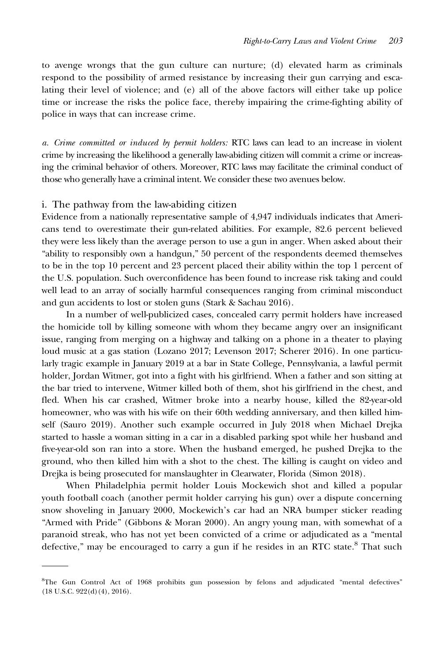to avenge wrongs that the gun culture can nurture; (d) elevated harm as criminals respond to the possibility of armed resistance by increasing their gun carrying and escalating their level of violence; and (e) all of the above factors will either take up police time or increase the risks the police face, thereby impairing the crime-fighting ability of police in ways that can increase crime.

a. Crime committed or induced by permit holders: RTC laws can lead to an increase in violent crime by increasing the likelihood a generally law-abiding citizen will commit a crime or increasing the criminal behavior of others. Moreover, RTC laws may facilitate the criminal conduct of those who generally have a criminal intent. We consider these two avenues below.

#### i. The pathway from the law-abiding citizen

Evidence from a nationally representative sample of 4,947 individuals indicates that Americans tend to overestimate their gun-related abilities. For example, 82.6 percent believed they were less likely than the average person to use a gun in anger. When asked about their "ability to responsibly own a handgun," 50 percent of the respondents deemed themselves to be in the top 10 percent and 23 percent placed their ability within the top 1 percent of the U.S. population. Such overconfidence has been found to increase risk taking and could well lead to an array of socially harmful consequences ranging from criminal misconduct and gun accidents to lost or stolen guns (Stark & Sachau 2016).

In a number of well-publicized cases, concealed carry permit holders have increased the homicide toll by killing someone with whom they became angry over an insignificant issue, ranging from merging on a highway and talking on a phone in a theater to playing loud music at a gas station (Lozano 2017; Levenson 2017; Scherer 2016). In one particularly tragic example in January 2019 at a bar in State College, Pennsylvania, a lawful permit holder, Jordan Witmer, got into a fight with his girlfriend. When a father and son sitting at the bar tried to intervene, Witmer killed both of them, shot his girlfriend in the chest, and fled. When his car crashed, Witmer broke into a nearby house, killed the 82-year-old homeowner, who was with his wife on their 60th wedding anniversary, and then killed himself (Sauro 2019). Another such example occurred in July 2018 when Michael Drejka started to hassle a woman sitting in a car in a disabled parking spot while her husband and five-year-old son ran into a store. When the husband emerged, he pushed Drejka to the ground, who then killed him with a shot to the chest. The killing is caught on video and Drejka is being prosecuted for manslaughter in Clearwater, Florida (Simon 2018).

When Philadelphia permit holder Louis Mockewich shot and killed a popular youth football coach (another permit holder carrying his gun) over a dispute concerning snow shoveling in January 2000, Mockewich's car had an NRA bumper sticker reading "Armed with Pride" (Gibbons & Moran 2000). An angry young man, with somewhat of a paranoid streak, who has not yet been convicted of a crime or adjudicated as a "mental defective," may be encouraged to carry a gun if he resides in an RTC state.<sup>8</sup> That such

<sup>8</sup> The Gun Control Act of 1968 prohibits gun possession by felons and adjudicated "mental defectives" (18 U.S.C. 922(d)(4), 2016).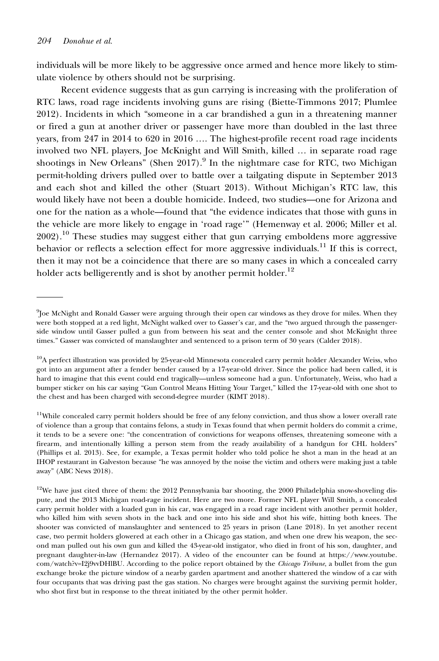individuals will be more likely to be aggressive once armed and hence more likely to stimulate violence by others should not be surprising.

Recent evidence suggests that as gun carrying is increasing with the proliferation of RTC laws, road rage incidents involving guns are rising (Biette-Timmons 2017; Plumlee 2012). Incidents in which "someone in a car brandished a gun in a threatening manner or fired a gun at another driver or passenger have more than doubled in the last three years, from 247 in 2014 to 620 in 2016 …. The highest-profile recent road rage incidents involved two NFL players, Joe McKnight and Will Smith, killed … in separate road rage shootings in New Orleans" (Shen 2017).<sup>9</sup> In the nightmare case for RTC, two Michigan permit-holding drivers pulled over to battle over a tailgating dispute in September 2013 and each shot and killed the other (Stuart 2013). Without Michigan's RTC law, this would likely have not been a double homicide. Indeed, two studies—one for Arizona and one for the nation as a whole—found that "the evidence indicates that those with guns in the vehicle are more likely to engage in 'road rage'" (Hemenway et al. 2006; Miller et al.  $2002$ .<sup>10</sup> These studies may suggest either that gun carrying emboldens more aggressive behavior or reflects a selection effect for more aggressive individuals.<sup>11</sup> If this is correct, then it may not be a coincidence that there are so many cases in which a concealed carry holder acts belligerently and is shot by another permit holder.<sup>12</sup>

<sup>9</sup> Joe McNight and Ronald Gasser were arguing through their open car windows as they drove for miles. When they were both stopped at a red light, McNight walked over to Gasser's car, and the "two argued through the passengerside window until Gasser pulled a gun from between his seat and the center console and shot McKnight three times." Gasser was convicted of manslaughter and sentenced to a prison term of 30 years (Calder 2018).

<sup>&</sup>lt;sup>10</sup>A perfect illustration was provided by 25-year-old Minnesota concealed carry permit holder Alexander Weiss, who got into an argument after a fender bender caused by a 17-year-old driver. Since the police had been called, it is hard to imagine that this event could end tragically—unless someone had a gun. Unfortunately, Weiss, who had a bumper sticker on his car saying "Gun Control Means Hitting Your Target," killed the 17-year-old with one shot to the chest and has been charged with second-degree murder (KIMT 2018).

 $11$ While concealed carry permit holders should be free of any felony conviction, and thus show a lower overall rate of violence than a group that contains felons, a study in Texas found that when permit holders do commit a crime, it tends to be a severe one: "the concentration of convictions for weapons offenses, threatening someone with a firearm, and intentionally killing a person stem from the ready availability of a handgun for CHL holders" (Phillips et al. 2013). See, for example, a Texas permit holder who told police he shot a man in the head at an IHOP restaurant in Galveston because "he was annoyed by the noise the victim and others were making just a table away" (ABC News 2018).

 $12$ We have just cited three of them: the 2012 Pennsylvania bar shooting, the 2000 Philadelphia snow-shoveling dispute, and the 2013 Michigan road-rage incident. Here are two more. Former NFL player Will Smith, a concealed carry permit holder with a loaded gun in his car, was engaged in a road rage incident with another permit holder, who killed him with seven shots in the back and one into his side and shot his wife, hitting both knees. The shooter was convicted of manslaughter and sentenced to 25 years in prison (Lane 2018). In yet another recent case, two permit holders glowered at each other in a Chicago gas station, and when one drew his weapon, the second man pulled out his own gun and killed the 43-year-old instigator, who died in front of his son, daughter, and pregnant daughter-in-law (Hernandez 2017). A video of the encounter can be found at [https://www.youtube.](https://www.youtube.com/watch?v=I2j9vvDHlBU) [com/watch?v=I2j9vvDHlBU](https://www.youtube.com/watch?v=I2j9vvDHlBU). According to the police report obtained by the Chicago Tribune, a bullet from the gun exchange broke the picture window of a nearby garden apartment and another shattered the window of a car with four occupants that was driving past the gas station. No charges were brought against the surviving permit holder, who shot first but in response to the threat initiated by the other permit holder.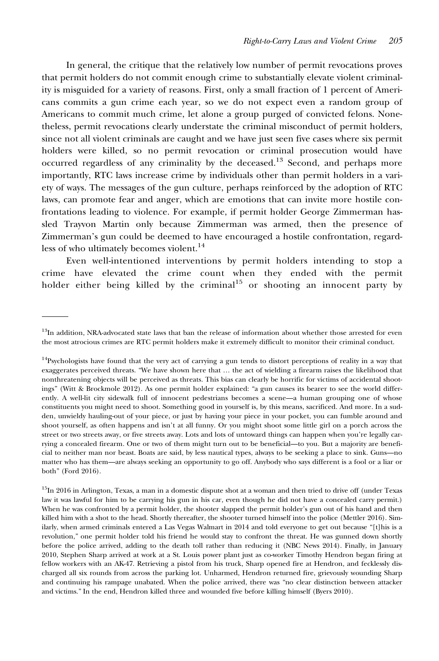In general, the critique that the relatively low number of permit revocations proves that permit holders do not commit enough crime to substantially elevate violent criminality is misguided for a variety of reasons. First, only a small fraction of 1 percent of Americans commits a gun crime each year, so we do not expect even a random group of Americans to commit much crime, let alone a group purged of convicted felons. Nonetheless, permit revocations clearly understate the criminal misconduct of permit holders, since not all violent criminals are caught and we have just seen five cases where six permit holders were killed, so no permit revocation or criminal prosecution would have occurred regardless of any criminality by the deceased.<sup>13</sup> Second, and perhaps more importantly, RTC laws increase crime by individuals other than permit holders in a variety of ways. The messages of the gun culture, perhaps reinforced by the adoption of RTC laws, can promote fear and anger, which are emotions that can invite more hostile confrontations leading to violence. For example, if permit holder George Zimmerman hassled Trayvon Martin only because Zimmerman was armed, then the presence of Zimmerman's gun could be deemed to have encouraged a hostile confrontation, regardless of who ultimately becomes violent.<sup>14</sup>

Even well-intentioned interventions by permit holders intending to stop a crime have elevated the crime count when they ended with the permit holder either being killed by the criminal<sup>15</sup> or shooting an innocent party by

<sup>&</sup>lt;sup>13</sup>In addition, NRA-advocated state laws that ban the release of information about whether those arrested for even the most atrocious crimes are RTC permit holders make it extremely difficult to monitor their criminal conduct.

 $14P$ sychologists have found that the very act of carrying a gun tends to distort perceptions of reality in a way that exaggerates perceived threats. "We have shown here that … the act of wielding a firearm raises the likelihood that nonthreatening objects will be perceived as threats. This bias can clearly be horrific for victims of accidental shootings" (Witt & Brockmole 2012). As one permit holder explained: "a gun causes its bearer to see the world differently. A well-lit city sidewalk full of innocent pedestrians becomes a scene—a human grouping one of whose constituents you might need to shoot. Something good in yourself is, by this means, sacrificed. And more. In a sudden, unwieldy hauling-out of your piece, or just by having your piece in your pocket, you can fumble around and shoot yourself, as often happens and isn't at all funny. Or you might shoot some little girl on a porch across the street or two streets away, or five streets away. Lots and lots of untoward things can happen when you're legally carrying a concealed firearm. One or two of them might turn out to be beneficial—to you. But a majority are beneficial to neither man nor beast. Boats are said, by less nautical types, always to be seeking a place to sink. Guns—no matter who has them—are always seeking an opportunity to go off. Anybody who says different is a fool or a liar or both" (Ford 2016).

<sup>&</sup>lt;sup>15</sup>In 2016 in Arlington, Texas, a man in a domestic dispute shot at a woman and then tried to drive off (under Texas law it was lawful for him to be carrying his gun in his car, even though he did not have a concealed carry permit.) When he was confronted by a permit holder, the shooter slapped the permit holder's gun out of his hand and then killed him with a shot to the head. Shortly thereafter, the shooter turned himself into the police (Mettler 2016). Similarly, when armed criminals entered a Las Vegas Walmart in 2014 and told everyone to get out because "[t]his is a revolution," one permit holder told his friend he would stay to confront the threat. He was gunned down shortly before the police arrived, adding to the death toll rather than reducing it (NBC News 2014). Finally, in January 2010, Stephen Sharp arrived at work at a St. Louis power plant just as co-worker Timothy Hendron began firing at fellow workers with an AK-47. Retrieving a pistol from his truck, Sharp opened fire at Hendron, and fecklessly discharged all six rounds from across the parking lot. Unharmed, Hendron returned fire, grievously wounding Sharp and continuing his rampage unabated. When the police arrived, there was "no clear distinction between attacker and victims." In the end, Hendron killed three and wounded five before killing himself (Byers 2010).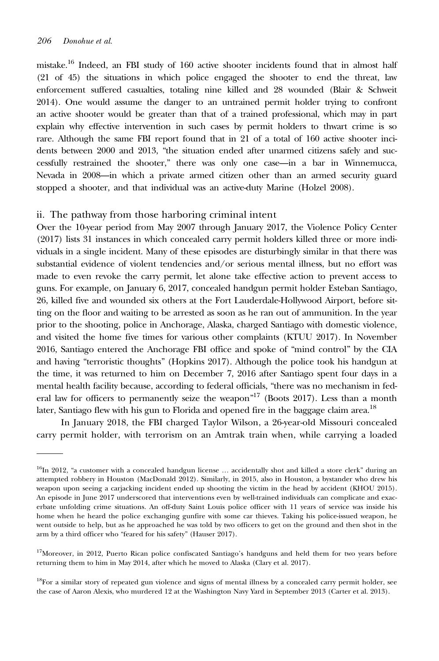mistake.<sup>16</sup> Indeed, an FBI study of  $160$  active shooter incidents found that in almost half (21 of 45) the situations in which police engaged the shooter to end the threat, law enforcement suffered casualties, totaling nine killed and 28 wounded (Blair & Schweit 2014). One would assume the danger to an untrained permit holder trying to confront an active shooter would be greater than that of a trained professional, which may in part explain why effective intervention in such cases by permit holders to thwart crime is so rare. Although the same FBI report found that in 21 of a total of 160 active shooter incidents between 2000 and 2013, "the situation ended after unarmed citizens safely and successfully restrained the shooter," there was only one case—in a bar in Winnemucca, Nevada in 2008—in which a private armed citizen other than an armed security guard stopped a shooter, and that individual was an active-duty Marine (Holzel 2008).

#### ii. The pathway from those harboring criminal intent

Over the 10-year period from May 2007 through January 2017, the Violence Policy Center (2017) lists 31 instances in which concealed carry permit holders killed three or more individuals in a single incident. Many of these episodes are disturbingly similar in that there was substantial evidence of violent tendencies and/or serious mental illness, but no effort was made to even revoke the carry permit, let alone take effective action to prevent access to guns. For example, on January 6, 2017, concealed handgun permit holder Esteban Santiago, 26, killed five and wounded six others at the Fort Lauderdale-Hollywood Airport, before sitting on the floor and waiting to be arrested as soon as he ran out of ammunition. In the year prior to the shooting, police in Anchorage, Alaska, charged Santiago with domestic violence, and visited the home five times for various other complaints (KTUU 2017). In November 2016, Santiago entered the Anchorage FBI office and spoke of "mind control" by the CIA and having "terroristic thoughts" (Hopkins 2017). Although the police took his handgun at the time, it was returned to him on December 7, 2016 after Santiago spent four days in a mental health facility because, according to federal officials, "there was no mechanism in federal law for officers to permanently seize the weapon"<sup>17</sup> (Boots 2017). Less than a month later, Santiago flew with his gun to Florida and opened fire in the baggage claim area.<sup>18</sup>

In January 2018, the FBI charged Taylor Wilson, a 26-year-old Missouri concealed carry permit holder, with terrorism on an Amtrak train when, while carrying a loaded

 $16$ In 2012, "a customer with a concealed handgun license ... accidentally shot and killed a store clerk" during an attempted robbery in Houston (MacDonald 2012). Similarly, in 2015, also in Houston, a bystander who drew his weapon upon seeing a carjacking incident ended up shooting the victim in the head by accident (KHOU 2015). An episode in June 2017 underscored that interventions even by well-trained individuals can complicate and exacerbate unfolding crime situations. An off-duty Saint Louis police officer with 11 years of service was inside his home when he heard the police exchanging gunfire with some car thieves. Taking his police-issued weapon, he went outside to help, but as he approached he was told by two officers to get on the ground and then shot in the arm by a third officer who "feared for his safety" (Hauser 2017).

<sup>&</sup>lt;sup>17</sup>Moreover, in 2012, Puerto Rican police confiscated Santiago's handguns and held them for two years before returning them to him in May 2014, after which he moved to Alaska (Clary et al. 2017).

<sup>&</sup>lt;sup>18</sup>For a similar story of repeated gun violence and signs of mental illness by a concealed carry permit holder, see the case of Aaron Alexis, who murdered 12 at the Washington Navy Yard in September 2013 (Carter et al. 2013).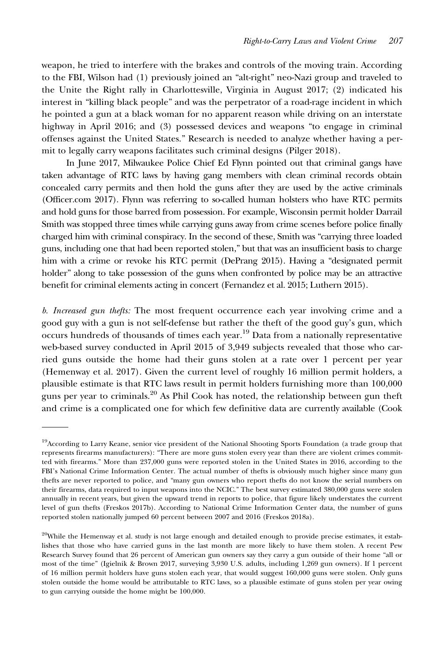weapon, he tried to interfere with the brakes and controls of the moving train. According to the FBI, Wilson had (1) previously joined an "alt-right" neo-Nazi group and traveled to the Unite the Right rally in Charlottesville, Virginia in August 2017; (2) indicated his interest in "killing black people" and was the perpetrator of a road-rage incident in which he pointed a gun at a black woman for no apparent reason while driving on an interstate highway in April 2016; and (3) possessed devices and weapons "to engage in criminal offenses against the United States." Research is needed to analyze whether having a permit to legally carry weapons facilitates such criminal designs (Pilger 2018).

In June 2017, Milwaukee Police Chief Ed Flynn pointed out that criminal gangs have taken advantage of RTC laws by having gang members with clean criminal records obtain concealed carry permits and then hold the guns after they are used by the active criminals (Officer.com 2017). Flynn was referring to so-called human holsters who have RTC permits and hold guns for those barred from possession. For example, Wisconsin permit holder Darrail Smith was stopped three times while carrying guns away from crime scenes before police finally charged him with criminal conspiracy. In the second of these, Smith was "carrying three loaded guns, including one that had been reported stolen," but that was an insufficient basis to charge him with a crime or revoke his RTC permit (DePrang 2015). Having a "designated permit holder" along to take possession of the guns when confronted by police may be an attractive benefit for criminal elements acting in concert (Fernandez et al. 2015; Luthern 2015).

b. Increased gun thefts: The most frequent occurrence each year involving crime and a good guy with a gun is not self-defense but rather the theft of the good guy's gun, which occurs hundreds of thousands of times each year.19 Data from a nationally representative web-based survey conducted in April 2015 of 3,949 subjects revealed that those who carried guns outside the home had their guns stolen at a rate over 1 percent per year (Hemenway et al. 2017). Given the current level of roughly 16 million permit holders, a plausible estimate is that RTC laws result in permit holders furnishing more than 100,000 guns per year to criminals.<sup>20</sup> As Phil Cook has noted, the relationship between gun theft and crime is a complicated one for which few definitive data are currently available (Cook

<sup>&</sup>lt;sup>19</sup>According to Larry Keane, senior vice president of the National Shooting Sports Foundation (a trade group that represents firearms manufacturers): "There are more guns stolen every year than there are violent crimes committed with firearms." More than 237,000 guns were reported stolen in the United States in 2016, according to the FBI's National Crime Information Center. The actual number of thefts is obviously much higher since many gun thefts are never reported to police, and "many gun owners who report thefts do not know the serial numbers on their firearms, data required to input weapons into the NCIC." The best survey estimated 380,000 guns were stolen annually in recent years, but given the upward trend in reports to police, that figure likely understates the current level of gun thefts (Freskos 2017b). According to National Crime Information Center data, the number of guns reported stolen nationally jumped 60 percent between 2007 and 2016 (Freskos 2018a).

 $20$ While the Hemenway et al. study is not large enough and detailed enough to provide precise estimates, it establishes that those who have carried guns in the last month are more likely to have them stolen. A recent Pew Research Survey found that 26 percent of American gun owners say they carry a gun outside of their home "all or most of the time" (Igielnik & Brown 2017, surveying 3,930 U.S. adults, including 1,269 gun owners). If 1 percent of 16 million permit holders have guns stolen each year, that would suggest 160,000 guns were stolen. Only guns stolen outside the home would be attributable to RTC laws, so a plausible estimate of guns stolen per year owing to gun carrying outside the home might be 100,000.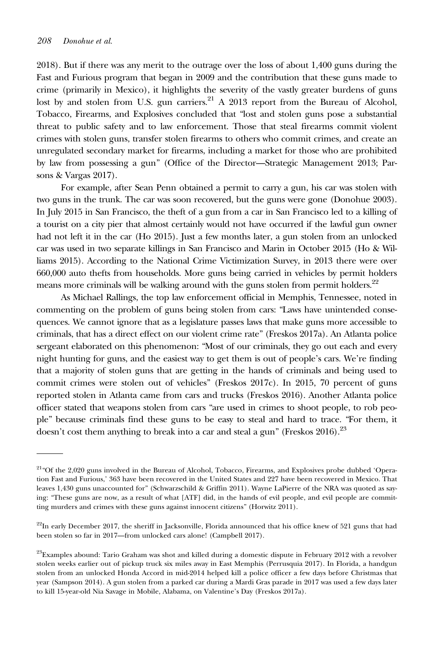2018). But if there was any merit to the outrage over the loss of about 1,400 guns during the Fast and Furious program that began in 2009 and the contribution that these guns made to crime (primarily in Mexico), it highlights the severity of the vastly greater burdens of guns lost by and stolen from U.S. gun carriers.<sup>21</sup> A 2013 report from the Bureau of Alcohol, Tobacco, Firearms, and Explosives concluded that "lost and stolen guns pose a substantial threat to public safety and to law enforcement. Those that steal firearms commit violent crimes with stolen guns, transfer stolen firearms to others who commit crimes, and create an unregulated secondary market for firearms, including a market for those who are prohibited by law from possessing a gun" (Office of the Director—Strategic Management 2013; Parsons & Vargas 2017).

For example, after Sean Penn obtained a permit to carry a gun, his car was stolen with two guns in the trunk. The car was soon recovered, but the guns were gone (Donohue 2003). In July 2015 in San Francisco, the theft of a gun from a car in San Francisco led to a killing of a tourist on a city pier that almost certainly would not have occurred if the lawful gun owner had not left it in the car (Ho 2015). Just a few months later, a gun stolen from an unlocked car was used in two separate killings in San Francisco and Marin in October 2015 (Ho & Williams 2015). According to the National Crime Victimization Survey, in 2013 there were over 660,000 auto thefts from households. More guns being carried in vehicles by permit holders means more criminals will be walking around with the guns stolen from permit holders.<sup>22</sup>

As Michael Rallings, the top law enforcement official in Memphis, Tennessee, noted in commenting on the problem of guns being stolen from cars: "Laws have unintended consequences. We cannot ignore that as a legislature passes laws that make guns more accessible to criminals, that has a direct effect on our violent crime rate" (Freskos 2017a). An Atlanta police sergeant elaborated on this phenomenon: "Most of our criminals, they go out each and every night hunting for guns, and the easiest way to get them is out of people's cars. We're finding that a majority of stolen guns that are getting in the hands of criminals and being used to commit crimes were stolen out of vehicles" (Freskos 2017c). In 2015, 70 percent of guns reported stolen in Atlanta came from cars and trucks (Freskos 2016). Another Atlanta police officer stated that weapons stolen from cars "are used in crimes to shoot people, to rob people" because criminals find these guns to be easy to steal and hard to trace. "For them, it doesn't cost them anything to break into a car and steal a gun" (Freskos 2016).<sup>23</sup>

<sup>21&</sup>quot;Of the 2,020 guns involved in the Bureau of Alcohol, Tobacco, Firearms, and Explosives probe dubbed 'Operation Fast and Furious,' 363 have been recovered in the United States and 227 have been recovered in Mexico. That leaves 1,430 guns unaccounted for" (Schwarzschild & Griffin 2011). Wayne LaPierre of the NRA was quoted as saying: "These guns are now, as a result of what [ATF] did, in the hands of evil people, and evil people are committing murders and crimes with these guns against innocent citizens" (Horwitz 2011).

 $22$ In early December 2017, the sheriff in Jacksonville, Florida announced that his office knew of 521 guns that had been stolen so far in 2017—from unlocked cars alone! (Campbell 2017).

<sup>&</sup>lt;sup>23</sup>Examples abound: Tario Graham was shot and killed during a domestic dispute in February 2012 with a revolver stolen weeks earlier out of pickup truck six miles away in East Memphis (Perrusquia 2017). In Florida, a handgun stolen from an unlocked Honda Accord in mid-2014 helped kill a police officer a few days before Christmas that year (Sampson 2014). A gun stolen from a parked car during a Mardi Gras parade in 2017 was used a few days later to kill 15-year-old Nia Savage in Mobile, Alabama, on Valentine's Day (Freskos 2017a).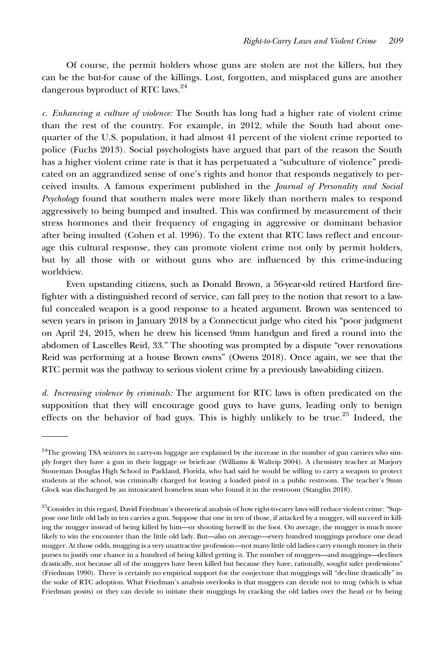Of course, the permit holders whose guns are stolen are not the killers, but they can be the but-for cause of the killings. Lost, forgotten, and misplaced guns are another dangerous byproduct of RTC laws.24

c. Enhancing a culture of violence: The South has long had a higher rate of violent crime than the rest of the country. For example, in 2012, while the South had about onequarter of the U.S. population, it had almost 41 percent of the violent crime reported to police (Fuchs 2013). Social psychologists have argued that part of the reason the South has a higher violent crime rate is that it has perpetuated a "subculture of violence" predicated on an aggrandized sense of one's rights and honor that responds negatively to perceived insults. A famous experiment published in the Journal of Personality and Social Psychology found that southern males were more likely than northern males to respond aggressively to being bumped and insulted. This was confirmed by measurement of their stress hormones and their frequency of engaging in aggressive or dominant behavior after being insulted (Cohen et al. 1996). To the extent that RTC laws reflect and encourage this cultural response, they can promote violent crime not only by permit holders, but by all those with or without guns who are influenced by this crime-inducing worldview.

Even upstanding citizens, such as Donald Brown, a 56-year-old retired Hartford firefighter with a distinguished record of service, can fall prey to the notion that resort to a lawful concealed weapon is a good response to a heated argument. Brown was sentenced to seven years in prison in January 2018 by a Connecticut judge who cited his "poor judgment on April 24, 2015, when he drew his licensed 9mm handgun and fired a round into the abdomen of Lascelles Reid, 33." The shooting was prompted by a dispute "over renovations Reid was performing at a house Brown owns" (Owens 2018). Once again, we see that the RTC permit was the pathway to serious violent crime by a previously law-abiding citizen.

d. Increasing violence by criminals: The argument for RTC laws is often predicated on the supposition that they will encourage good guys to have guns, leading only to benign effects on the behavior of bad guys. This is highly unlikely to be true.<sup>25</sup> Indeed, the

<sup>&</sup>lt;sup>24</sup>The growing TSA seizures in carry-on luggage are explained by the increase in the number of gun carriers who simply forget they have a gun in their luggage or briefcase (Williams & Waltrip 2004). A chemistry teacher at Marjory Stoneman Douglas High School in Parkland, Florida, who had said he would be willing to carry a weapon to protect students at the school, was criminally charged for leaving a loaded pistol in a public restroom. The teacher's 9mm Glock was discharged by an intoxicated homeless man who found it in the restroom (Stanglin 2018).

<sup>&</sup>lt;sup>25</sup>Consider in this regard, David Friedman's theoretical analysis of how right-to-carry laws will reduce violent crime: "Suppose one little old lady in ten carries a gun. Suppose that one in ten of those, if attacked by a mugger, will succeed in killing the mugger instead of being killed by him—or shooting herself in the foot. On average, the mugger is much more likely to win the encounter than the little old lady. But—also on average—every hundred muggings produce one dead mugger. At those odds, mugging is a very unattractive profession—not many little old ladies carry enough money in their purses to justify one chance in a hundred of being killed getting it. The number of muggers—and muggings—declines drastically, not because all of the muggers have been killed but because they have, rationally, sought safer professions" (Friedman 1990). There is certainly no empirical support for the conjecture that muggings will "decline drastically" in the wake of RTC adoption. What Friedman's analysis overlooks is that muggers can decide not to mug (which is what Friedman posits) or they can decide to initiate their muggings by cracking the old ladies over the head or by being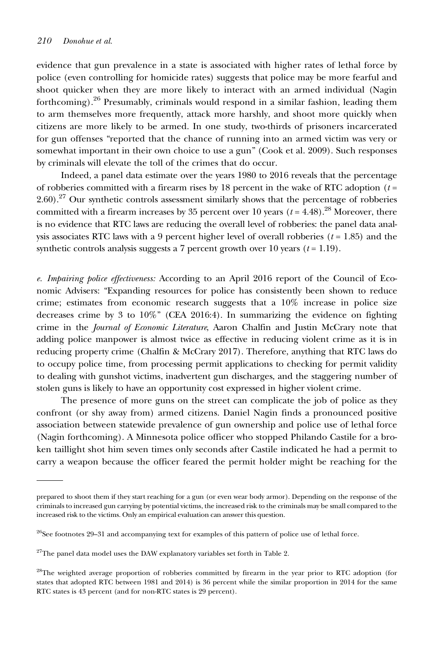evidence that gun prevalence in a state is associated with higher rates of lethal force by police (even controlling for homicide rates) suggests that police may be more fearful and shoot quicker when they are more likely to interact with an armed individual (Nagin forthcoming).<sup>26</sup> Presumably, criminals would respond in a similar fashion, leading them to arm themselves more frequently, attack more harshly, and shoot more quickly when citizens are more likely to be armed. In one study, two-thirds of prisoners incarcerated for gun offenses "reported that the chance of running into an armed victim was very or somewhat important in their own choice to use a gun" (Cook et al. 2009). Such responses by criminals will elevate the toll of the crimes that do occur.

Indeed, a panel data estimate over the years 1980 to 2016 reveals that the percentage of robberies committed with a firearm rises by 18 percent in the wake of RTC adoption  $(t =$ 2.60).<sup>27</sup> Our synthetic controls assessment similarly shows that the percentage of robberies committed with a firearm increases by 35 percent over 10 years ( $t = 4.48$ ).<sup>28</sup> Moreover, there is no evidence that RTC laws are reducing the overall level of robberies: the panel data analysis associates RTC laws with a 9 percent higher level of overall robberies  $(t = 1.85)$  and the synthetic controls analysis suggests a 7 percent growth over 10 years  $(t = 1.19)$ .

e. Impairing police effectiveness: According to an April 2016 report of the Council of Economic Advisers: "Expanding resources for police has consistently been shown to reduce crime; estimates from economic research suggests that a 10% increase in police size decreases crime by 3 to 10%" (CEA 2016:4). In summarizing the evidence on fighting crime in the Journal of Economic Literature, Aaron Chalfin and Justin McCrary note that adding police manpower is almost twice as effective in reducing violent crime as it is in reducing property crime (Chalfin & McCrary 2017). Therefore, anything that RTC laws do to occupy police time, from processing permit applications to checking for permit validity to dealing with gunshot victims, inadvertent gun discharges, and the staggering number of stolen guns is likely to have an opportunity cost expressed in higher violent crime.

The presence of more guns on the street can complicate the job of police as they confront (or shy away from) armed citizens. Daniel Nagin finds a pronounced positive association between statewide prevalence of gun ownership and police use of lethal force (Nagin forthcoming). A Minnesota police officer who stopped Philando Castile for a broken taillight shot him seven times only seconds after Castile indicated he had a permit to carry a weapon because the officer feared the permit holder might be reaching for the

prepared to shoot them if they start reaching for a gun (or even wear body armor). Depending on the response of the criminals to increased gun carrying by potential victims, the increased risk to the criminals may be small compared to the increased risk to the victims. Only an empirical evaluation can answer this question.

<sup>&</sup>lt;sup>26</sup>See footnotes 29-31 and accompanying text for examples of this pattern of police use of lethal force.

 $27$ The panel data model uses the DAW explanatory variables set forth in Table 2.

<sup>&</sup>lt;sup>28</sup>The weighted average proportion of robberies committed by firearm in the year prior to RTC adoption (for states that adopted RTC between 1981 and 2014) is 36 percent while the similar proportion in 2014 for the same RTC states is 43 percent (and for non-RTC states is 29 percent).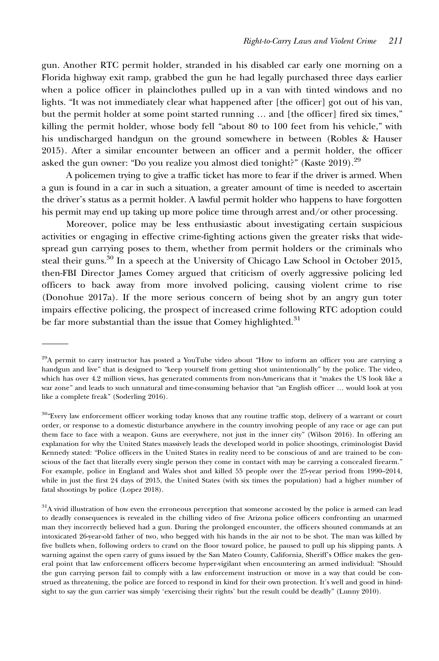gun. Another RTC permit holder, stranded in his disabled car early one morning on a Florida highway exit ramp, grabbed the gun he had legally purchased three days earlier when a police officer in plainclothes pulled up in a van with tinted windows and no lights. "It was not immediately clear what happened after [the officer] got out of his van, but the permit holder at some point started running … and [the officer] fired six times," killing the permit holder, whose body fell "about 80 to 100 feet from his vehicle," with his undischarged handgun on the ground somewhere in between (Robles & Hauser 2015). After a similar encounter between an officer and a permit holder, the officer asked the gun owner: "Do you realize you almost died tonight?" (Kaste  $2019$ ).<sup>29</sup>

A policemen trying to give a traffic ticket has more to fear if the driver is armed. When a gun is found in a car in such a situation, a greater amount of time is needed to ascertain the driver's status as a permit holder. A lawful permit holder who happens to have forgotten his permit may end up taking up more police time through arrest and/or other processing.

Moreover, police may be less enthusiastic about investigating certain suspicious activities or engaging in effective crime-fighting actions given the greater risks that widespread gun carrying poses to them, whether from permit holders or the criminals who steal their guns.<sup>30</sup> In a speech at the University of Chicago Law School in October 2015, then-FBI Director James Comey argued that criticism of overly aggressive policing led officers to back away from more involved policing, causing violent crime to rise (Donohue 2017a). If the more serious concern of being shot by an angry gun toter impairs effective policing, the prospect of increased crime following RTC adoption could be far more substantial than the issue that Comey highlighted.<sup>31</sup>

<sup>29</sup>A permit to carry instructor has posted a YouTube video about "How to inform an officer you are carrying a handgun and live" that is designed to "keep yourself from getting shot unintentionally" by the police. The video, which has over 4.2 million views, has generated comments from non-Americans that it "makes the US look like a war zone" and leads to such unnatural and time-consuming behavior that "an English officer … would look at you like a complete freak" (Soderling 2016).

<sup>&</sup>lt;sup>30</sup>"Every law enforcement officer working today knows that any routine traffic stop, delivery of a warrant or court order, or response to a domestic disturbance anywhere in the country involving people of any race or age can put them face to face with a weapon. Guns are everywhere, not just in the inner city" (Wilson 2016). In offering an explanation for why the United States massively leads the developed world in police shootings, criminologist David Kennedy stated: "Police officers in the United States in reality need to be conscious of and are trained to be conscious of the fact that literally every single person they come in contact with may be carrying a concealed firearm." For example, police in England and Wales shot and killed 55 people over the 25-year period from 1990–2014, while in just the first 24 days of 2015, the United States (with six times the population) had a higher number of fatal shootings by police (Lopez 2018).

 $31A$  vivid illustration of how even the erroneous perception that someone accosted by the police is armed can lead to deadly consequences is revealed in the chilling video of five Arizona police officers confronting an unarmed man they incorrectly believed had a gun. During the prolonged encounter, the officers shouted commands at an intoxicated 26-year-old father of two, who begged with his hands in the air not to be shot. The man was killed by five bullets when, following orders to crawl on the floor toward police, he paused to pull up his slipping pants. A warning against the open carry of guns issued by the San Mateo County, California, Sheriff's Office makes the general point that law enforcement officers become hyper-vigilant when encountering an armed individual: "Should the gun carrying person fail to comply with a law enforcement instruction or move in a way that could be construed as threatening, the police are forced to respond in kind for their own protection. It's well and good in hindsight to say the gun carrier was simply 'exercising their rights' but the result could be deadly" (Lunny 2010).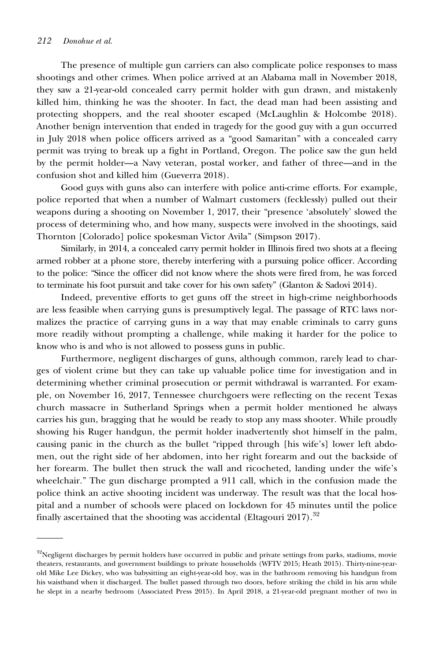The presence of multiple gun carriers can also complicate police responses to mass shootings and other crimes. When police arrived at an Alabama mall in November 2018, they saw a 21-year-old concealed carry permit holder with gun drawn, and mistakenly killed him, thinking he was the shooter. In fact, the dead man had been assisting and protecting shoppers, and the real shooter escaped (McLaughlin & Holcombe 2018). Another benign intervention that ended in tragedy for the good guy with a gun occurred in July 2018 when police officers arrived as a "good Samaritan" with a concealed carry permit was trying to break up a fight in Portland, Oregon. The police saw the gun held by the permit holder—a Navy veteran, postal worker, and father of three—and in the confusion shot and killed him (Gueverra 2018).

Good guys with guns also can interfere with police anti-crime efforts. For example, police reported that when a number of Walmart customers (fecklessly) pulled out their weapons during a shooting on November 1, 2017, their "presence 'absolutely' slowed the process of determining who, and how many, suspects were involved in the shootings, said Thornton [Colorado] police spokesman Victor Avila" (Simpson 2017).

Similarly, in 2014, a concealed carry permit holder in Illinois fired two shots at a fleeing armed robber at a phone store, thereby interfering with a pursuing police officer. According to the police: "Since the officer did not know where the shots were fired from, he was forced to terminate his foot pursuit and take cover for his own safety" (Glanton & Sadovi 2014).

Indeed, preventive efforts to get guns off the street in high-crime neighborhoods are less feasible when carrying guns is presumptively legal. The passage of RTC laws normalizes the practice of carrying guns in a way that may enable criminals to carry guns more readily without prompting a challenge, while making it harder for the police to know who is and who is not allowed to possess guns in public.

Furthermore, negligent discharges of guns, although common, rarely lead to charges of violent crime but they can take up valuable police time for investigation and in determining whether criminal prosecution or permit withdrawal is warranted. For example, on November 16, 2017, Tennessee churchgoers were reflecting on the recent Texas church massacre in Sutherland Springs when a permit holder mentioned he always carries his gun, bragging that he would be ready to stop any mass shooter. While proudly showing his Ruger handgun, the permit holder inadvertently shot himself in the palm, causing panic in the church as the bullet "ripped through [his wife's] lower left abdomen, out the right side of her abdomen, into her right forearm and out the backside of her forearm. The bullet then struck the wall and ricocheted, landing under the wife's wheelchair." The gun discharge prompted a 911 call, which in the confusion made the police think an active shooting incident was underway. The result was that the local hospital and a number of schools were placed on lockdown for 45 minutes until the police finally ascertained that the shooting was accidental (Eltagouri 2017).<sup>32</sup>

 $32$ Negligent discharges by permit holders have occurred in public and private settings from parks, stadiums, movie theaters, restaurants, and government buildings to private households (WFTV 2015; Heath 2015). Thirty-nine-yearold Mike Lee Dickey, who was babysitting an eight-year-old boy, was in the bathroom removing his handgun from his waistband when it discharged. The bullet passed through two doors, before striking the child in his arm while he slept in a nearby bedroom (Associated Press 2015). In April 2018, a 21-year-old pregnant mother of two in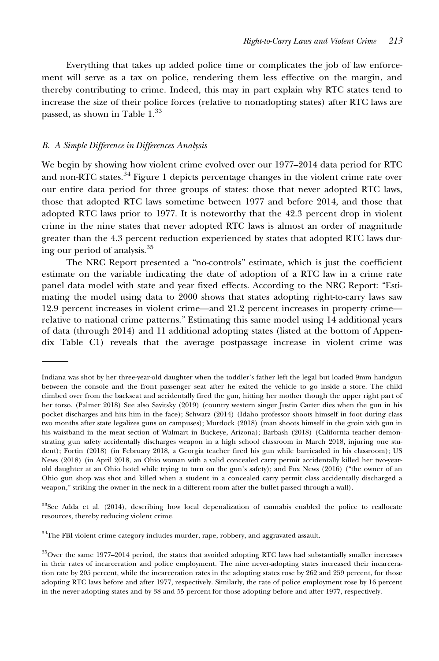Everything that takes up added police time or complicates the job of law enforcement will serve as a tax on police, rendering them less effective on the margin, and thereby contributing to crime. Indeed, this may in part explain why RTC states tend to increase the size of their police forces (relative to nonadopting states) after RTC laws are passed, as shown in Table  $1.^{33}$ 

#### B. A Simple Difference-in-Differences Analysis

We begin by showing how violent crime evolved over our 1977–2014 data period for RTC and non-RTC states. $34$  Figure 1 depicts percentage changes in the violent crime rate over our entire data period for three groups of states: those that never adopted RTC laws, those that adopted RTC laws sometime between 1977 and before 2014, and those that adopted RTC laws prior to 1977. It is noteworthy that the 42.3 percent drop in violent crime in the nine states that never adopted RTC laws is almost an order of magnitude greater than the 4.3 percent reduction experienced by states that adopted RTC laws during our period of analysis.35

The NRC Report presented a "no-controls" estimate, which is just the coefficient estimate on the variable indicating the date of adoption of a RTC law in a crime rate panel data model with state and year fixed effects. According to the NRC Report: "Estimating the model using data to 2000 shows that states adopting right-to-carry laws saw 12.9 percent increases in violent crime—and 21.2 percent increases in property crime relative to national crime patterns." Estimating this same model using 14 additional years of data (through 2014) and 11 additional adopting states (listed at the bottom of Appendix Table C1) reveals that the average postpassage increase in violent crime was

 $33$ See Adda et al. (2014), describing how local depenalization of cannabis enabled the police to reallocate resources, thereby reducing violent crime.

 $34$ The FBI violent crime category includes murder, rape, robbery, and aggravated assault.

Indiana was shot by her three-year-old daughter when the toddler's father left the legal but loaded 9mm handgun between the console and the front passenger seat after he exited the vehicle to go inside a store. The child climbed over from the backseat and accidentally fired the gun, hitting her mother though the upper right part of her torso. (Palmer 2018) See also Savitsky (2019) (country western singer Justin Carter dies when the gun in his pocket discharges and hits him in the face); Schwarz (2014) (Idaho professor shoots himself in foot during class two months after state legalizes guns on campuses); Murdock (2018) (man shoots himself in the groin with gun in his waistband in the meat section of Walmart in Buckeye, Arizona); Barbash (2018) (California teacher demonstrating gun safety accidentally discharges weapon in a high school classroom in March 2018, injuring one student); Fortin (2018) (in February 2018, a Georgia teacher fired his gun while barricaded in his classroom); US News (2018) (in April 2018, an Ohio woman with a valid concealed carry permit accidentally killed her two-yearold daughter at an Ohio hotel while trying to turn on the gun's safety); and Fox News (2016) ("the owner of an Ohio gun shop was shot and killed when a student in a concealed carry permit class accidentally discharged a weapon," striking the owner in the neck in a different room after the bullet passed through a wall).

<sup>&</sup>lt;sup>35</sup>Over the same 1977–2014 period, the states that avoided adopting RTC laws had substantially smaller increases in their rates of incarceration and police employment. The nine never-adopting states increased their incarceration rate by 205 percent, while the incarceration rates in the adopting states rose by 262 and 259 percent, for those adopting RTC laws before and after 1977, respectively. Similarly, the rate of police employment rose by 16 percent in the never-adopting states and by 38 and 55 percent for those adopting before and after 1977, respectively.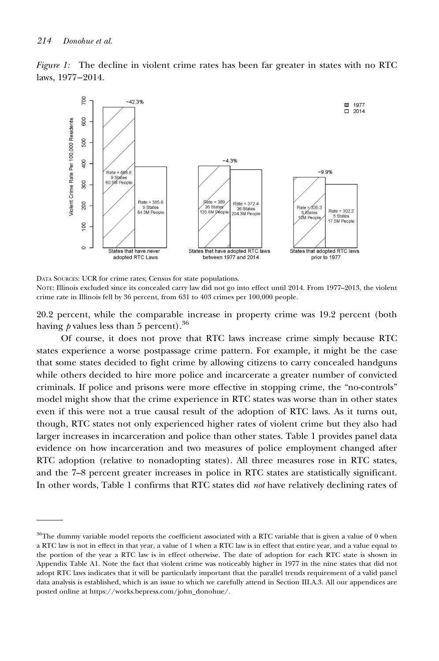Figure 1: The decline in violent crime rates has been far greater in states with no RTC laws, 1977−2014.



DATA SOURCES: UCR for crime rates; Census for state populations.

NOTE: Illinois excluded since its concealed carry law did not go into effect until 2014. From 1977–2013, the violent crime rate in Illinois fell by 36 percent, from 631 to 403 crimes per 100,000 people.

20.2 percent, while the comparable increase in property crime was 19.2 percent (both having  *values less than 5 percent).<sup>36</sup>* 

Of course, it does not prove that RTC laws increase crime simply because RTC states experience a worse postpassage crime pattern. For example, it might be the case that some states decided to fight crime by allowing citizens to carry concealed handguns while others decided to hire more police and incarcerate a greater number of convicted criminals. If police and prisons were more effective in stopping crime, the "no-controls" model might show that the crime experience in RTC states was worse than in other states even if this were not a true causal result of the adoption of RTC laws. As it turns out, though, RTC states not only experienced higher rates of violent crime but they also had larger increases in incarceration and police than other states. Table 1 provides panel data evidence on how incarceration and two measures of police employment changed after RTC adoption (relative to nonadopting states). All three measures rose in RTC states, and the 7–8 percent greater increases in police in RTC states are statistically significant. In other words, Table 1 confirms that RTC states did not have relatively declining rates of

 $36$ The dummy variable model reports the coefficient associated with a RTC variable that is given a value of 0 when a RTC law is not in effect in that year, a value of 1 when a RTC law is in effect that entire year, and a value equal to the portion of the year a RTC law is in effect otherwise. The date of adoption for each RTC state is shown in Appendix Table A1. Note the fact that violent crime was noticeably higher in 1977 in the nine states that did not adopt RTC laws indicates that it will be particularly important that the parallel trends requirement of a valid panel data analysis is established, which is an issue to which we carefully attend in Section III.A.3. All our appendices are posted online at [https://works.bepress.com/john\\_donohue/.](https://works.bepress.com/john_donohue/)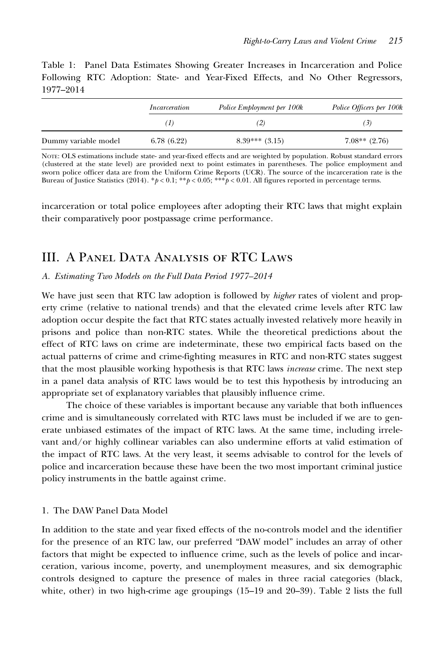Table 1: Panel Data Estimates Showing Greater Increases in Incarceration and Police Following RTC Adoption: State- and Year-Fixed Effects, and No Other Regressors, 1977–2014

|                      | Incarceration | Police Employment per 100k | Police Officers per 100k |
|----------------------|---------------|----------------------------|--------------------------|
|                      | (1)           | (2)                        | (3)                      |
| Dummy variable model | 6.78(6.22)    | $8.39***$ $(3.15)$         | $7.08**$ (2.76)          |

NOTE: OLS estimations include state- and year-fixed effects and are weighted by population. Robust standard errors (clustered at the state level) are provided next to point estimates in parentheses. The police employment and sworn police officer data are from the Uniform Crime Reports (UCR). The source of the incarceration rate is the Bureau of Justice Statistics (2014). \* $p < 0.1$ ; \*\* $p < 0.05$ ; \*\*\* $p < 0.01$ . All figures reported in percentage terms.

incarceration or total police employees after adopting their RTC laws that might explain their comparatively poor postpassage crime performance.

## III. A Panel Data Analysis of RTC Laws

#### A. Estimating Two Models on the Full Data Period 1977–2014

We have just seen that RTC law adoption is followed by *higher* rates of violent and property crime (relative to national trends) and that the elevated crime levels after RTC law adoption occur despite the fact that RTC states actually invested relatively more heavily in prisons and police than non-RTC states. While the theoretical predictions about the effect of RTC laws on crime are indeterminate, these two empirical facts based on the actual patterns of crime and crime-fighting measures in RTC and non-RTC states suggest that the most plausible working hypothesis is that RTC laws increase crime. The next step in a panel data analysis of RTC laws would be to test this hypothesis by introducing an appropriate set of explanatory variables that plausibly influence crime.

The choice of these variables is important because any variable that both influences crime and is simultaneously correlated with RTC laws must be included if we are to generate unbiased estimates of the impact of RTC laws. At the same time, including irrelevant and/or highly collinear variables can also undermine efforts at valid estimation of the impact of RTC laws. At the very least, it seems advisable to control for the levels of police and incarceration because these have been the two most important criminal justice policy instruments in the battle against crime.

#### 1. The DAW Panel Data Model

In addition to the state and year fixed effects of the no-controls model and the identifier for the presence of an RTC law, our preferred "DAW model" includes an array of other factors that might be expected to influence crime, such as the levels of police and incarceration, various income, poverty, and unemployment measures, and six demographic controls designed to capture the presence of males in three racial categories (black, white, other) in two high-crime age groupings (15–19 and 20–39). Table 2 lists the full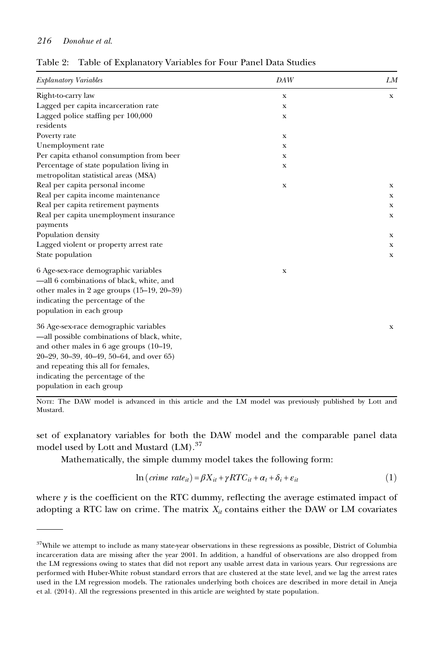| Explanatory Variables                        | DAW | LM |
|----------------------------------------------|-----|----|
| Right-to-carry law                           | X   | x  |
| Lagged per capita incarceration rate         | X   |    |
| Lagged police staffing per 100,000           | X   |    |
| residents                                    |     |    |
| Poverty rate                                 | X   |    |
| Unemployment rate                            | x   |    |
| Per capita ethanol consumption from beer     | X   |    |
| Percentage of state population living in     | X   |    |
| metropolitan statistical areas (MSA)         |     |    |
| Real per capita personal income              | X   | x  |
| Real per capita income maintenance           |     | X  |
| Real per capita retirement payments          |     | x  |
| Real per capita unemployment insurance       |     | x  |
| payments                                     |     |    |
| Population density                           |     | x  |
| Lagged violent or property arrest rate       |     | x  |
| State population                             |     | x  |
| 6 Age-sex-race demographic variables         | X   |    |
| -all 6 combinations of black, white, and     |     |    |
| other males in 2 age groups $(15-19, 20-39)$ |     |    |
| indicating the percentage of the             |     |    |
| population in each group                     |     |    |
| 36 Age-sex-race demographic variables        |     | X  |
| -all possible combinations of black, white,  |     |    |
| and other males in 6 age groups (10-19,      |     |    |
| 20-29, 30-39, 40-49, 50-64, and over 65)     |     |    |
| and repeating this all for females,          |     |    |
| indicating the percentage of the             |     |    |
| population in each group                     |     |    |

Table 2: Table of Explanatory Variables for Four Panel Data Studies

NOTE: The DAW model is advanced in this article and the LM model was previously published by Lott and Mustard.

set of explanatory variables for both the DAW model and the comparable panel data model used by Lott and Mustard (LM).<sup>37</sup>

Mathematically, the simple dummy model takes the following form:

$$
\ln(c \text{time rate}_{it}) = \beta X_{it} + \gamma RTC_{it} + \alpha_t + \delta_i + \varepsilon_{it}
$$
\n<sup>(1)</sup>

where  $\gamma$  is the coefficient on the RTC dummy, reflecting the average estimated impact of adopting a RTC law on crime. The matrix  $X_{it}$  contains either the DAW or LM covariates

<sup>&</sup>lt;sup>37</sup>While we attempt to include as many state-year observations in these regressions as possible, District of Columbia incarceration data are missing after the year 2001. In addition, a handful of observations are also dropped from the LM regressions owing to states that did not report any usable arrest data in various years. Our regressions are performed with Huber-White robust standard errors that are clustered at the state level, and we lag the arrest rates used in the LM regression models. The rationales underlying both choices are described in more detail in Aneja et al. (2014). All the regressions presented in this article are weighted by state population.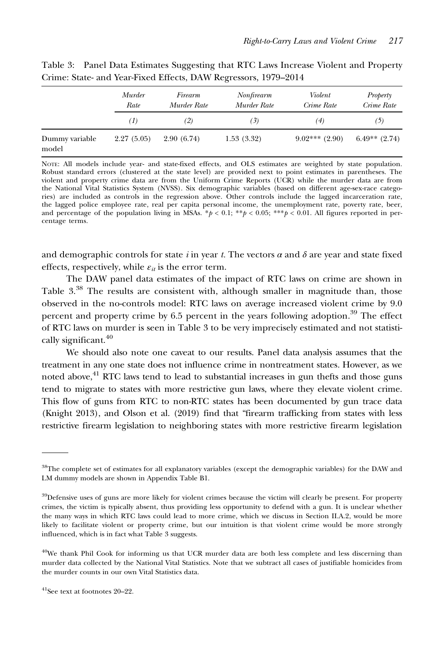|                         | Murder<br>Rate | Firearm<br>Murder Rate | Nonfirearm<br>Murder Rate | Violent<br>Crime Rate | Property<br>Crime Rate |
|-------------------------|----------------|------------------------|---------------------------|-----------------------|------------------------|
|                         | (1)            | (2)                    | (3)                       | (4)                   | (5)                    |
| Dummy variable<br>model | 2.27(5.05)     | 2.90(6.74)             | 1.53(3.32)                | $9.02***$ (2.90)      | $6.49**$ (2.74)        |

Table 3: Panel Data Estimates Suggesting that RTC Laws Increase Violent and Property Crime: State- and Year-Fixed Effects, DAW Regressors, 1979–2014

NOTE: All models include year- and state-fixed effects, and OLS estimates are weighted by state population. Robust standard errors (clustered at the state level) are provided next to point estimates in parentheses. The violent and property crime data are from the Uniform Crime Reports (UCR) while the murder data are from the National Vital Statistics System (NVSS). Six demographic variables (based on different age-sex-race categories) are included as controls in the regression above. Other controls include the lagged incarceration rate, the lagged police employee rate, real per capita personal income, the unemployment rate, poverty rate, beer, and percentage of the population living in MSAs. \* $p < 0.1$ ; \*\*p < 0.05; \*\*\*p < 0.01. All figures reported in percentage terms.

and demographic controls for state i in year t. The vectors  $\alpha$  and  $\delta$  are year and state fixed effects, respectively, while  $\varepsilon_{it}$  is the error term.

The DAW panel data estimates of the impact of RTC laws on crime are shown in Table 3.<sup>38</sup> The results are consistent with, although smaller in magnitude than, those observed in the no-controls model: RTC laws on average increased violent crime by 9.0 percent and property crime by 6.5 percent in the years following adoption.<sup>39</sup> The effect of RTC laws on murder is seen in Table 3 to be very imprecisely estimated and not statistically significant.<sup>40</sup>

We should also note one caveat to our results. Panel data analysis assumes that the treatment in any one state does not influence crime in nontreatment states. However, as we noted above,<sup>41</sup> RTC laws tend to lead to substantial increases in gun thefts and those guns tend to migrate to states with more restrictive gun laws, where they elevate violent crime. This flow of guns from RTC to non-RTC states has been documented by gun trace data (Knight 2013), and Olson et al. (2019) find that "firearm trafficking from states with less restrictive firearm legislation to neighboring states with more restrictive firearm legislation

<sup>38</sup>The complete set of estimates for all explanatory variables (except the demographic variables) for the DAW and LM dummy models are shown in Appendix Table B1.

<sup>&</sup>lt;sup>39</sup>Defensive uses of guns are more likely for violent crimes because the victim will clearly be present. For property crimes, the victim is typically absent, thus providing less opportunity to defend with a gun. It is unclear whether the many ways in which RTC laws could lead to more crime, which we discuss in Section II.A.2, would be more likely to facilitate violent or property crime, but our intuition is that violent crime would be more strongly influenced, which is in fact what Table 3 suggests.

 $40$ We thank Phil Cook for informing us that UCR murder data are both less complete and less discerning than murder data collected by the National Vital Statistics. Note that we subtract all cases of justifiable homicides from the murder counts in our own Vital Statistics data.

 $41$ See text at footnotes 20–22.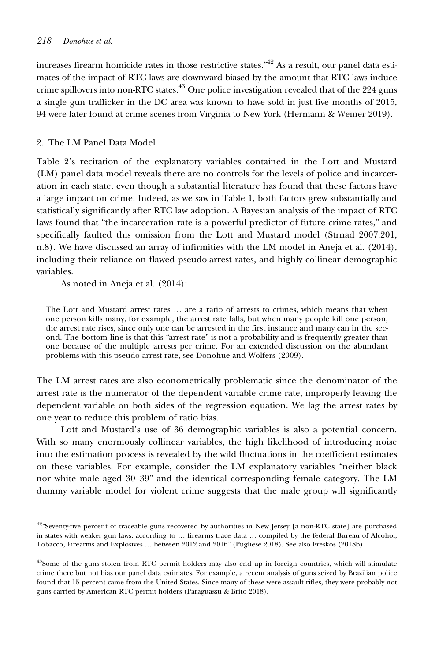increases firearm homicide rates in those restrictive states. $142$  As a result, our panel data estimates of the impact of RTC laws are downward biased by the amount that RTC laws induce crime spillovers into non-RTC states.<sup>43</sup> One police investigation revealed that of the 224 guns a single gun trafficker in the DC area was known to have sold in just five months of 2015, 94 were later found at crime scenes from Virginia to New York (Hermann & Weiner 2019).

#### 2. The LM Panel Data Model

Table 2's recitation of the explanatory variables contained in the Lott and Mustard (LM) panel data model reveals there are no controls for the levels of police and incarceration in each state, even though a substantial literature has found that these factors have a large impact on crime. Indeed, as we saw in Table 1, both factors grew substantially and statistically significantly after RTC law adoption. A Bayesian analysis of the impact of RTC laws found that "the incarceration rate is a powerful predictor of future crime rates," and specifically faulted this omission from the Lott and Mustard model (Strnad 2007:201, n.8). We have discussed an array of infirmities with the LM model in Aneja et al. (2014), including their reliance on flawed pseudo-arrest rates, and highly collinear demographic variables.

As noted in Aneja et al. (2014):

The Lott and Mustard arrest rates … are a ratio of arrests to crimes, which means that when one person kills many, for example, the arrest rate falls, but when many people kill one person, the arrest rate rises, since only one can be arrested in the first instance and many can in the second. The bottom line is that this "arrest rate" is not a probability and is frequently greater than one because of the multiple arrests per crime. For an extended discussion on the abundant problems with this pseudo arrest rate, see Donohue and Wolfers (2009).

The LM arrest rates are also econometrically problematic since the denominator of the arrest rate is the numerator of the dependent variable crime rate, improperly leaving the dependent variable on both sides of the regression equation. We lag the arrest rates by one year to reduce this problem of ratio bias.

Lott and Mustard's use of 36 demographic variables is also a potential concern. With so many enormously collinear variables, the high likelihood of introducing noise into the estimation process is revealed by the wild fluctuations in the coefficient estimates on these variables. For example, consider the LM explanatory variables "neither black nor white male aged 30–39" and the identical corresponding female category. The LM dummy variable model for violent crime suggests that the male group will significantly

 $42^{\circ}$ Seventy-five percent of traceable guns recovered by authorities in New Jersey [a non-RTC state] are purchased in states with weaker gun laws, according to … firearms trace data … compiled by the federal Bureau of Alcohol, Tobacco, Firearms and Explosives … between 2012 and 2016" (Pugliese 2018). See also Freskos (2018b).

<sup>&</sup>lt;sup>43</sup>Some of the guns stolen from RTC permit holders may also end up in foreign countries, which will stimulate crime there but not bias our panel data estimates. For example, a recent analysis of guns seized by Brazilian police found that 15 percent came from the United States. Since many of these were assault rifles, they were probably not guns carried by American RTC permit holders (Paraguassu & Brito 2018).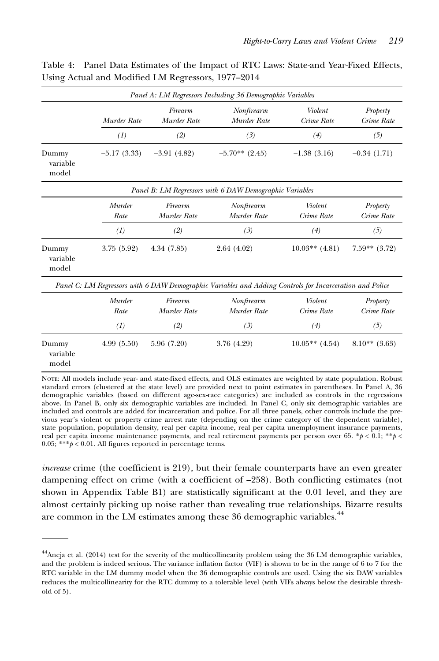|                            |                |                        | Panel A: LM Regressors Including 36 Demographic Variables                                                |                       |                        |
|----------------------------|----------------|------------------------|----------------------------------------------------------------------------------------------------------|-----------------------|------------------------|
|                            | Murder Rate    | Firearm<br>Murder Rate | Nonfirearm<br>Murder Rate                                                                                | Violent<br>Crime Rate | Property<br>Crime Rate |
|                            | (1)            | (2)                    | (3)                                                                                                      | (4)                   | (5)                    |
| Dummy<br>variable<br>model | $-5.17(3.33)$  | $-3.91(4.82)$          | $-5.70**$ (2.45)                                                                                         | $-1.38(3.16)$         | $-0.34(1.71)$          |
|                            |                |                        | Panel B: LM Regressors with 6 DAW Demographic Variables                                                  |                       |                        |
|                            | Murder<br>Rate | Firearm<br>Murder Rate | Nonfirearm<br>Murder Rate                                                                                | Violent<br>Crime Rate | Property<br>Crime Rate |
|                            | (1)            | (2)                    | (3)                                                                                                      | (4)                   | (5)                    |
| Dummy<br>variable<br>model | 3.75 (5.92)    | 4.34(7.85)             | 2.64(4.02)                                                                                               | $10.03**$ (4.81)      | $7.59**$ $(3.72)$      |
|                            |                |                        | Panel C: LM Regressors with 6 DAW Demographic Variables and Adding Controls for Incarceration and Police |                       |                        |
|                            | Murder<br>Rate | Firearm<br>Murder Rate | Nonfirearm<br>Murder Rate                                                                                | Violent<br>Crime Rate | Property<br>Crime Rate |
|                            | (1)            | (2)                    | (3)                                                                                                      | (4)                   | (5)                    |
| Dummy<br>variable<br>model | 4.99(5.50)     | 5.96 (7.20)            | 3.76 (4.29)                                                                                              | $10.05**$ (4.54)      | $8.10**$ (3.63)        |
|                            |                | $\sim$                 | $\sim$ $\sim$ $\sim$                                                                                     |                       |                        |

Table 4: Panel Data Estimates of the Impact of RTC Laws: State-and Year-Fixed Effects, Using Actual and Modified LM Regressors, 1977–2014

NOTE: All models include year- and state-fixed effects, and OLS estimates are weighted by state population. Robust standard errors (clustered at the state level) are provided next to point estimates in parentheses. In Panel A, 36 demographic variables (based on different age-sex-race categories) are included as controls in the regressions above. In Panel B, only six demographic variables are included. In Panel C, only six demographic variables are included and controls are added for incarceration and police. For all three panels, other controls include the previous year's violent or property crime arrest rate (depending on the crime category of the dependent variable), state population, population density, real per capita income, real per capita unemployment insurance payments, real per capita income maintenance payments, and real retirement payments per person over 65. \*p < 0.1; \*\*p < 0.05; \*\*\* $p < 0.01$ . All figures reported in percentage terms.

increase crime (the coefficient is 219), but their female counterparts have an even greater dampening effect on crime (with a coefficient of –258). Both conflicting estimates (not shown in Appendix Table B1) are statistically significant at the 0.01 level, and they are almost certainly picking up noise rather than revealing true relationships. Bizarre results are common in the LM estimates among these 36 demographic variables.<sup>44</sup>

 $44$ Aneja et al. (2014) test for the severity of the multicollinearity problem using the 36 LM demographic variables, and the problem is indeed serious. The variance inflation factor (VIF) is shown to be in the range of 6 to 7 for the RTC variable in the LM dummy model when the 36 demographic controls are used. Using the six DAW variables reduces the multicollinearity for the RTC dummy to a tolerable level (with VIFs always below the desirable threshold of 5).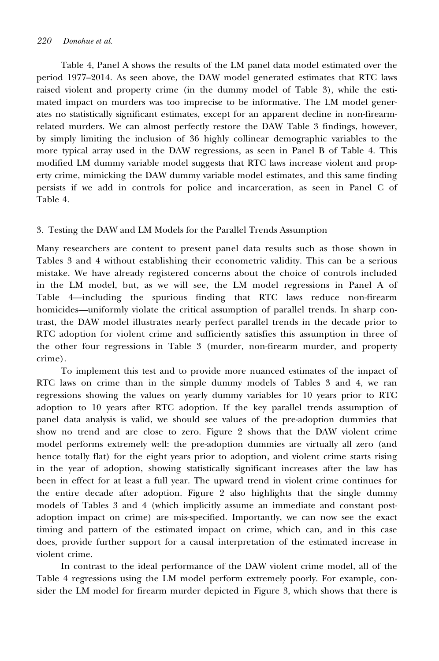Table 4, Panel A shows the results of the LM panel data model estimated over the period 1977–2014. As seen above, the DAW model generated estimates that RTC laws raised violent and property crime (in the dummy model of Table 3), while the estimated impact on murders was too imprecise to be informative. The LM model generates no statistically significant estimates, except for an apparent decline in non-firearmrelated murders. We can almost perfectly restore the DAW Table 3 findings, however, by simply limiting the inclusion of 36 highly collinear demographic variables to the more typical array used in the DAW regressions, as seen in Panel B of Table 4. This modified LM dummy variable model suggests that RTC laws increase violent and property crime, mimicking the DAW dummy variable model estimates, and this same finding persists if we add in controls for police and incarceration, as seen in Panel C of Table 4.

#### 3. Testing the DAW and LM Models for the Parallel Trends Assumption

Many researchers are content to present panel data results such as those shown in Tables 3 and 4 without establishing their econometric validity. This can be a serious mistake. We have already registered concerns about the choice of controls included in the LM model, but, as we will see, the LM model regressions in Panel A of Table 4—including the spurious finding that RTC laws reduce non-firearm homicides—uniformly violate the critical assumption of parallel trends. In sharp contrast, the DAW model illustrates nearly perfect parallel trends in the decade prior to RTC adoption for violent crime and sufficiently satisfies this assumption in three of the other four regressions in Table 3 (murder, non-firearm murder, and property crime).

To implement this test and to provide more nuanced estimates of the impact of RTC laws on crime than in the simple dummy models of Tables 3 and 4, we ran regressions showing the values on yearly dummy variables for 10 years prior to RTC adoption to 10 years after RTC adoption. If the key parallel trends assumption of panel data analysis is valid, we should see values of the pre-adoption dummies that show no trend and are close to zero. Figure 2 shows that the DAW violent crime model performs extremely well: the pre-adoption dummies are virtually all zero (and hence totally flat) for the eight years prior to adoption, and violent crime starts rising in the year of adoption, showing statistically significant increases after the law has been in effect for at least a full year. The upward trend in violent crime continues for the entire decade after adoption. Figure 2 also highlights that the single dummy models of Tables 3 and 4 (which implicitly assume an immediate and constant postadoption impact on crime) are mis-specified. Importantly, we can now see the exact timing and pattern of the estimated impact on crime, which can, and in this case does, provide further support for a causal interpretation of the estimated increase in violent crime.

In contrast to the ideal performance of the DAW violent crime model, all of the Table 4 regressions using the LM model perform extremely poorly. For example, consider the LM model for firearm murder depicted in Figure 3, which shows that there is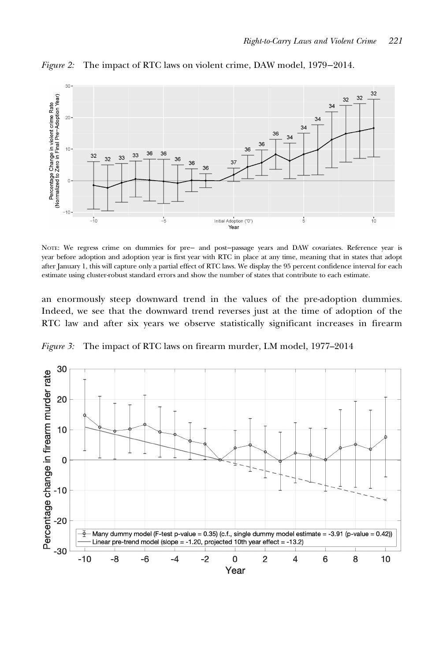

Figure 2: The impact of RTC laws on violent crime, DAW model, 1979−2014.

NOTE: We regress crime on dummies for pre− and post−passage years and DAW covariates. Reference year is year before adoption and adoption year is first year with RTC in place at any time, meaning that in states that adopt after January 1, this will capture only a partial effect of RTC laws. We display the 95 percent confidence interval for each estimate using cluster-robust standard errors and show the number of states that contribute to each estimate.

an enormously steep downward trend in the values of the pre-adoption dummies. Indeed, we see that the downward trend reverses just at the time of adoption of the RTC law and after six years we observe statistically significant increases in firearm

Figure 3: The impact of RTC laws on firearm murder, LM model, 1977–2014

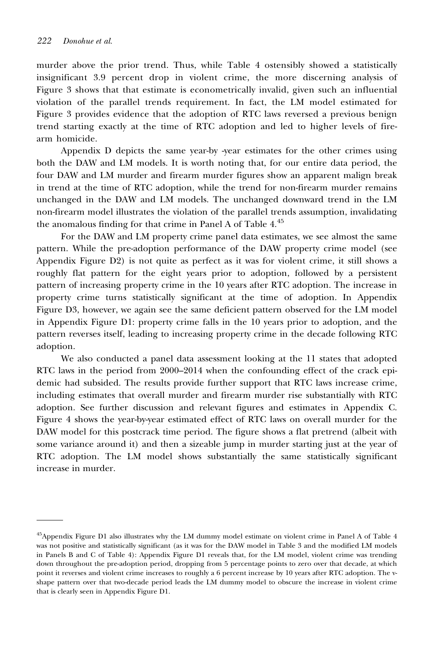murder above the prior trend. Thus, while Table 4 ostensibly showed a statistically insignificant 3.9 percent drop in violent crime, the more discerning analysis of Figure 3 shows that that estimate is econometrically invalid, given such an influential violation of the parallel trends requirement. In fact, the LM model estimated for Figure 3 provides evidence that the adoption of RTC laws reversed a previous benign trend starting exactly at the time of RTC adoption and led to higher levels of firearm homicide.

Appendix D depicts the same year-by -year estimates for the other crimes using both the DAW and LM models. It is worth noting that, for our entire data period, the four DAW and LM murder and firearm murder figures show an apparent malign break in trend at the time of RTC adoption, while the trend for non-firearm murder remains unchanged in the DAW and LM models. The unchanged downward trend in the LM non-firearm model illustrates the violation of the parallel trends assumption, invalidating the anomalous finding for that crime in Panel A of Table  $4<sup>45</sup>$ 

For the DAW and LM property crime panel data estimates, we see almost the same pattern. While the pre-adoption performance of the DAW property crime model (see Appendix Figure D2) is not quite as perfect as it was for violent crime, it still shows a roughly flat pattern for the eight years prior to adoption, followed by a persistent pattern of increasing property crime in the 10 years after RTC adoption. The increase in property crime turns statistically significant at the time of adoption. In Appendix Figure D3, however, we again see the same deficient pattern observed for the LM model in Appendix Figure D1: property crime falls in the 10 years prior to adoption, and the pattern reverses itself, leading to increasing property crime in the decade following RTC adoption.

We also conducted a panel data assessment looking at the 11 states that adopted RTC laws in the period from 2000–2014 when the confounding effect of the crack epidemic had subsided. The results provide further support that RTC laws increase crime, including estimates that overall murder and firearm murder rise substantially with RTC adoption. See further discussion and relevant figures and estimates in Appendix C. Figure 4 shows the year-by-year estimated effect of RTC laws on overall murder for the DAW model for this postcrack time period. The figure shows a flat pretrend (albeit with some variance around it) and then a sizeable jump in murder starting just at the year of RTC adoption. The LM model shows substantially the same statistically significant increase in murder.

<sup>&</sup>lt;sup>45</sup>Appendix Figure D1 also illustrates why the LM dummy model estimate on violent crime in Panel A of Table 4 was not positive and statistically significant (as it was for the DAW model in Table 3 and the modified LM models in Panels B and C of Table 4): Appendix Figure D1 reveals that, for the LM model, violent crime was trending down throughout the pre-adoption period, dropping from 5 percentage points to zero over that decade, at which point it reverses and violent crime increases to roughly a 6 percent increase by 10 years after RTC adoption. The vshape pattern over that two-decade period leads the LM dummy model to obscure the increase in violent crime that is clearly seen in Appendix Figure D1.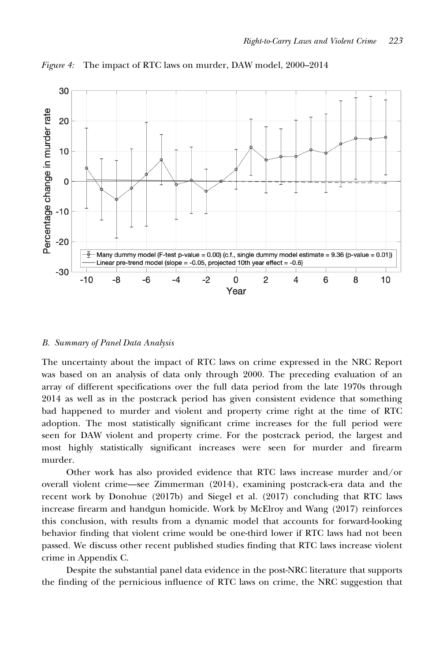

Figure 4: The impact of RTC laws on murder, DAW model, 2000–2014

#### B. Summary of Panel Data Analysis

The uncertainty about the impact of RTC laws on crime expressed in the NRC Report was based on an analysis of data only through 2000. The preceding evaluation of an array of different specifications over the full data period from the late 1970s through 2014 as well as in the postcrack period has given consistent evidence that something bad happened to murder and violent and property crime right at the time of RTC adoption. The most statistically significant crime increases for the full period were seen for DAW violent and property crime. For the postcrack period, the largest and most highly statistically significant increases were seen for murder and firearm murder.

Other work has also provided evidence that RTC laws increase murder and/or overall violent crime—see Zimmerman (2014), examining postcrack-era data and the recent work by Donohue (2017b) and Siegel et al. (2017) concluding that RTC laws increase firearm and handgun homicide. Work by McElroy and Wang (2017) reinforces this conclusion, with results from a dynamic model that accounts for forward-looking behavior finding that violent crime would be one-third lower if RTC laws had not been passed. We discuss other recent published studies finding that RTC laws increase violent crime in Appendix C.

Despite the substantial panel data evidence in the post-NRC literature that supports the finding of the pernicious influence of RTC laws on crime, the NRC suggestion that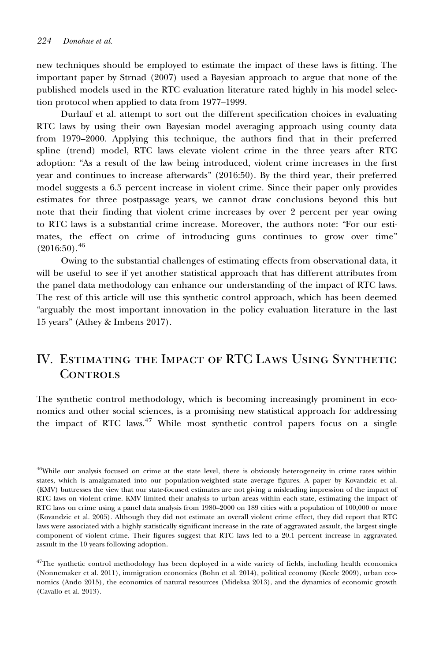new techniques should be employed to estimate the impact of these laws is fitting. The important paper by Strnad (2007) used a Bayesian approach to argue that none of the published models used in the RTC evaluation literature rated highly in his model selection protocol when applied to data from 1977–1999.

Durlauf et al. attempt to sort out the different specification choices in evaluating RTC laws by using their own Bayesian model averaging approach using county data from 1979–2000. Applying this technique, the authors find that in their preferred spline (trend) model, RTC laws elevate violent crime in the three years after RTC adoption: "As a result of the law being introduced, violent crime increases in the first year and continues to increase afterwards" (2016:50). By the third year, their preferred model suggests a 6.5 percent increase in violent crime. Since their paper only provides estimates for three postpassage years, we cannot draw conclusions beyond this but note that their finding that violent crime increases by over 2 percent per year owing to RTC laws is a substantial crime increase. Moreover, the authors note: "For our estimates, the effect on crime of introducing guns continues to grow over time"  $(2016:50).$ <sup>46</sup>

Owing to the substantial challenges of estimating effects from observational data, it will be useful to see if yet another statistical approach that has different attributes from the panel data methodology can enhance our understanding of the impact of RTC laws. The rest of this article will use this synthetic control approach, which has been deemed "arguably the most important innovation in the policy evaluation literature in the last 15 years" (Athey & Imbens 2017).

## IV. Estimating the Impact of RTC Laws Using Synthetic CONTROLS

The synthetic control methodology, which is becoming increasingly prominent in economics and other social sciences, is a promising new statistical approach for addressing the impact of RTC laws.<sup>47</sup> While most synthetic control papers focus on a single

<sup>&</sup>lt;sup>46</sup>While our analysis focused on crime at the state level, there is obviously heterogeneity in crime rates within states, which is amalgamated into our population-weighted state average figures. A paper by Kovandzic et al. (KMV) buttresses the view that our state-focused estimates are not giving a misleading impression of the impact of RTC laws on violent crime. KMV limited their analysis to urban areas within each state, estimating the impact of RTC laws on crime using a panel data analysis from 1980–2000 on 189 cities with a population of 100,000 or more (Kovandzic et al. 2005). Although they did not estimate an overall violent crime effect, they did report that RTC laws were associated with a highly statistically significant increase in the rate of aggravated assault, the largest single component of violent crime. Their figures suggest that RTC laws led to a 20.1 percent increase in aggravated assault in the 10 years following adoption.

<sup>&</sup>lt;sup>47</sup>The synthetic control methodology has been deployed in a wide variety of fields, including health economics (Nonnemaker et al. 2011), immigration economics (Bohn et al. 2014), political economy (Keele 2009), urban economics (Ando 2015), the economics of natural resources (Mideksa 2013), and the dynamics of economic growth (Cavallo et al. 2013).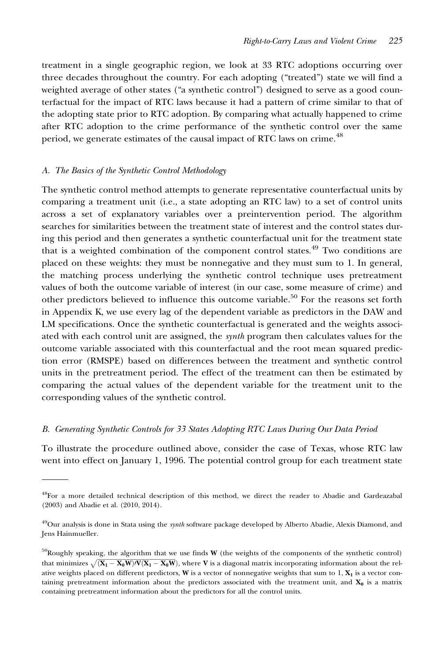treatment in a single geographic region, we look at 33 RTC adoptions occurring over three decades throughout the country. For each adopting ("treated") state we will find a weighted average of other states ("a synthetic control") designed to serve as a good counterfactual for the impact of RTC laws because it had a pattern of crime similar to that of the adopting state prior to RTC adoption. By comparing what actually happened to crime after RTC adoption to the crime performance of the synthetic control over the same period, we generate estimates of the causal impact of RTC laws on crime.<sup>48</sup>

#### A. The Basics of the Synthetic Control Methodology

The synthetic control method attempts to generate representative counterfactual units by comparing a treatment unit (i.e., a state adopting an RTC law) to a set of control units across a set of explanatory variables over a preintervention period. The algorithm searches for similarities between the treatment state of interest and the control states during this period and then generates a synthetic counterfactual unit for the treatment state that is a weighted combination of the component control states.<sup>49</sup> Two conditions are placed on these weights: they must be nonnegative and they must sum to 1. In general, the matching process underlying the synthetic control technique uses pretreatment values of both the outcome variable of interest (in our case, some measure of crime) and other predictors believed to influence this outcome variable.<sup>50</sup> For the reasons set forth in Appendix K, we use every lag of the dependent variable as predictors in the DAW and LM specifications. Once the synthetic counterfactual is generated and the weights associated with each control unit are assigned, the synth program then calculates values for the outcome variable associated with this counterfactual and the root mean squared prediction error (RMSPE) based on differences between the treatment and synthetic control units in the pretreatment period. The effect of the treatment can then be estimated by comparing the actual values of the dependent variable for the treatment unit to the corresponding values of the synthetic control.

#### B. Generating Synthetic Controls for 33 States Adopting RTC Laws During Our Data Period

To illustrate the procedure outlined above, consider the case of Texas, whose RTC law went into effect on January 1, 1996. The potential control group for each treatment state

<sup>48</sup>For a more detailed technical description of this method, we direct the reader to Abadie and Gardeazabal (2003) and Abadie et al. (2010, 2014).

<sup>&</sup>lt;sup>49</sup>Our analysis is done in Stata using the *synth* software package developed by Alberto Abadie, Alexis Diamond, and Jens Hainmueller.

 $50$ Roughly speaking, the algorithm that we use finds W (the weights of the components of the synthetic control) that minimizes  $\sqrt{(X_1 - X_0 W) / V(X_1 - X_0 W)}$ , where V is a diagonal matrix incorporating information about the relative weights placed on different predictors,  $W$  is a vector of nonnegative weights that sum to  $1, X<sub>1</sub>$  is a vector containing pretreatment information about the predictors associated with the treatment unit, and  $X_0$  is a matrix containing pretreatment information about the predictors for all the control units.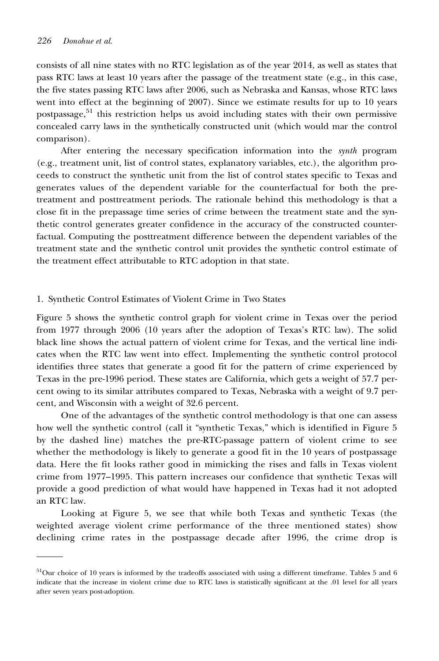consists of all nine states with no RTC legislation as of the year 2014, as well as states that pass RTC laws at least 10 years after the passage of the treatment state (e.g., in this case, the five states passing RTC laws after 2006, such as Nebraska and Kansas, whose RTC laws went into effect at the beginning of 2007). Since we estimate results for up to 10 years postpassage,<sup>51</sup> this restriction helps us avoid including states with their own permissive concealed carry laws in the synthetically constructed unit (which would mar the control comparison).

After entering the necessary specification information into the synth program (e.g., treatment unit, list of control states, explanatory variables, etc.), the algorithm proceeds to construct the synthetic unit from the list of control states specific to Texas and generates values of the dependent variable for the counterfactual for both the pretreatment and posttreatment periods. The rationale behind this methodology is that a close fit in the prepassage time series of crime between the treatment state and the synthetic control generates greater confidence in the accuracy of the constructed counterfactual. Computing the posttreatment difference between the dependent variables of the treatment state and the synthetic control unit provides the synthetic control estimate of the treatment effect attributable to RTC adoption in that state.

#### 1. Synthetic Control Estimates of Violent Crime in Two States

Figure 5 shows the synthetic control graph for violent crime in Texas over the period from 1977 through 2006 (10 years after the adoption of Texas's RTC law). The solid black line shows the actual pattern of violent crime for Texas, and the vertical line indicates when the RTC law went into effect. Implementing the synthetic control protocol identifies three states that generate a good fit for the pattern of crime experienced by Texas in the pre-1996 period. These states are California, which gets a weight of 57.7 percent owing to its similar attributes compared to Texas, Nebraska with a weight of 9.7 percent, and Wisconsin with a weight of 32.6 percent.

One of the advantages of the synthetic control methodology is that one can assess how well the synthetic control (call it "synthetic Texas," which is identified in Figure 5 by the dashed line) matches the pre-RTC-passage pattern of violent crime to see whether the methodology is likely to generate a good fit in the 10 years of postpassage data. Here the fit looks rather good in mimicking the rises and falls in Texas violent crime from 1977–1995. This pattern increases our confidence that synthetic Texas will provide a good prediction of what would have happened in Texas had it not adopted an RTC law.

Looking at Figure 5, we see that while both Texas and synthetic Texas (the weighted average violent crime performance of the three mentioned states) show declining crime rates in the postpassage decade after 1996, the crime drop is

 $51$ Our choice of 10 years is informed by the tradeoffs associated with using a different timeframe. Tables 5 and 6 indicate that the increase in violent crime due to RTC laws is statistically significant at the .01 level for all years after seven years post-adoption.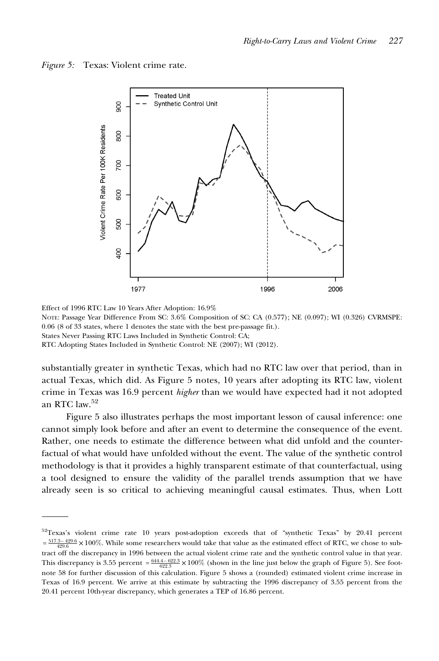



Effect of 1996 RTC Law 10 Years After Adoption: 16.9% NOTE: Passage Year Difference From SC: 3.6% Composition of SC: CA (0.577); NE (0.097); WI (0.326) CVRMSPE:

0.06 (8 of 33 states, where 1 denotes the state with the best pre-passage fit.).

States Never Passing RTC Laws Included in Synthetic Control: CA;

RTC Adopting States Included in Synthetic Control: NE (2007); WI (2012).

substantially greater in synthetic Texas, which had no RTC law over that period, than in actual Texas, which did. As Figure 5 notes, 10 years after adopting its RTC law, violent crime in Texas was 16.9 percent higher than we would have expected had it not adopted an RTC law.<sup>52</sup>

Figure 5 also illustrates perhaps the most important lesson of causal inference: one cannot simply look before and after an event to determine the consequence of the event. Rather, one needs to estimate the difference between what did unfold and the counterfactual of what would have unfolded without the event. The value of the synthetic control methodology is that it provides a highly transparent estimate of that counterfactual, using a tool designed to ensure the validity of the parallel trends assumption that we have already seen is so critical to achieving meaningful causal estimates. Thus, when Lott

<sup>52</sup>Texas's violent crime rate 10 years post-adoption exceeds that of "synthetic Texas" by 20.41 percent  $=\frac{5173-429.6}{429.6}$  × 100%. While some researchers would take that value as the estimated effect of RTC, we chose to subtract off the discrepancy in 1996 between the actual violent crime rate and the synthetic control value in that year. This discrepancy is 3.55 percent  $=\frac{644.4-622.3}{622.3} \times 100\%$  (shown in the line just below the graph of Figure 5). See footnote 58 for further discussion of this calculation. Figure 5 shows a (rounded) estimated violent crime increase in Texas of 16.9 percent. We arrive at this estimate by subtracting the 1996 discrepancy of 3.55 percent from the 20.41 percent 10th-year discrepancy, which generates a TEP of 16.86 percent.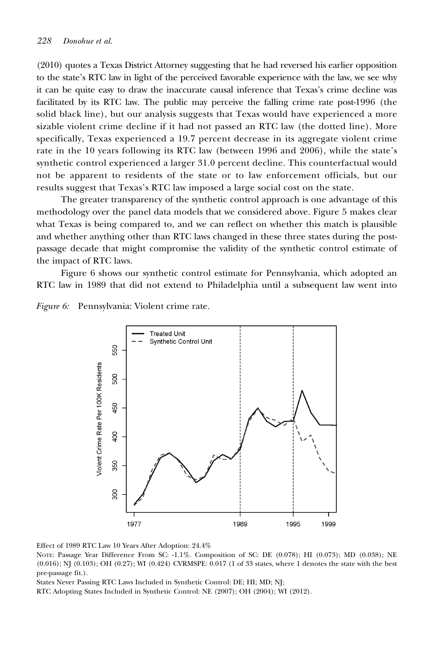(2010) quotes a Texas District Attorney suggesting that he had reversed his earlier opposition to the state's RTC law in light of the perceived favorable experience with the law, we see why it can be quite easy to draw the inaccurate causal inference that Texas's crime decline was facilitated by its RTC law. The public may perceive the falling crime rate post-1996 (the solid black line), but our analysis suggests that Texas would have experienced a more sizable violent crime decline if it had not passed an RTC law (the dotted line). More specifically, Texas experienced a 19.7 percent decrease in its aggregate violent crime rate in the 10 years following its RTC law (between 1996 and 2006), while the state's synthetic control experienced a larger 31.0 percent decline. This counterfactual would not be apparent to residents of the state or to law enforcement officials, but our results suggest that Texas's RTC law imposed a large social cost on the state.

The greater transparency of the synthetic control approach is one advantage of this methodology over the panel data models that we considered above. Figure 5 makes clear what Texas is being compared to, and we can reflect on whether this match is plausible and whether anything other than RTC laws changed in these three states during the postpassage decade that might compromise the validity of the synthetic control estimate of the impact of RTC laws.

Figure 6 shows our synthetic control estimate for Pennsylvania, which adopted an RTC law in 1989 that did not extend to Philadelphia until a subsequent law went into

Figure 6: Pennsylvania: Violent crime rate.



Effect of 1989 RTC Law 10 Years After Adoption: 24.4%

NOTE: Passage Year Difference From SC: -1.1%. Composition of SC: DE (0.078); HI (0.073); MD (0.038); NE (0.016); NJ (0.103); OH (0.27); WI (0.424) CVRMSPE: 0.017 (1 of 33 states, where 1 denotes the state with the best pre-passage fit.).

States Never Passing RTC Laws Included in Synthetic Control: DE; HI; MD; NJ;

RTC Adopting States Included in Synthetic Control: NE (2007); OH (2004); WI (2012).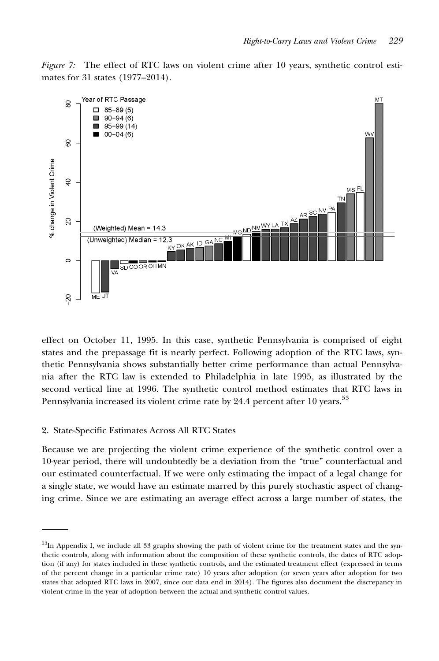



effect on October 11, 1995. In this case, synthetic Pennsylvania is comprised of eight states and the prepassage fit is nearly perfect. Following adoption of the RTC laws, synthetic Pennsylvania shows substantially better crime performance than actual Pennsylvania after the RTC law is extended to Philadelphia in late 1995, as illustrated by the second vertical line at 1996. The synthetic control method estimates that RTC laws in Pennsylvania increased its violent crime rate by 24.4 percent after 10 years.<sup>53</sup>

#### 2. State-Specific Estimates Across All RTC States

Because we are projecting the violent crime experience of the synthetic control over a 10-year period, there will undoubtedly be a deviation from the "true" counterfactual and our estimated counterfactual. If we were only estimating the impact of a legal change for a single state, we would have an estimate marred by this purely stochastic aspect of changing crime. Since we are estimating an average effect across a large number of states, the

 $53$ In Appendix I, we include all 33 graphs showing the path of violent crime for the treatment states and the synthetic controls, along with information about the composition of these synthetic controls, the dates of RTC adoption (if any) for states included in these synthetic controls, and the estimated treatment effect (expressed in terms of the percent change in a particular crime rate) 10 years after adoption (or seven years after adoption for two states that adopted RTC laws in 2007, since our data end in 2014). The figures also document the discrepancy in violent crime in the year of adoption between the actual and synthetic control values.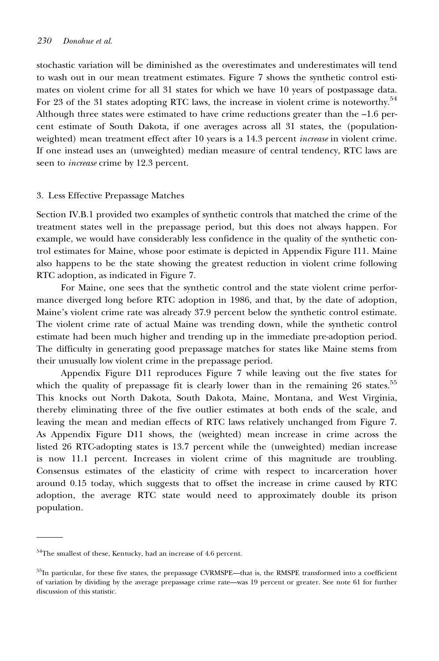stochastic variation will be diminished as the overestimates and underestimates will tend to wash out in our mean treatment estimates. Figure 7 shows the synthetic control estimates on violent crime for all 31 states for which we have 10 years of postpassage data. For 23 of the 31 states adopting RTC laws, the increase in violent crime is noteworthy.<sup>54</sup> Although three states were estimated to have crime reductions greater than the –1.6 percent estimate of South Dakota, if one averages across all 31 states, the (populationweighted) mean treatment effect after 10 years is a 14.3 percent *increase* in violent crime. If one instead uses an (unweighted) median measure of central tendency, RTC laws are seen to increase crime by 12.3 percent.

#### 3. Less Effective Prepassage Matches

Section IV.B.1 provided two examples of synthetic controls that matched the crime of the treatment states well in the prepassage period, but this does not always happen. For example, we would have considerably less confidence in the quality of the synthetic control estimates for Maine, whose poor estimate is depicted in Appendix Figure I11. Maine also happens to be the state showing the greatest reduction in violent crime following RTC adoption, as indicated in Figure 7.

For Maine, one sees that the synthetic control and the state violent crime performance diverged long before RTC adoption in 1986, and that, by the date of adoption, Maine's violent crime rate was already 37.9 percent below the synthetic control estimate. The violent crime rate of actual Maine was trending down, while the synthetic control estimate had been much higher and trending up in the immediate pre-adoption period. The difficulty in generating good prepassage matches for states like Maine stems from their unusually low violent crime in the prepassage period.

Appendix Figure D11 reproduces Figure 7 while leaving out the five states for which the quality of prepassage fit is clearly lower than in the remaining 26 states.<sup>55</sup> This knocks out North Dakota, South Dakota, Maine, Montana, and West Virginia, thereby eliminating three of the five outlier estimates at both ends of the scale, and leaving the mean and median effects of RTC laws relatively unchanged from Figure 7. As Appendix Figure D11 shows, the (weighted) mean increase in crime across the listed 26 RTC-adopting states is 13.7 percent while the (unweighted) median increase is now 11.1 percent. Increases in violent crime of this magnitude are troubling. Consensus estimates of the elasticity of crime with respect to incarceration hover around 0.15 today, which suggests that to offset the increase in crime caused by RTC adoption, the average RTC state would need to approximately double its prison population.

<sup>54</sup>The smallest of these, Kentucky, had an increase of 4.6 percent.

<sup>&</sup>lt;sup>55</sup>In particular, for these five states, the prepassage CVRMSPE—that is, the RMSPE transformed into a coefficient of variation by dividing by the average prepassage crime rate—was 19 percent or greater. See note 61 for further discussion of this statistic.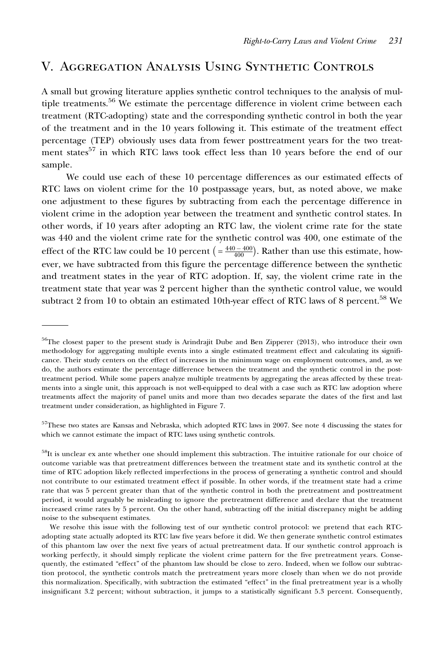## V. Aggregation Analysis Using Synthetic Controls

A small but growing literature applies synthetic control techniques to the analysis of multiple treatments.<sup>56</sup> We estimate the percentage difference in violent crime between each treatment (RTC-adopting) state and the corresponding synthetic control in both the year of the treatment and in the 10 years following it. This estimate of the treatment effect percentage (TEP) obviously uses data from fewer posttreatment years for the two treatment states<sup>57</sup> in which RTC laws took effect less than 10 years before the end of our sample.

We could use each of these 10 percentage differences as our estimated effects of RTC laws on violent crime for the 10 postpassage years, but, as noted above, we make one adjustment to these figures by subtracting from each the percentage difference in violent crime in the adoption year between the treatment and synthetic control states. In other words, if 10 years after adopting an RTC law, the violent crime rate for the state was 440 and the violent crime rate for the synthetic control was 400, one estimate of the effect of the RTC law could be 10 percent  $\left( = \frac{440 - 400}{400} \right)$ . Rather than use this estimate, however, we have subtracted from this figure the percentage difference between the synthetic and treatment states in the year of RTC adoption. If, say, the violent crime rate in the treatment state that year was 2 percent higher than the synthetic control value, we would subtract 2 from 10 to obtain an estimated 10th-year effect of RTC laws of 8 percent.<sup>58</sup> We

<sup>&</sup>lt;sup>56</sup>The closest paper to the present study is Arindrajit Dube and Ben Zipperer (2013), who introduce their own methodology for aggregating multiple events into a single estimated treatment effect and calculating its significance. Their study centers on the effect of increases in the minimum wage on employment outcomes, and, as we do, the authors estimate the percentage difference between the treatment and the synthetic control in the posttreatment period. While some papers analyze multiple treatments by aggregating the areas affected by these treatments into a single unit, this approach is not well-equipped to deal with a case such as RTC law adoption where treatments affect the majority of panel units and more than two decades separate the dates of the first and last treatment under consideration, as highlighted in Figure 7.

<sup>&</sup>lt;sup>57</sup>These two states are Kansas and Nebraska, which adopted RTC laws in 2007. See note 4 discussing the states for which we cannot estimate the impact of RTC laws using synthetic controls.

<sup>&</sup>lt;sup>58</sup>It is unclear ex ante whether one should implement this subtraction. The intuitive rationale for our choice of outcome variable was that pretreatment differences between the treatment state and its synthetic control at the time of RTC adoption likely reflected imperfections in the process of generating a synthetic control and should not contribute to our estimated treatment effect if possible. In other words, if the treatment state had a crime rate that was 5 percent greater than that of the synthetic control in both the pretreatment and posttreatment period, it would arguably be misleading to ignore the pretreatment difference and declare that the treatment increased crime rates by 5 percent. On the other hand, subtracting off the initial discrepancy might be adding noise to the subsequent estimates.

We resolve this issue with the following test of our synthetic control protocol: we pretend that each RTCadopting state actually adopted its RTC law five years before it did. We then generate synthetic control estimates of this phantom law over the next five years of actual pretreatment data. If our synthetic control approach is working perfectly, it should simply replicate the violent crime pattern for the five pretreatment years. Consequently, the estimated "effect" of the phantom law should be close to zero. Indeed, when we follow our subtraction protocol, the synthetic controls match the pretreatment years more closely than when we do not provide this normalization. Specifically, with subtraction the estimated "effect" in the final pretreatment year is a wholly insignificant 3.2 percent; without subtraction, it jumps to a statistically significant 5.3 percent. Consequently,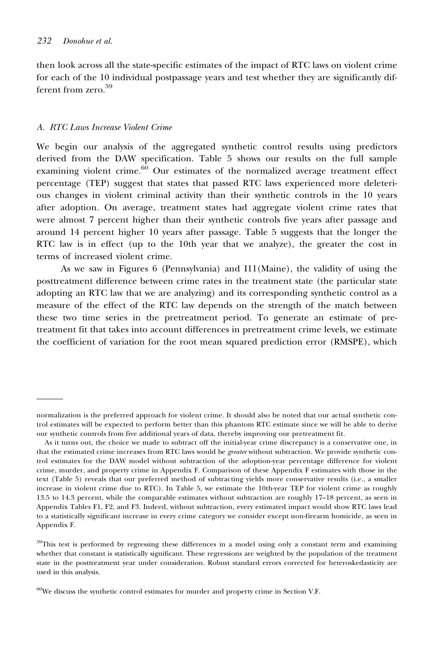then look across all the state-specific estimates of the impact of RTC laws on violent crime for each of the 10 individual postpassage years and test whether they are significantly different from zero.<sup>59</sup>

#### A. RTC Laws Increase Violent Crime

We begin our analysis of the aggregated synthetic control results using predictors derived from the DAW specification. Table 5 shows our results on the full sample examining violent crime. $60$  Our estimates of the normalized average treatment effect percentage (TEP) suggest that states that passed RTC laws experienced more deleterious changes in violent criminal activity than their synthetic controls in the 10 years after adoption. On average, treatment states had aggregate violent crime rates that were almost 7 percent higher than their synthetic controls five years after passage and around 14 percent higher 10 years after passage. Table 5 suggests that the longer the RTC law is in effect (up to the 10th year that we analyze), the greater the cost in terms of increased violent crime.

As we saw in Figures 6 (Pennsylvania) and I11(Maine), the validity of using the posttreatment difference between crime rates in the treatment state (the particular state adopting an RTC law that we are analyzing) and its corresponding synthetic control as a measure of the effect of the RTC law depends on the strength of the match between these two time series in the pretreatment period. To generate an estimate of pretreatment fit that takes into account differences in pretreatment crime levels, we estimate the coefficient of variation for the root mean squared prediction error (RMSPE), which

normalization is the preferred approach for violent crime. It should also be noted that our actual synthetic control estimates will be expected to perform better than this phantom RTC estimate since we will be able to derive our synthetic controls from five additional years of data, thereby improving our pretreatment fit.

As it turns out, the choice we made to subtract off the initial-year crime discrepancy is a conservative one, in that the estimated crime increases from RTC laws would be *greater* without subtraction. We provide synthetic control estimates for the DAW model without subtraction of the adoption-year percentage difference for violent crime, murder, and property crime in Appendix F. Comparison of these Appendix F estimates with those in the text (Table 5) reveals that our preferred method of subtracting yields more conservative results (i.e., a smaller increase in violent crime due to RTC). In Table 5, we estimate the 10th-year TEP for violent crime as roughly 13.5 to 14.3 percent, while the comparable estimates without subtraction are roughly 17–18 percent, as seen in Appendix Tables F1, F2, and F3. Indeed, without subtraction, every estimated impact would show RTC laws lead to a statistically significant increase in every crime category we consider except non-firearm homicide, as seen in Appendix F.

<sup>&</sup>lt;sup>59</sup>This test is performed by regressing these differences in a model using only a constant term and examining whether that constant is statistically significant. These regressions are weighted by the population of the treatment state in the posttreatment year under consideration. Robust standard errors corrected for heteroskedasticity are used in this analysis.

<sup>60</sup>We discuss the synthetic control estimates for murder and property crime in Section V.F.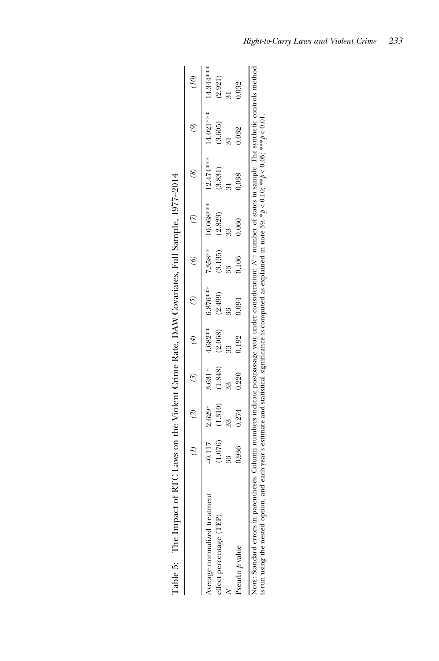|                              |           |       |                               |       |                               | (2) $(2)$ $(3)$ $(5)$ $(7)$ $(8)$ |                                                                                                              | $\mathcal{L}$ |         |
|------------------------------|-----------|-------|-------------------------------|-------|-------------------------------|-----------------------------------|--------------------------------------------------------------------------------------------------------------|---------------|---------|
| Average normalized treatment |           |       |                               |       |                               |                                   | $-0.17$ $-0.829*$ $-4.682**$ $7.858**$ $7.858***$ $72.474***$ $14.81213**$ $15.682**$ $14.844***$ $15.682**$ |               |         |
| effect percentage (TEP)      | $1.076$ ) |       | $(1.310)$ $(1.848)$ $(2.068)$ |       | $(2.499)$ $(3.135)$ $(2.823)$ |                                   | (3.831)                                                                                                      | (3.605)       | (2.921) |
|                              |           |       |                               |       |                               |                                   |                                                                                                              |               |         |
| Pseudo $p$ value             |           | 0.274 | 0.220                         | 0.094 |                               |                                   |                                                                                                              |               |         |

| l                        |
|--------------------------|
|                          |
| ì                        |
| י<br>ו                   |
|                          |
| <br> <br>                |
|                          |
|                          |
| ı                        |
|                          |
|                          |
| $\sim$ $\sim$ $\sim$     |
| $\frac{1}{2}$            |
|                          |
|                          |
|                          |
|                          |
|                          |
|                          |
|                          |
|                          |
|                          |
|                          |
|                          |
| $\ddot{ }$               |
| $\mathbf{I}$             |
| $\overline{\phantom{a}}$ |
|                          |
|                          |
|                          |
| ļ<br>l                   |
|                          |
|                          |
| :                        |
|                          |
| I                        |
|                          |
| í                        |
| i                        |
|                          |
| j                        |
| ،<br>ف                   |
|                          |
|                          |
| $\frac{1}{2}$            |
|                          |
| C C C                    |
|                          |
|                          |
| l                        |
| j                        |
|                          |
| <br> <br> <br> <br>l     |
|                          |
|                          |
|                          |
|                          |
|                          |
|                          |
| l                        |
|                          |
| יש בבבב בינו ב           |
| i                        |
|                          |
|                          |
| ì                        |
|                          |
| dina                     |
|                          |
| Toble F<br>I             |
|                          |

Right-to-Carry Laws and Violent Crime 233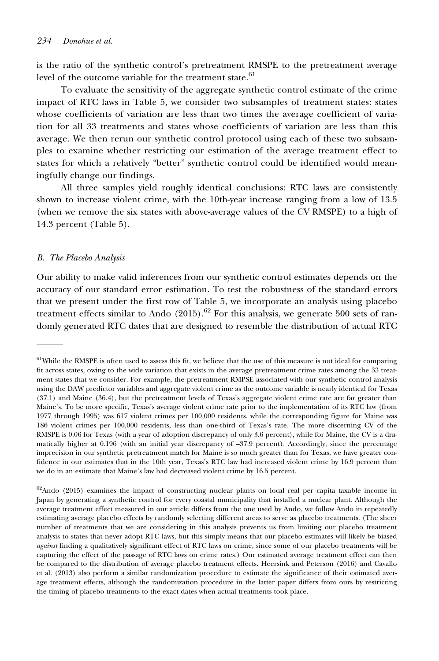is the ratio of the synthetic control's pretreatment RMSPE to the pretreatment average level of the outcome variable for the treatment state.<sup>61</sup>

To evaluate the sensitivity of the aggregate synthetic control estimate of the crime impact of RTC laws in Table 5, we consider two subsamples of treatment states: states whose coefficients of variation are less than two times the average coefficient of variation for all 33 treatments and states whose coefficients of variation are less than this average. We then rerun our synthetic control protocol using each of these two subsamples to examine whether restricting our estimation of the average treatment effect to states for which a relatively "better" synthetic control could be identified would meaningfully change our findings.

All three samples yield roughly identical conclusions: RTC laws are consistently shown to increase violent crime, with the 10th-year increase ranging from a low of 13.5 (when we remove the six states with above-average values of the CV RMSPE) to a high of 14.3 percent (Table 5).

#### B. The Placebo Analysis

Our ability to make valid inferences from our synthetic control estimates depends on the accuracy of our standard error estimation. To test the robustness of the standard errors that we present under the first row of Table 5, we incorporate an analysis using placebo treatment effects similar to Ando (2015).<sup>62</sup> For this analysis, we generate 500 sets of randomly generated RTC dates that are designed to resemble the distribution of actual RTC

<sup>&</sup>lt;sup>61</sup>While the RMSPE is often used to assess this fit, we believe that the use of this measure is not ideal for comparing fit across states, owing to the wide variation that exists in the average pretreatment crime rates among the 33 treatment states that we consider. For example, the pretreatment RMPSE associated with our synthetic control analysis using the DAW predictor variables and aggregate violent crime as the outcome variable is nearly identical for Texas (37.1) and Maine (36.4), but the pretreatment levels of Texas's aggregate violent crime rate are far greater than Maine's. To be more specific, Texas's average violent crime rate prior to the implementation of its RTC law (from 1977 through 1995) was 617 violent crimes per 100,000 residents, while the corresponding figure for Maine was 186 violent crimes per 100,000 residents, less than one-third of Texas's rate. The more discerning CV of the RMSPE is 0.06 for Texas (with a year of adoption discrepancy of only 3.6 percent), while for Maine, the CV is a dramatically higher at 0.196 (with an initial year discrepancy of –37.9 percent). Accordingly, since the percentage imprecision in our synthetic pretreatment match for Maine is so much greater than for Texas, we have greater confidence in our estimates that in the 10th year, Texas's RTC law had increased violent crime by 16.9 percent than we do in an estimate that Maine's law had decreased violent crime by 16.5 percent.

<sup>&</sup>lt;sup>62</sup>Ando (2015) examines the impact of constructing nuclear plants on local real per capita taxable income in Japan by generating a synthetic control for every coastal municipality that installed a nuclear plant. Although the average treatment effect measured in our article differs from the one used by Ando, we follow Ando in repeatedly estimating average placebo effects by randomly selecting different areas to serve as placebo treatments. (The sheer number of treatments that we are considering in this analysis prevents us from limiting our placebo treatment analysis to states that never adopt RTC laws, but this simply means that our placebo estimates will likely be biased against finding a qualitatively significant effect of RTC laws on crime, since some of our placebo treatments will be capturing the effect of the passage of RTC laws on crime rates.) Our estimated average treatment effect can then be compared to the distribution of average placebo treatment effects. Heersink and Peterson (2016) and Cavallo et al. (2013) also perform a similar randomization procedure to estimate the significance of their estimated average treatment effects, although the randomization procedure in the latter paper differs from ours by restricting the timing of placebo treatments to the exact dates when actual treatments took place.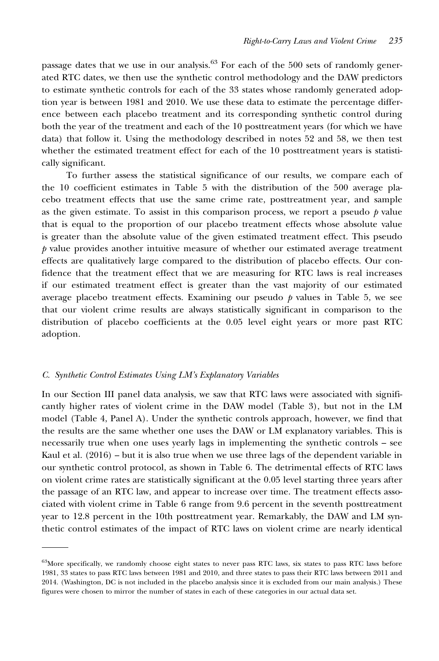passage dates that we use in our analysis.<sup>63</sup> For each of the 500 sets of randomly generated RTC dates, we then use the synthetic control methodology and the DAW predictors to estimate synthetic controls for each of the 33 states whose randomly generated adoption year is between 1981 and 2010. We use these data to estimate the percentage difference between each placebo treatment and its corresponding synthetic control during both the year of the treatment and each of the 10 posttreatment years (for which we have data) that follow it. Using the methodology described in notes 52 and 58, we then test whether the estimated treatment effect for each of the 10 posttreatment years is statistically significant.

To further assess the statistical significance of our results, we compare each of the 10 coefficient estimates in Table 5 with the distribution of the 500 average placebo treatment effects that use the same crime rate, posttreatment year, and sample as the given estimate. To assist in this comparison process, we report a pseudo  $\dot{p}$  value that is equal to the proportion of our placebo treatment effects whose absolute value is greater than the absolute value of the given estimated treatment effect. This pseudo  $\beta$  value provides another intuitive measure of whether our estimated average treatment effects are qualitatively large compared to the distribution of placebo effects. Our confidence that the treatment effect that we are measuring for RTC laws is real increases if our estimated treatment effect is greater than the vast majority of our estimated average placebo treatment effects. Examining our pseudo  *values in Table 5, we see* that our violent crime results are always statistically significant in comparison to the distribution of placebo coefficients at the 0.05 level eight years or more past RTC adoption.

#### C. Synthetic Control Estimates Using LM's Explanatory Variables

In our Section III panel data analysis, we saw that RTC laws were associated with significantly higher rates of violent crime in the DAW model (Table 3), but not in the LM model (Table 4, Panel A). Under the synthetic controls approach, however, we find that the results are the same whether one uses the DAW or LM explanatory variables. This is necessarily true when one uses yearly lags in implementing the synthetic controls – see Kaul et al.  $(2016)$  – but it is also true when we use three lags of the dependent variable in our synthetic control protocol, as shown in Table 6. The detrimental effects of RTC laws on violent crime rates are statistically significant at the 0.05 level starting three years after the passage of an RTC law, and appear to increase over time. The treatment effects associated with violent crime in Table 6 range from 9.6 percent in the seventh posttreatment year to 12.8 percent in the 10th posttreatment year. Remarkably, the DAW and LM synthetic control estimates of the impact of RTC laws on violent crime are nearly identical

<sup>&</sup>lt;sup>63</sup>More specifically, we randomly choose eight states to never pass RTC laws, six states to pass RTC laws before 1981, 33 states to pass RTC laws between 1981 and 2010, and three states to pass their RTC laws between 2011 and 2014. (Washington, DC is not included in the placebo analysis since it is excluded from our main analysis.) These figures were chosen to mirror the number of states in each of these categories in our actual data set.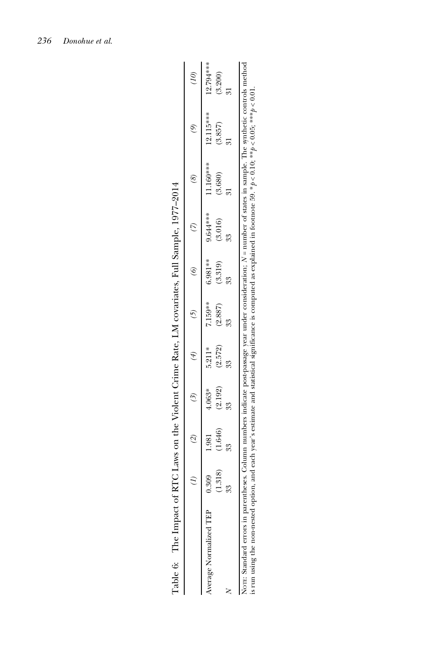|                                                      | $\widetilde{\mathcal{A}}$ | $\tilde{z}$ | $\overline{6}$ |           | $\otimes$ |           |            |
|------------------------------------------------------|---------------------------|-------------|----------------|-----------|-----------|-----------|------------|
| $4.063*$<br>1.981<br>0.309<br>Average Normalized TEP | $5.211*$                  | 7.159**     | 6.981 **       | 9.644 *** | 11.160*** | 12.115*** | 12.794 *** |
| (2.192)<br>(1.646)<br>(1.318)                        | (2.572)                   | (2.887)     | (3.319)        | (3.016)   | (3.680)   | (3.857)   | (3.200)    |
|                                                      |                           |             |                |           |           |           |            |

| l<br>l                                                                                                    |
|-----------------------------------------------------------------------------------------------------------|
| I<br>$\frac{1}{\zeta}$                                                                                    |
| l                                                                                                         |
| l<br>$\zeta$<br>ì<br>ļ<br>l                                                                               |
| ł                                                                                                         |
| ֧֧֧֧֧֧֧֧֪֪֧֚֚֚֚֚֚֚֚֚֚֚֚֚֚֚֚֚֚֚֚֚֚֚֡֝֓֝֓֝֬֝֟֓֝֬֝֬֝֓֝֬֝֬֝<br>֧֪֧֝֩֩<br>j                                    |
| ţ<br>ļ<br>i<br>֖֖֖֖ׅ֖ׅ֪ׅ֖ׅ֖ׅ֪ׅ֖֧ׅ֖ׅ֪֪ׅ֖֧ׅ֪֪ׅ֪֪֪ׅ֪ׅ֚֚֚֚֚֚֚֚֚֚֚֚֚֚֚֚֚֚֚֚֚֚֚֚֚֚֚֚֚֚֚֚֚֬֕֓֕֓֕֝֝֓֞֝֬֝֝֬֝֬<br>ı |
| i<br>l<br>;                                                                                               |
| į                                                                                                         |
| )<br>په<br>I<br>ζ<br>$\overline{\phantom{a}}$<br>l<br>l<br>I<br>֘֒<br>í<br>l                              |
| Ì<br>$\overline{\phantom{a}}$<br>i<br>j                                                                   |
| ļ<br>J<br>ţ<br>I<br>l                                                                                     |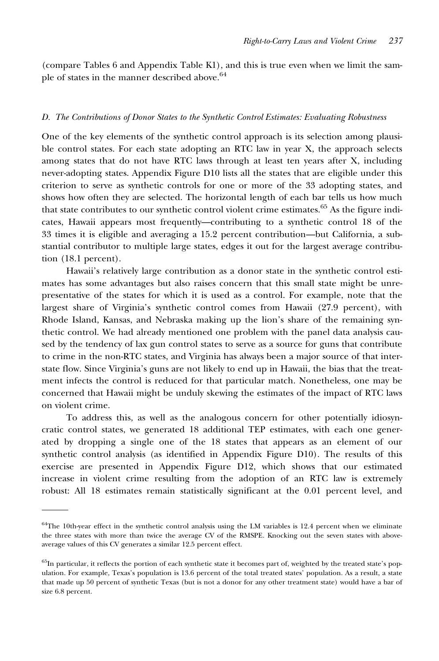(compare Tables 6 and Appendix Table K1), and this is true even when we limit the sample of states in the manner described above.<sup>64</sup>

#### D. The Contributions of Donor States to the Synthetic Control Estimates: Evaluating Robustness

One of the key elements of the synthetic control approach is its selection among plausible control states. For each state adopting an RTC law in year X, the approach selects among states that do not have RTC laws through at least ten years after X, including never-adopting states. Appendix Figure D10 lists all the states that are eligible under this criterion to serve as synthetic controls for one or more of the 33 adopting states, and shows how often they are selected. The horizontal length of each bar tells us how much that state contributes to our synthetic control violent crime estimates.65 As the figure indicates, Hawaii appears most frequently—contributing to a synthetic control 18 of the 33 times it is eligible and averaging a 15.2 percent contribution—but California, a substantial contributor to multiple large states, edges it out for the largest average contribution (18.1 percent).

Hawaii's relatively large contribution as a donor state in the synthetic control estimates has some advantages but also raises concern that this small state might be unrepresentative of the states for which it is used as a control. For example, note that the largest share of Virginia's synthetic control comes from Hawaii (27.9 percent), with Rhode Island, Kansas, and Nebraska making up the lion's share of the remaining synthetic control. We had already mentioned one problem with the panel data analysis caused by the tendency of lax gun control states to serve as a source for guns that contribute to crime in the non-RTC states, and Virginia has always been a major source of that interstate flow. Since Virginia's guns are not likely to end up in Hawaii, the bias that the treatment infects the control is reduced for that particular match. Nonetheless, one may be concerned that Hawaii might be unduly skewing the estimates of the impact of RTC laws on violent crime.

To address this, as well as the analogous concern for other potentially idiosyncratic control states, we generated 18 additional TEP estimates, with each one generated by dropping a single one of the 18 states that appears as an element of our synthetic control analysis (as identified in Appendix Figure D10). The results of this exercise are presented in Appendix Figure D12, which shows that our estimated increase in violent crime resulting from the adoption of an RTC law is extremely robust: All 18 estimates remain statistically significant at the 0.01 percent level, and

 $64$ The 10th-year effect in the synthetic control analysis using the LM variables is 12.4 percent when we eliminate the three states with more than twice the average CV of the RMSPE. Knocking out the seven states with aboveaverage values of this CV generates a similar 12.5 percent effect.

<sup>&</sup>lt;sup>65</sup>In particular, it reflects the portion of each synthetic state it becomes part of, weighted by the treated state's population. For example, Texas's population is 13.6 percent of the total treated states' population. As a result, a state that made up 50 percent of synthetic Texas (but is not a donor for any other treatment state) would have a bar of size 6.8 percent.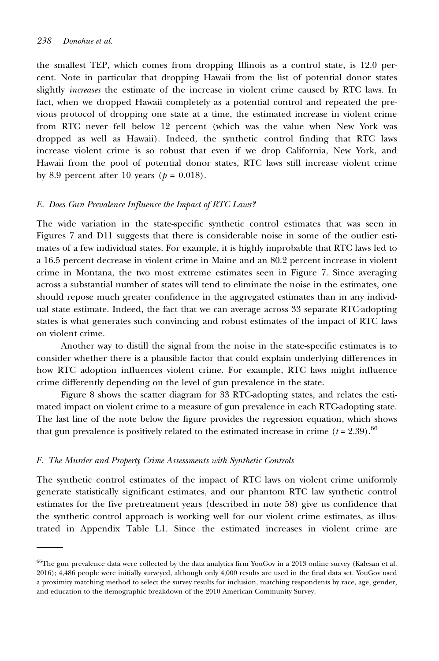the smallest TEP, which comes from dropping Illinois as a control state, is 12.0 percent. Note in particular that dropping Hawaii from the list of potential donor states slightly increases the estimate of the increase in violent crime caused by RTC laws. In fact, when we dropped Hawaii completely as a potential control and repeated the previous protocol of dropping one state at a time, the estimated increase in violent crime from RTC never fell below 12 percent (which was the value when New York was dropped as well as Hawaii). Indeed, the synthetic control finding that RTC laws increase violent crime is so robust that even if we drop California, New York, and Hawaii from the pool of potential donor states, RTC laws still increase violent crime by 8.9 percent after 10 years ( $p = 0.018$ ).

#### E. Does Gun Prevalence Influence the Impact of RTC Laws?

The wide variation in the state-specific synthetic control estimates that was seen in Figures 7 and D11 suggests that there is considerable noise in some of the outlier estimates of a few individual states. For example, it is highly improbable that RTC laws led to a 16.5 percent decrease in violent crime in Maine and an 80.2 percent increase in violent crime in Montana, the two most extreme estimates seen in Figure 7. Since averaging across a substantial number of states will tend to eliminate the noise in the estimates, one should repose much greater confidence in the aggregated estimates than in any individual state estimate. Indeed, the fact that we can average across 33 separate RTC-adopting states is what generates such convincing and robust estimates of the impact of RTC laws on violent crime.

Another way to distill the signal from the noise in the state-specific estimates is to consider whether there is a plausible factor that could explain underlying differences in how RTC adoption influences violent crime. For example, RTC laws might influence crime differently depending on the level of gun prevalence in the state.

Figure 8 shows the scatter diagram for 33 RTC-adopting states, and relates the estimated impact on violent crime to a measure of gun prevalence in each RTC-adopting state. The last line of the note below the figure provides the regression equation, which shows that gun prevalence is positively related to the estimated increase in crime ( $t = 2.39$ ).<sup>66</sup>

#### F. The Murder and Property Crime Assessments with Synthetic Controls

The synthetic control estimates of the impact of RTC laws on violent crime uniformly generate statistically significant estimates, and our phantom RTC law synthetic control estimates for the five pretreatment years (described in note 58) give us confidence that the synthetic control approach is working well for our violent crime estimates, as illustrated in Appendix Table L1. Since the estimated increases in violent crime are

<sup>&</sup>lt;sup>66</sup>The gun prevalence data were collected by the data analytics firm YouGov in a 2013 online survey (Kalesan et al. 2016); 4,486 people were initially surveyed, although only 4,000 results are used in the final data set. YouGov used a proximity matching method to select the survey results for inclusion, matching respondents by race, age, gender, and education to the demographic breakdown of the 2010 American Community Survey.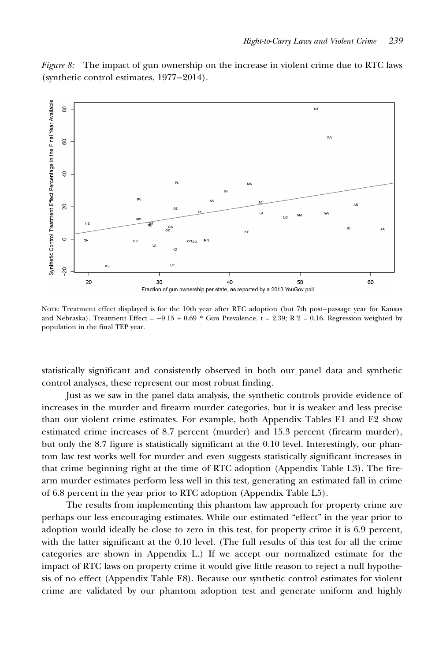Figure 8: The impact of gun ownership on the increase in violent crime due to RTC laws (synthetic control estimates, 1977−2014).



NOTE: Treatment effect displayed is for the 10th year after RTC adoption (but 7th post−passage year for Kansas and Nebraska). Treatment Effect =  $-9.15 + 0.69 *$  Gun Prevalence. t = 2.39; R 2 = 0.16. Regression weighted by population in the final TEP year.

statistically significant and consistently observed in both our panel data and synthetic control analyses, these represent our most robust finding.

Just as we saw in the panel data analysis, the synthetic controls provide evidence of increases in the murder and firearm murder categories, but it is weaker and less precise than our violent crime estimates. For example, both Appendix Tables E1 and E2 show estimated crime increases of 8.7 percent (murder) and 15.3 percent (firearm murder), but only the 8.7 figure is statistically significant at the 0.10 level. Interestingly, our phantom law test works well for murder and even suggests statistically significant increases in that crime beginning right at the time of RTC adoption (Appendix Table L3). The firearm murder estimates perform less well in this test, generating an estimated fall in crime of 6.8 percent in the year prior to RTC adoption (Appendix Table L5).

The results from implementing this phantom law approach for property crime are perhaps our less encouraging estimates. While our estimated "effect" in the year prior to adoption would ideally be close to zero in this test, for property crime it is 6.9 percent, with the latter significant at the 0.10 level. (The full results of this test for all the crime categories are shown in Appendix L.) If we accept our normalized estimate for the impact of RTC laws on property crime it would give little reason to reject a null hypothesis of no effect (Appendix Table E8). Because our synthetic control estimates for violent crime are validated by our phantom adoption test and generate uniform and highly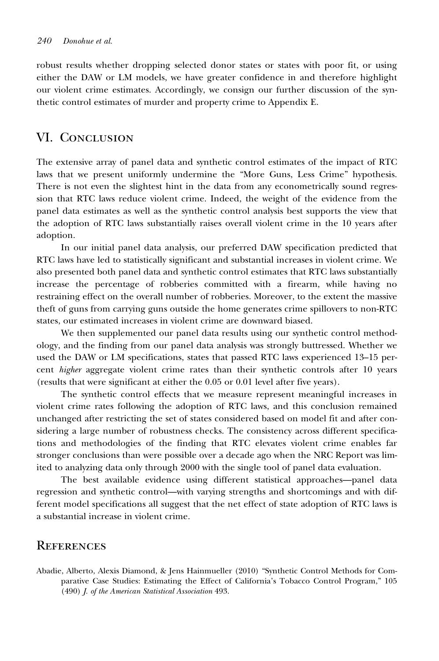robust results whether dropping selected donor states or states with poor fit, or using either the DAW or LM models, we have greater confidence in and therefore highlight our violent crime estimates. Accordingly, we consign our further discussion of the synthetic control estimates of murder and property crime to Appendix E.

### VI. Conclusion

The extensive array of panel data and synthetic control estimates of the impact of RTC laws that we present uniformly undermine the "More Guns, Less Crime" hypothesis. There is not even the slightest hint in the data from any econometrically sound regression that RTC laws reduce violent crime. Indeed, the weight of the evidence from the panel data estimates as well as the synthetic control analysis best supports the view that the adoption of RTC laws substantially raises overall violent crime in the 10 years after adoption.

In our initial panel data analysis, our preferred DAW specification predicted that RTC laws have led to statistically significant and substantial increases in violent crime. We also presented both panel data and synthetic control estimates that RTC laws substantially increase the percentage of robberies committed with a firearm, while having no restraining effect on the overall number of robberies. Moreover, to the extent the massive theft of guns from carrying guns outside the home generates crime spillovers to non-RTC states, our estimated increases in violent crime are downward biased.

We then supplemented our panel data results using our synthetic control methodology, and the finding from our panel data analysis was strongly buttressed. Whether we used the DAW or LM specifications, states that passed RTC laws experienced 13–15 percent higher aggregate violent crime rates than their synthetic controls after 10 years (results that were significant at either the 0.05 or 0.01 level after five years).

The synthetic control effects that we measure represent meaningful increases in violent crime rates following the adoption of RTC laws, and this conclusion remained unchanged after restricting the set of states considered based on model fit and after considering a large number of robustness checks. The consistency across different specifications and methodologies of the finding that RTC elevates violent crime enables far stronger conclusions than were possible over a decade ago when the NRC Report was limited to analyzing data only through 2000 with the single tool of panel data evaluation.

The best available evidence using different statistical approaches—panel data regression and synthetic control—with varying strengths and shortcomings and with different model specifications all suggest that the net effect of state adoption of RTC laws is a substantial increase in violent crime.

## **REFERENCES**

Abadie, Alberto, Alexis Diamond, & Jens Hainmueller (2010) "Synthetic Control Methods for Comparative Case Studies: Estimating the Effect of California's Tobacco Control Program," 105 (490) J. of the American Statistical Association 493.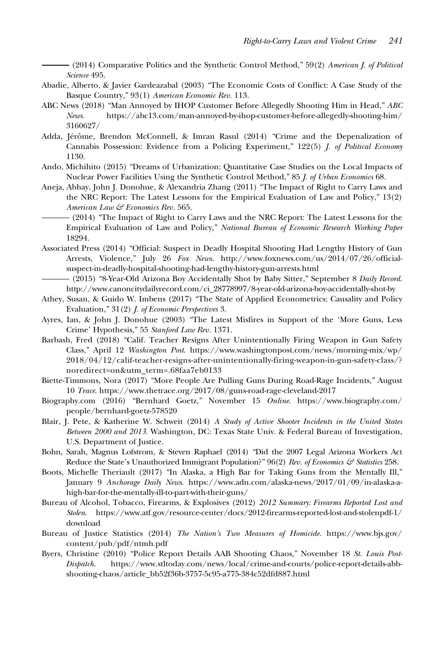(2014) Comparative Politics and the Synthetic Control Method," 59(2) American J. of Political Science 495.

- Abadie, Alberto, & Javier Gardeazabal (2003) "The Economic Costs of Conflict: A Case Study of the Basque Country," 93(1) American Economic Rev. 113.
- ABC News (2018) "Man Annoyed by IHOP Customer Before Allegedly Shooting Him in Head," ABC News. [https://abc13.com/man-annoyed-by-ihop-customer-before-allegedly-shooting-him/](https://abc13.com/man-annoyed-by-ihop-customer-before-allegedly-shooting-him/3160627/) [3160627/](https://abc13.com/man-annoyed-by-ihop-customer-before-allegedly-shooting-him/3160627/)
- Adda, Jérôme, Brendon McConnell, & Imran Rasul (2014) "Crime and the Depenalization of Cannabis Possession: Evidence from a Policing Experiment," 122(5) J. of Political Economy 1130.
- Ando, Michihito (2015) "Dreams of Urbanization: Quantitative Case Studies on the Local Impacts of Nuclear Power Facilities Using the Synthetic Control Method," 85 J. of Urban Economics 68.
- Aneja, Abhay, John J. Donohue, & Alexandria Zhang (2011) "The Impact of Right to Carry Laws and the NRC Report: The Latest Lessons for the Empirical Evaluation of Law and Policy," 13(2) American Law & Economics Rev. 565.
	- (2014) "The Impact of Right to Carry Laws and the NRC Report: The Latest Lessons for the Empirical Evaluation of Law and Policy," National Bureau of Economic Research Working Paper 18294.
- Associated Press (2014) "Official: Suspect in Deadly Hospital Shooting Had Lengthy History of Gun Arrests, Violence," July 26 Fox News. [http://www.foxnews.com/us/2014/07/26/official](http://www.foxnews.com/us/2014/07/26/official-suspect-in-deadly-hospital-shooting-had-lengthy-history-gun-arrests.html)[suspect-in-deadly-hospital-shooting-had-lengthy-history-gun-arrests.html](http://www.foxnews.com/us/2014/07/26/official-suspect-in-deadly-hospital-shooting-had-lengthy-history-gun-arrests.html)
	- (2015) "8-Year-Old Arizona Boy Accidentally Shot by Baby Sitter," September 8 Daily Record. [http://www.canoncitydailyrecord.com/ci\\_28778997/8-year-old-arizona-boy-accidentally-shot-by](http://www.canoncitydailyrecord.com/ci_28778997/8-year-old-arizona-boy-accidentally-shot-by)
- Athey, Susan, & Guido W. Imbens (2017) "The State of Applied Econometrics: Causality and Policy Evaluation," 31(2) J. of Economic Perspectives 3.
- Ayres, Ian, & John J. Donohue (2003) "The Latest Misfires in Support of the 'More Guns, Less Crime' Hypothesis," 55 Stanford Law Rev. 1371.
- Barbash, Fred (2018) "Calif. Teacher Resigns After Unintentionally Firing Weapon in Gun Safety Class," April 12 Washington Post. [https://www.washingtonpost.com/news/morning-mix/wp/](https://www.washingtonpost.com/news/morning-mix/wp/2018/04/12/calif-teacher-resigns-after-unintentionally-firing-weapon-in-gun-safety-class/?noredirect=onandutm_term=.68faa7eb0133) [2018/04/12/calif-teacher-resigns-after-unintentionally-firing-weapon-in-gun-safety-class/?](https://www.washingtonpost.com/news/morning-mix/wp/2018/04/12/calif-teacher-resigns-after-unintentionally-firing-weapon-in-gun-safety-class/?noredirect=onandutm_term=.68faa7eb0133) [noredirect=on&utm\\_term=.68faa7eb0133](https://www.washingtonpost.com/news/morning-mix/wp/2018/04/12/calif-teacher-resigns-after-unintentionally-firing-weapon-in-gun-safety-class/?noredirect=onandutm_term=.68faa7eb0133)
- Biette-Timmons, Nora (2017) "More People Are Pulling Guns During Road-Rage Incidents," August 10 Trace.<https://www.thetrace.org/2017/08/guns-road-rage-cleveland-2017>
- Biography.com (2016) "Bernhard Goetz," November 15 Online. [https://www.biography.com/](https://www.biography.com/people/bernhard-goetz-578520) [people/bernhard-goetz-578520](https://www.biography.com/people/bernhard-goetz-578520)
- Blair, J. Pete, & Katherine W. Schweit (2014) A Study of Active Shooter Incidents in the United States Between 2000 and 2013. Washington, DC: Texas State Univ. & Federal Bureau of Investigation, U.S. Department of Justice.
- Bohn, Sarah, Magnus Lofstrom, & Steven Raphael (2014) "Did the 2007 Legal Arizona Workers Act Reduce the State's Unauthorized Immigrant Population?"  $96(2)$  Rev. of Economics  $\mathcal{F}$  Statistics 258.
- Boots, Michelle Theriault (2017) "In Alaska, a High Bar for Taking Guns from the Mentally Ill," January 9 Anchorage Daily News. [https://www.adn.com/alaska-news/2017/01/09/in-alaska-a](https://www.adn.com/alaska-news/2017/01/09/in-alaska-a-high-bar-for-the-mentally-ill-to-part-with-their-guns/)[high-bar-for-the-mentally-ill-to-part-with-their-guns/](https://www.adn.com/alaska-news/2017/01/09/in-alaska-a-high-bar-for-the-mentally-ill-to-part-with-their-guns/)
- Bureau of Alcohol, Tobacco, Firearms, & Explosives (2012) 2012 Summary: Firearms Reported Lost and Stolen. [https://www.atf.gov/resource-center/docs/2012-firearms-reported-lost-and-stolenpdf-1/](https://www.atf.gov/resource-center/docs/2012-firearms-reported-lost-and-stolenpdf-1/download) [download](https://www.atf.gov/resource-center/docs/2012-firearms-reported-lost-and-stolenpdf-1/download)
- Bureau of Justice Statistics (2014) The Nation's Two Measures of Homicide. [https://www.bjs.gov/](https://www.bjs.gov/content/pub/pdf/ntmh.pdf) [content/pub/pdf/ntmh.pdf](https://www.bjs.gov/content/pub/pdf/ntmh.pdf)
- Byers, Christine (2010) "Police Report Details AAB Shooting Chaos," November 18 St. Louis Post-Dispatch. [https://www.stltoday.com/news/local/crime-and-courts/police-report-details-abb](https://www.stltoday.com/news/local/crime-and-courts/police-report-details-abb-shooting-chaos/article_bb52f36b-3757-5c95-a775-384c52dfd887.html)[shooting-chaos/article\\_bb52f36b-3757-5c95-a775-384c52dfd887.html](https://www.stltoday.com/news/local/crime-and-courts/police-report-details-abb-shooting-chaos/article_bb52f36b-3757-5c95-a775-384c52dfd887.html)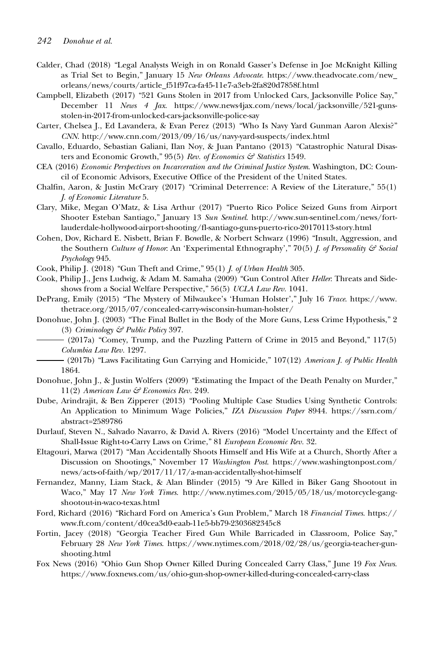- Calder, Chad (2018) "Legal Analysts Weigh in on Ronald Gasser's Defense in Joe McKnight Killing as Trial Set to Begin," January 15 New Orleans Advocate. [https://www.theadvocate.com/new\\_](https://www.theadvocate.com/new_orleans/news/courts/article_f51f97ca-fa45-11e7-a3eb-2fa820d7858f.html) [orleans/news/courts/article\\_f51f97ca-fa45-11e7-a3eb-2fa820d7858f.html](https://www.theadvocate.com/new_orleans/news/courts/article_f51f97ca-fa45-11e7-a3eb-2fa820d7858f.html)
- Campbell, Elizabeth (2017) "521 Guns Stolen in 2017 from Unlocked Cars, Jacksonville Police Say," December 11 News 4 Jax. [https://www.news4jax.com/news/local/jacksonville/521-guns](https://www.news4jax.com/news/local/jacksonville/521-guns-stolen-in-2017-from-unlocked-cars-jacksonville-police-say)[stolen-in-2017-from-unlocked-cars-jacksonville-police-say](https://www.news4jax.com/news/local/jacksonville/521-guns-stolen-in-2017-from-unlocked-cars-jacksonville-police-say)
- Carter, Chelsea J., Ed Lavandera, & Evan Perez (2013) "Who Is Navy Yard Gunman Aaron Alexis?" CNN.<http://www.cnn.com/2013/09/16/us/navy-yard-suspects/index.html>
- Cavallo, Eduardo, Sebastian Galiani, Ilan Noy, & Juan Pantano (2013) "Catastrophic Natural Disasters and Economic Growth," 95(5) Rev. of Economics & Statistics 1549.
- CEA (2016) Economic Perspectives on Incarceration and the Criminal Justice System. Washington, DC: Council of Economic Advisors, Executive Office of the President of the United States.
- Chalfin, Aaron, & Justin McCrary (2017) "Criminal Deterrence: A Review of the Literature," 55(1) J. of Economic Literature 5.
- Clary, Mike, Megan O'Matz, & Lisa Arthur (2017) "Puerto Rico Police Seized Guns from Airport Shooter Esteban Santiago," January 13 Sun Sentinel. [http://www.sun-sentinel.com/news/fort](http://www.sun-sentinel.com/news/fort-lauderdale-hollywood-airport-shooting/fl-santiago-guns-puerto-rico-20170113-story.html)[lauderdale-hollywood-airport-shooting/fl-santiago-guns-puerto-rico-20170113-story.html](http://www.sun-sentinel.com/news/fort-lauderdale-hollywood-airport-shooting/fl-santiago-guns-puerto-rico-20170113-story.html)
- Cohen, Dov, Richard E. Nisbett, Brian F. Bowdle, & Norbert Schwarz (1996) "Insult, Aggression, and the Southern Culture of Honor: An 'Experimental Ethnography'," 70(5) J. of Personality  $\mathcal{F}$  Social Psychology 945.
- Cook, Philip J. (2018) "Gun Theft and Crime," 95(1) J. of Urban Health 305.
- Cook, Philip J., Jens Ludwig, & Adam M. Samaha (2009) "Gun Control After Heller: Threats and Sideshows from a Social Welfare Perspective," 56(5) UCLA Law Rev. 1041.
- DePrang, Emily (2015) "The Mystery of Milwaukee's 'Human Holster'," July 16 Trace. [https://www.](https://www.thetrace.org/2015/07/concealed-carry-wisconsin-human-holster/) [thetrace.org/2015/07/concealed-carry-wisconsin-human-holster/](https://www.thetrace.org/2015/07/concealed-carry-wisconsin-human-holster/)
- Donohue, John J. (2003) "The Final Bullet in the Body of the More Guns, Less Crime Hypothesis," 2 (3) Criminology & Public Policy 397.
	- (2017a) "Comey, Trump, and the Puzzling Pattern of Crime in 2015 and Beyond," 117(5) Columbia Law Rev. 1297.
- (2017b) "Laws Facilitating Gun Carrying and Homicide," 107(12) American J. of Public Health 1864.
- Donohue, John J., & Justin Wolfers (2009) "Estimating the Impact of the Death Penalty on Murder," 11(2) American Law  $\mathcal G$  Economics Rev. 249.
- Dube, Arindrajit, & Ben Zipperer (2013) "Pooling Multiple Case Studies Using Synthetic Controls: An Application to Minimum Wage Policies," IZA Discussion Paper 8944. [https://ssrn.com/](https://ssrn.com/abstract=2589786) [abstract=2589786](https://ssrn.com/abstract=2589786)
- Durlauf, Steven N., Salvado Navarro, & David A. Rivers (2016) "Model Uncertainty and the Effect of Shall-Issue Right-to-Carry Laws on Crime," 81 European Economic Rev. 32.
- Eltagouri, Marwa (2017) "Man Accidentally Shoots Himself and His Wife at a Church, Shortly After a Discussion on Shootings," November 17 Washington Post. [https://www.washingtonpost.com/](https://www.washingtonpost.com/news/acts-of-faith/wp/2017/11/17/a-man-accidentally-shot-himself) [news/acts-of-faith/wp/2017/11/17/a-man-accidentally-shot-himself](https://www.washingtonpost.com/news/acts-of-faith/wp/2017/11/17/a-man-accidentally-shot-himself)
- Fernandez, Manny, Liam Stack, & Alan Blinder (2015) "9 Are Killed in Biker Gang Shootout in Waco," May 17 New York Times. [http://www.nytimes.com/2015/05/18/us/motorcycle-gang](http://www.nytimes.com/2015/05/18/us/motorcycle-gang-shootout-in-waco-texas.html)[shootout-in-waco-texas.html](http://www.nytimes.com/2015/05/18/us/motorcycle-gang-shootout-in-waco-texas.html)
- Ford, Richard (2016) "Richard Ford on America's Gun Problem," March 18 Financial Times. [https://](https://www.ft.com/content/d0cea3d0-eaab-11e5-bb79-2303682345c8) [www.ft.com/content/d0cea3d0-eaab-11e5-bb79-2303682345c8](https://www.ft.com/content/d0cea3d0-eaab-11e5-bb79-2303682345c8)
- Fortin, Jacey (2018) "Georgia Teacher Fired Gun While Barricaded in Classroom, Police Say," February 28 New York Times. [https://www.nytimes.com/2018/02/28/us/georgia-teacher-gun](https://www.nytimes.com/2018/02/28/us/georgia-teacher-gun-shooting.html)[shooting.html](https://www.nytimes.com/2018/02/28/us/georgia-teacher-gun-shooting.html)
- Fox News (2016) "Ohio Gun Shop Owner Killed During Concealed Carry Class," June 19 Fox News. <https://www.foxnews.com/us/ohio-gun-shop-owner-killed-during-concealed-carry-class>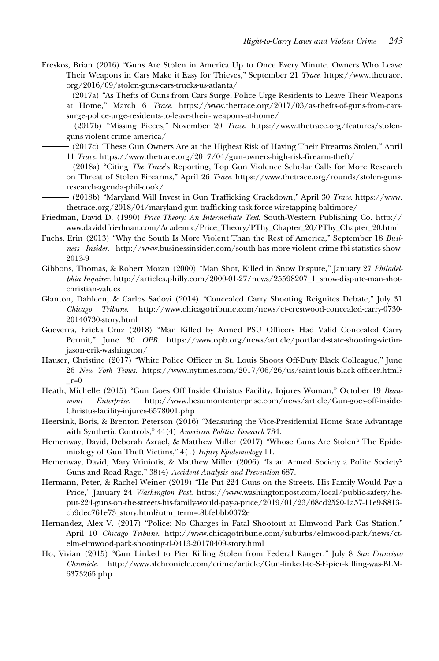Freskos, Brian (2016) "Guns Are Stolen in America Up to Once Every Minute. Owners Who Leave Their Weapons in Cars Make it Easy for Thieves," September 21 Trace. [https://www.thetrace.](https://www.thetrace.org/2016/09/stolen-guns-cars-trucks-us-atlanta/) [org/2016/09/stolen-guns-cars-trucks-us-atlanta/](https://www.thetrace.org/2016/09/stolen-guns-cars-trucks-us-atlanta/)

(2017a) "As Thefts of Guns from Cars Surge, Police Urge Residents to Leave Their Weapons at Home," March 6 Trace. [https://www.thetrace.org/2017/03/as-thefts-of-guns-from-cars](https://www.thetrace.org/2017/03/as-thefts-of-guns-from-cars-surge-police-urge-residents-to-leave-their-)[surge-police-urge-residents-to-leave-their-](https://www.thetrace.org/2017/03/as-thefts-of-guns-from-cars-surge-police-urge-residents-to-leave-their-) weapons-at-home/

(2017b) "Missing Pieces," November 20 Trace. [https://www.thetrace.org/features/stolen](https://www.thetrace.org/features/stolen-guns-violent-crime-america/)[guns-violent-crime-america/](https://www.thetrace.org/features/stolen-guns-violent-crime-america/)

(2017c) "These Gun Owners Are at the Highest Risk of Having Their Firearms Stolen," April 11 Trace.<https://www.thetrace.org/2017/04/gun-owners-high-risk-firearm-theft/>

- (2018a) "Citing The Trace's Reporting, Top Gun Violence Scholar Calls for More Research on Threat of Stolen Firearms," April 26 Trace. [https://www.thetrace.org/rounds/stolen-guns](https://www.thetrace.org/rounds/stolen-guns-research-agenda-phil-cook/)[research-agenda-phil-cook/](https://www.thetrace.org/rounds/stolen-guns-research-agenda-phil-cook/)
- (2018b) "Maryland Will Invest in Gun Trafficking Crackdown," April 30 Trace. [https://www.](https://www.thetrace.org/2018/04/maryland-gun-trafficking-task-force-wiretapping-baltimore/) [thetrace.org/2018/04/maryland-gun-trafficking-task-force-wiretapping-baltimore/](https://www.thetrace.org/2018/04/maryland-gun-trafficking-task-force-wiretapping-baltimore/)
- Friedman, David D. (1990) Price Theory: An Intermediate Text. South-Western Publishing Co. [http://](http://www.daviddfriedman.com/Academic/Price_Theory/PThy_Chapter_20/PThy_Chapter_20.html) [www.daviddfriedman.com/Academic/Price\\_Theory/PThy\\_Chapter\\_20/PThy\\_Chapter\\_20.html](http://www.daviddfriedman.com/Academic/Price_Theory/PThy_Chapter_20/PThy_Chapter_20.html)
- Fuchs, Erin (2013) "Why the South Is More Violent Than the Rest of America," September 18 Business Insider. [http://www.businessinsider.com/south-has-more-violent-crime-fbi-statistics-show-](http://www.businessinsider.com/south-has-more-violent-crime-fbi-statistics-show-2013-9)[2013-9](http://www.businessinsider.com/south-has-more-violent-crime-fbi-statistics-show-2013-9)
- Gibbons, Thomas, & Robert Moran (2000) "Man Shot, Killed in Snow Dispute," January 27 Philadelphia Inquirer. [http://articles.philly.com/2000-01-27/news/25598207\\_1\\_snow-dispute-man-shot](http://articles.philly.com/2000-01-27/news/25598207_1_snow-dispute-man-shot-christian-values)[christian-values](http://articles.philly.com/2000-01-27/news/25598207_1_snow-dispute-man-shot-christian-values)
- Glanton, Dahleen, & Carlos Sadovi (2014) "Concealed Carry Shooting Reignites Debate," July 31 Chicago Tribune. [http://www.chicagotribune.com/news/ct-crestwood-concealed-carry-0730-](http://www.chicagotribune.com/news/ct-crestwood-concealed-carry-0730-20140730-story.html) [20140730-story.html](http://www.chicagotribune.com/news/ct-crestwood-concealed-carry-0730-20140730-story.html)
- Gueverra, Ericka Cruz (2018) "Man Killed by Armed PSU Officers Had Valid Concealed Carry Permit," June 30 OPB. [https://www.opb.org/news/article/portland-state-shooting-victim](https://www.opb.org/news/article/portland-state-shooting-victim-jason-erik-washington/)[jason-erik-washington/](https://www.opb.org/news/article/portland-state-shooting-victim-jason-erik-washington/)
- Hauser, Christine (2017) "White Police Officer in St. Louis Shoots Off-Duty Black Colleague," June 26 New York Times. [https://www.nytimes.com/2017/06/26/us/saint-louis-black-officer.html?](https://www.nytimes.com/2017/06/26/us/saint-louis-black-officer.html?_r=0)  $r=0$
- Heath, Michelle (2015) "Gun Goes Off Inside Christus Facility, Injures Woman," October 19 Beaumont Enterprise. [http://www.beaumontenterprise.com/news/article/Gun-goes-off-inside-](http://www.beaumontenterprise.com/news/article/Gun-goes-off-inside-Christus-facility-injures-6578001.php)[Christus-facility-injures-6578001.php](http://www.beaumontenterprise.com/news/article/Gun-goes-off-inside-Christus-facility-injures-6578001.php)
- Heersink, Boris, & Brenton Peterson (2016) "Measuring the Vice-Presidential Home State Advantage with Synthetic Controls," 44(4) American Politics Research 734.
- Hemenway, David, Deborah Azrael, & Matthew Miller (2017) "Whose Guns Are Stolen? The Epidemiology of Gun Theft Victims," 4(1) Injury Epidemiology 11.
- Hemenway, David, Mary Vriniotis, & Matthew Miller (2006) "Is an Armed Society a Polite Society? Guns and Road Rage," 38(4) Accident Analysis and Prevention 687.
- Hermann, Peter, & Rachel Weiner (2019) "He Put 224 Guns on the Streets. His Family Would Pay a Price," January 24 Washington Post. [https://www.washingtonpost.com/local/public-safety/he](https://www.washingtonpost.com/local/public-safety/he-put-224-guns-on-the-streets-his-family-would-pay-a-price/2019/01/23/68cd2520-1a57-11e9-8813-cb9dec761e73_story.html?utm_term=.8bfebbb0072e)[put-224-guns-on-the-streets-his-family-would-pay-a-price/2019/01/23/68cd2520-1a57-11e9-8813](https://www.washingtonpost.com/local/public-safety/he-put-224-guns-on-the-streets-his-family-would-pay-a-price/2019/01/23/68cd2520-1a57-11e9-8813-cb9dec761e73_story.html?utm_term=.8bfebbb0072e) [cb9dec761e73\\_story.html?utm\\_term=.8bfebbb0072e](https://www.washingtonpost.com/local/public-safety/he-put-224-guns-on-the-streets-his-family-would-pay-a-price/2019/01/23/68cd2520-1a57-11e9-8813-cb9dec761e73_story.html?utm_term=.8bfebbb0072e)
- Hernandez, Alex V. (2017) "Police: No Charges in Fatal Shootout at Elmwood Park Gas Station," April 10 Chicago Tribune. [http://www.chicagotribune.com/suburbs/elmwood-park/news/ct](http://www.chicagotribune.com/suburbs/elmwood-park/news/ct-elm-elmwood-park-shooting-tl-0413-20170409-story.html)[elm-elmwood-park-shooting-tl-0413-20170409-story.html](http://www.chicagotribune.com/suburbs/elmwood-park/news/ct-elm-elmwood-park-shooting-tl-0413-20170409-story.html)
- Ho, Vivian (2015) "Gun Linked to Pier Killing Stolen from Federal Ranger," July 8 San Francisco Chronicle. [http://www.sfchronicle.com/crime/article/Gun-linked-to-S-F-pier-killing-was-BLM-](http://www.sfchronicle.com/crime/article/Gun-linked-to-S-F-pier-killing-was-BLM-6373265.php)[6373265.php](http://www.sfchronicle.com/crime/article/Gun-linked-to-S-F-pier-killing-was-BLM-6373265.php)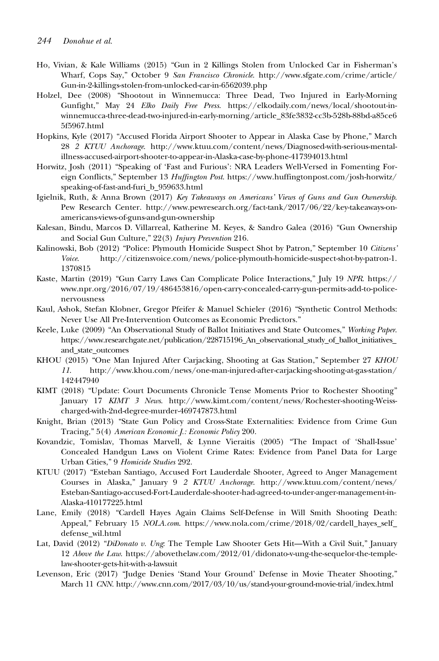- Ho, Vivian, & Kale Williams (2015) "Gun in 2 Killings Stolen from Unlocked Car in Fisherman's Wharf, Cops Say," October 9 San Francisco Chronicle. [http://www.sfgate.com/crime/article/](http://www.sfgate.com/crime/article/Gun-in-2-killings-stolen-from-unlocked-car-in-6562039.php) [Gun-in-2-killings-stolen-from-unlocked-car-in-6562039.php](http://www.sfgate.com/crime/article/Gun-in-2-killings-stolen-from-unlocked-car-in-6562039.php)
- Holzel, Dee (2008) "Shootout in Winnemucca: Three Dead, Two Injured in Early-Morning Gunfight," May 24 Elko Daily Free Press. [https://elkodaily.com/news/local/shootout-in](https://elkodaily.com/news/local/shootout-in-winnemucca-three-dead-two-injured-in-early-morning/article_83fe3832-cc3b-528b-88bd-a85ce65f5967.html)[winnemucca-three-dead-two-injured-in-early-morning/article\\_83fe3832-cc3b-528b-88bd-a85ce6](https://elkodaily.com/news/local/shootout-in-winnemucca-three-dead-two-injured-in-early-morning/article_83fe3832-cc3b-528b-88bd-a85ce65f5967.html) [5f5967.html](https://elkodaily.com/news/local/shootout-in-winnemucca-three-dead-two-injured-in-early-morning/article_83fe3832-cc3b-528b-88bd-a85ce65f5967.html)
- Hopkins, Kyle (2017) "Accused Florida Airport Shooter to Appear in Alaska Case by Phone," March 28 2 KTUU Anchorage. [http://www.ktuu.com/content/news/Diagnosed-with-serious-mental](http://www.ktuu.com/content/news/Diagnosed-with-serious-mental-illness-accused-airport-shooter-to-appear-in-Alaska-case-by-phone-417394013.html)[illness-accused-airport-shooter-to-appear-in-Alaska-case-by-phone-417394013.html](http://www.ktuu.com/content/news/Diagnosed-with-serious-mental-illness-accused-airport-shooter-to-appear-in-Alaska-case-by-phone-417394013.html)
- Horwitz, Josh (2011) "Speaking of 'Fast and Furious': NRA Leaders Well-Versed in Fomenting Foreign Conflicts," September 13 Huffington Post. [https://www.huffingtonpost.com/josh-horwitz/](https://www.huffingtonpost.com/josh-horwitz/speaking-of-fast-and-furi_b_959633.html) [speaking-of-fast-and-furi\\_b\\_959633.html](https://www.huffingtonpost.com/josh-horwitz/speaking-of-fast-and-furi_b_959633.html)
- Igielnik, Ruth, & Anna Brown (2017) Key Takeaways on Americans' Views of Guns and Gun Ownership. Pew Research Center. [http://www.pewresearch.org/fact-tank/2017/06/22/key-takeaways-on](http://www.pewresearch.org/fact-tank/2017/06/22/key-takeaways-on-americans-views-of-guns-and-gun-ownership)[americans-views-of-guns-and-gun-ownership](http://www.pewresearch.org/fact-tank/2017/06/22/key-takeaways-on-americans-views-of-guns-and-gun-ownership)
- Kalesan, Bindu, Marcos D. Villarreal, Katherine M. Keyes, & Sandro Galea (2016) "Gun Ownership and Social Gun Culture," 22(3) Injury Prevention 216.
- Kalinowski, Bob (2012) "Police: Plymouth Homicide Suspect Shot by Patron," September 10 Citizens' Voice. [http://citizensvoice.com/news/police-plymouth-homicide-suspect-shot-by-patron-1.](http://citizensvoice.com/news/police-plymouth-homicide-suspect-shot-by-patron-1.1370815) [1370815](http://citizensvoice.com/news/police-plymouth-homicide-suspect-shot-by-patron-1.1370815)
- Kaste, Martin (2019) "Gun Carry Laws Can Complicate Police Interactions," July 19 NPR. [https://](https://www.npr.org/2016/07/19/486453816/open-carry-concealed-carry-gun-permits-add-to-police-nervousness) [www.npr.org/2016/07/19/486453816/open-carry-concealed-carry-gun-permits-add-to-police](https://www.npr.org/2016/07/19/486453816/open-carry-concealed-carry-gun-permits-add-to-police-nervousness)[nervousness](https://www.npr.org/2016/07/19/486453816/open-carry-concealed-carry-gun-permits-add-to-police-nervousness)
- Kaul, Ashok, Stefan Klobner, Gregor Pfeifer & Manuel Schieler (2016) "Synthetic Control Methods: Never Use All Pre-Intervention Outcomes as Economic Predictors."
- Keele, Luke (2009) "An Observational Study of Ballot Initiatives and State Outcomes," Working Paper. [https://www.researchgate.net/publication/228715196\\_An\\_observational\\_study\\_of\\_ballot\\_initiatives\\_](https://www.researchgate.net/publication/228715196_An_observational_study_of_ballot_initiatives_and_state_outcomes) [and\\_state\\_outcomes](https://www.researchgate.net/publication/228715196_An_observational_study_of_ballot_initiatives_and_state_outcomes)
- KHOU (2015) "One Man Injured After Carjacking, Shooting at Gas Station," September 27 KHOU 11. [http://www.khou.com/news/one-man-injured-after-carjacking-shooting-at-gas-station/](http://www.khou.com/news/one-man-injured-after-carjacking-shooting-at-gas-station/142447940) [142447940](http://www.khou.com/news/one-man-injured-after-carjacking-shooting-at-gas-station/142447940)
- KIMT (2018) "Update: Court Documents Chronicle Tense Moments Prior to Rochester Shooting" January 17 KIMT 3 News. [http://www.kimt.com/content/news/Rochester-shooting-Weiss](http://www.kimt.com/content/news/Rochester-shooting-Weiss-charged-with-2nd-degree-murder-469747873.html)[charged-with-2nd-degree-murder-469747873.html](http://www.kimt.com/content/news/Rochester-shooting-Weiss-charged-with-2nd-degree-murder-469747873.html)
- Knight, Brian (2013) "State Gun Policy and Cross-State Externalities: Evidence from Crime Gun Tracing," 5(4) American Economic J.: Economic Policy 200.
- Kovandzic, Tomislav, Thomas Marvell, & Lynne Vieraitis (2005) "The Impact of 'Shall-Issue' Concealed Handgun Laws on Violent Crime Rates: Evidence from Panel Data for Large Urban Cities," 9 Homicide Studies 292.
- KTUU (2017) "Esteban Santiago, Accused Fort Lauderdale Shooter, Agreed to Anger Management Courses in Alaska," January 9 2 KTUU Anchorage. [http://www.ktuu.com/content/news/](http://www.ktuu.com/content/news/Esteban-Santiago-accused-Fort-Lauderdale-shooter-had-agreed-to-under-anger-management-in-Alaska-410177225.html) [Esteban-Santiago-accused-Fort-Lauderdale-shooter-had-agreed-to-under-anger-management-in-](http://www.ktuu.com/content/news/Esteban-Santiago-accused-Fort-Lauderdale-shooter-had-agreed-to-under-anger-management-in-Alaska-410177225.html)[Alaska-410177225.html](http://www.ktuu.com/content/news/Esteban-Santiago-accused-Fort-Lauderdale-shooter-had-agreed-to-under-anger-management-in-Alaska-410177225.html)
- Lane, Emily (2018) "Cardell Hayes Again Claims Self-Defense in Will Smith Shooting Death: Appeal," February 15 NOLA.com. [https://www.nola.com/crime/2018/02/cardell\\_hayes\\_self\\_](https://www.nola.com/crime/2018/02/cardell_hayes_self_defense_wil.html) [defense\\_wil.html](https://www.nola.com/crime/2018/02/cardell_hayes_self_defense_wil.html)
- Lat, David (2012) "DiDonato v. Ung: The Temple Law Shooter Gets Hit—With a Civil Suit," January 12 Above the Law. [https://abovethelaw.com/2012/01/didonato-v-ung-the-sequelor-the-temple](https://abovethelaw.com/2012/01/didonato-v-ung-the-sequelor-the-temple-law-shooter-gets-hit-with-a-lawsuit)[law-shooter-gets-hit-with-a-lawsuit](https://abovethelaw.com/2012/01/didonato-v-ung-the-sequelor-the-temple-law-shooter-gets-hit-with-a-lawsuit)
- Levenson, Eric (2017) "Judge Denies 'Stand Your Ground' Defense in Movie Theater Shooting," March 11 CNN.<http://www.cnn.com/2017/03/10/us/stand-your-ground-movie-trial/index.html>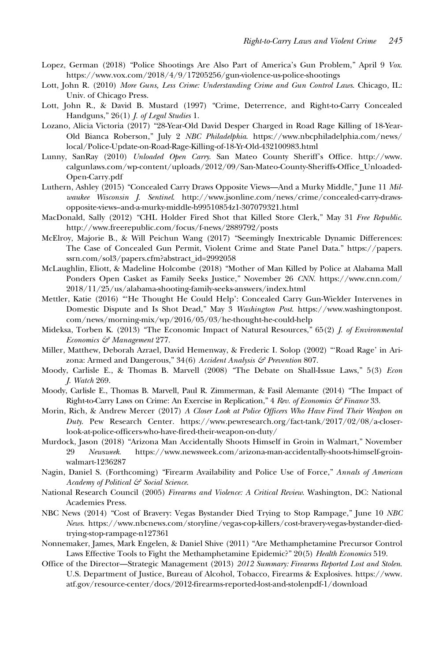- Lopez, German (2018) "Police Shootings Are Also Part of America's Gun Problem," April 9 Vox. <https://www.vox.com/2018/4/9/17205256/gun-violence-us-police-shootings>
- Lott, John R. (2010) More Guns, Less Crime: Understanding Crime and Gun Control Laws. Chicago, IL: Univ. of Chicago Press.
- Lott, John R., & David B. Mustard (1997) "Crime, Deterrence, and Right-to-Carry Concealed Handguns," 26(1) *J. of Legal Studies* 1.
- Lozano, Alicia Victoria (2017) "28-Year-Old David Desper Charged in Road Rage Killing of 18-Year-Old Bianca Roberson," July 2 NBC Philadelphia. [https://www.nbcphiladelphia.com/news/](https://www.nbcphiladelphia.com/news/local/Police-Update-on-Road-Rage-Killing-of-18-Yr-Old-432100983.html) [local/Police-Update-on-Road-Rage-Killing-of-18-Yr-Old-432100983.html](https://www.nbcphiladelphia.com/news/local/Police-Update-on-Road-Rage-Killing-of-18-Yr-Old-432100983.html)
- Lunny, SanRay (2010) Unloaded Open Carry. San Mateo County Sheriff's Office. [http://www.](http://www.calgunlaws.com/wp-content/uploads/2012/09/San-Mateo-County-Sheriffs-Office_Unloaded-Open-Carry.pdf) [calgunlaws.com/wp-content/uploads/2012/09/San-Mateo-County-Sheriffs-Office\\_Unloaded-](http://www.calgunlaws.com/wp-content/uploads/2012/09/San-Mateo-County-Sheriffs-Office_Unloaded-Open-Carry.pdf)[Open-Carry.pdf](http://www.calgunlaws.com/wp-content/uploads/2012/09/San-Mateo-County-Sheriffs-Office_Unloaded-Open-Carry.pdf)
- Luthern, Ashley (2015) "Concealed Carry Draws Opposite Views—And a Murky Middle," June 11 Milwaukee Wisconsin J. Sentinel. [http://www.jsonline.com/news/crime/concealed-carry-draws](http://www.jsonline.com/news/crime/concealed-carry-draws-opposite-views%E2%80%93and-a-murky-middle-b99510854z1-307079321.html)[opposite-views–and-a-murky-middle-b99510854z1-307079321.html](http://www.jsonline.com/news/crime/concealed-carry-draws-opposite-views%E2%80%93and-a-murky-middle-b99510854z1-307079321.html)
- MacDonald, Sally (2012) "CHL Holder Fired Shot that Killed Store Clerk," May 31 Free Republic. <http://www.freerepublic.com/focus/f-news/2889792/posts>
- McElroy, Majorie B., & Will Peichun Wang (2017) "Seemingly Inextricable Dynamic Differences: The Case of Concealed Gun Permit, Violent Crime and State Panel Data." [https://papers.](https://papers.ssrn.com/sol3/papers.cfm?abstract_id=2992058) [ssrn.com/sol3/papers.cfm?abstract\\_id=2992058](https://papers.ssrn.com/sol3/papers.cfm?abstract_id=2992058)
- McLaughlin, Eliott, & Madeline Holcombe (2018) "Mother of Man Killed by Police at Alabama Mall Ponders Open Casket as Family Seeks Justice," November 26 CNN. [https://www.cnn.com/](https://www.cnn.com/2018/11/25/us/alabama-shooting-family-seeks-answers/index.html) [2018/11/25/us/alabama-shooting-family-seeks-answers/index.html](https://www.cnn.com/2018/11/25/us/alabama-shooting-family-seeks-answers/index.html)
- Mettler, Katie (2016) "'He Thought He Could Help': Concealed Carry Gun-Wielder Intervenes in Domestic Dispute and Is Shot Dead," May 3 Washington Post. [https://www.washingtonpost.](https://www.washingtonpost.com/news/morning-mix/wp/2016/05/03/he-thought-he-could-help) [com/news/morning-mix/wp/2016/05/03/he-thought-he-could-help](https://www.washingtonpost.com/news/morning-mix/wp/2016/05/03/he-thought-he-could-help)
- Mideksa, Torben K. (2013) "The Economic Impact of Natural Resources," 65(2) J. of Environmental Economics & Management 277.
- Miller, Matthew, Deborah Azrael, David Hemenway, & Frederic I. Solop (2002) "'Road Rage' in Arizona: Armed and Dangerous," 34(6) Accident Analysis  $\mathcal G$  Prevention 807.
- Moody, Carlisle E., & Thomas B. Marvell (2008) "The Debate on Shall-Issue Laws," 5(3) Econ J. Watch 269.
- Moody, Carlisle E., Thomas B. Marvell, Paul R. Zimmerman, & Fasil Alemante (2014) "The Impact of Right-to-Carry Laws on Crime: An Exercise in Replication," 4 Rev. of Economics & Finance 33.
- Morin, Rich, & Andrew Mercer (2017) A Closer Look at Police Officers Who Have Fired Their Weapon on Duty. Pew Research Center. [https://www.pewresearch.org/fact-tank/2017/02/08/a-closer](https://www.pewresearch.org/fact-tank/2017/02/08/a-closer-look-at-police-officers-who-have-fired-their-weapon-on-duty/)[look-at-police-officers-who-have-fired-their-weapon-on-duty/](https://www.pewresearch.org/fact-tank/2017/02/08/a-closer-look-at-police-officers-who-have-fired-their-weapon-on-duty/)
- Murdock, Jason (2018) "Arizona Man Accidentally Shoots Himself in Groin in Walmart," November<br>29 Newsweek. https://www.newsweek.com/arizona-man-accidentally-shoots-himself-groin-29 Newsweek. [https://www.newsweek.com/arizona-man-accidentally-shoots-himself-groin](https://www.newsweek.com/arizona-man-accidentally-shoots-himself-groin-walmart-1236287)[walmart-1236287](https://www.newsweek.com/arizona-man-accidentally-shoots-himself-groin-walmart-1236287)
- Nagin, Daniel S. (Forthcoming) "Firearm Availability and Police Use of Force," Annals of American Academy of Political & Social Science.
- National Research Council (2005) Firearms and Violence: A Critical Review. Washington, DC: National Academies Press.
- NBC News (2014) "Cost of Bravery: Vegas Bystander Died Trying to Stop Rampage," June 10 NBC News. [https://www.nbcnews.com/storyline/vegas-cop-killers/cost-bravery-vegas-bystander-died](https://www.nbcnews.com/storyline/vegas-cop-killers/cost-bravery-vegas-bystander-died-trying-stop-rampage-n127361)[trying-stop-rampage-n127361](https://www.nbcnews.com/storyline/vegas-cop-killers/cost-bravery-vegas-bystander-died-trying-stop-rampage-n127361)
- Nonnemaker, James, Mark Engelen, & Daniel Shive (2011) "Are Methamphetamine Precursor Control Laws Effective Tools to Fight the Methamphetamine Epidemic?" 20(5) Health Economics 519.
- Office of the Director—Strategic Management (2013) 2012 Summary: Firearms Reported Lost and Stolen. U.S. Department of Justice, Bureau of Alcohol, Tobacco, Firearms & Explosives. [https://www.](https://www.atf.gov/resource-center/docs/2012-firearms-reported-lost-and-stolenpdf-1/download) [atf.gov/resource-center/docs/2012-firearms-reported-lost-and-stolenpdf-1/download](https://www.atf.gov/resource-center/docs/2012-firearms-reported-lost-and-stolenpdf-1/download)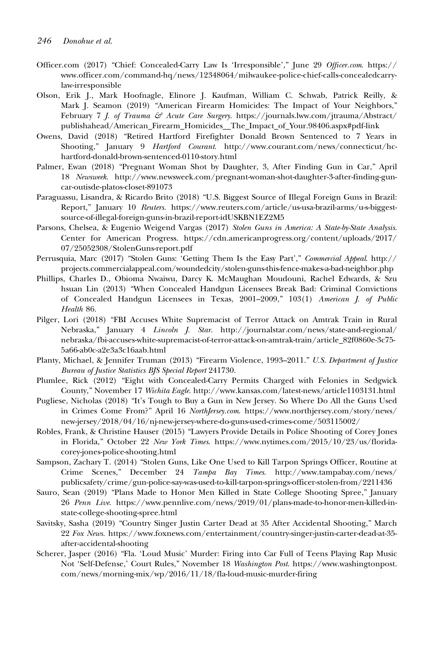- Officer.com (2017) "Chief: Concealed-Carry Law Is 'Irresponsible'," June 29 Officer.com. [https://](https://www.officer.com/command-hq/news/12348064/milwaukee-police-chief-calls-concealedcarry-law-irresponsible) [www.officer.com/command-hq/news/12348064/milwaukee-police-chief-calls-concealedcarry](https://www.officer.com/command-hq/news/12348064/milwaukee-police-chief-calls-concealedcarry-law-irresponsible)[law-irresponsible](https://www.officer.com/command-hq/news/12348064/milwaukee-police-chief-calls-concealedcarry-law-irresponsible)
- Olson, Erik J., Mark Hoofnagle, Elinore J. Kaufman, William C. Schwab, Patrick Reilly, & Mark J. Seamon (2019) "American Firearm Homicides: The Impact of Your Neighbors," February 7 J. of Trauma & Acute Care Surgery. [https://journals.lww.com/jtrauma/Abstract/](https://journals.lww.com/jtrauma/Abstract/publishahead/American_Firearm_Homicides__The_Impact_of_Your.98406.aspx#pdf-link) [publishahead/American\\_Firearm\\_Homicides\\_\\_The\\_Impact\\_of\\_Your.98406.aspx#pdf-link](https://journals.lww.com/jtrauma/Abstract/publishahead/American_Firearm_Homicides__The_Impact_of_Your.98406.aspx#pdf-link)
- Owens, David (2018) "Retired Hartford Firefighter Donald Brown Sentenced to 7 Years in Shooting," January 9 Hartford Courant. [http://www.courant.com/news/connecticut/hc](http://www.courant.com/news/connecticut/hc-hartford-donald-brown-sentenced-0110-story.html)[hartford-donald-brown-sentenced-0110-story.html](http://www.courant.com/news/connecticut/hc-hartford-donald-brown-sentenced-0110-story.html)
- Palmer, Ewan (2018) "Pregnant Woman Shot by Daughter, 3, After Finding Gun in Car," April 18 Newsweek. [http://www.newsweek.com/pregnant-woman-shot-daughter-3-after-finding-gun](http://www.newsweek.com/pregnant-woman-shot-daughter-3-after-finding-gun-car-outisde-platos-closet-891073)[car-outisde-platos-closet-891073](http://www.newsweek.com/pregnant-woman-shot-daughter-3-after-finding-gun-car-outisde-platos-closet-891073)
- Paraguassu, Lisandra, & Ricardo Brito (2018) "U.S. Biggest Source of Illegal Foreign Guns in Brazil: Report," January 10 Reuters. [https://www.reuters.com/article/us-usa-brazil-arms/u-s-biggest](https://www.reuters.com/article/us-usa-brazil-arms/u-s-biggest-source-of-illegal-foreign-guns-in-brazil-report-idUSKBN1EZ2M5)[source-of-illegal-foreign-guns-in-brazil-report-idUSKBN1EZ2M5](https://www.reuters.com/article/us-usa-brazil-arms/u-s-biggest-source-of-illegal-foreign-guns-in-brazil-report-idUSKBN1EZ2M5)
- Parsons, Chelsea, & Eugenio Weigend Vargas (2017) Stolen Guns in America: A State-by-State Analysis. Center for American Progress. [https://cdn.americanprogress.org/content/uploads/2017/](https://cdn.americanprogress.org/content/uploads/2017/07/25052308/StolenGuns-report.pdf) [07/25052308/StolenGuns-report.pdf](https://cdn.americanprogress.org/content/uploads/2017/07/25052308/StolenGuns-report.pdf)
- Perrusquia, Marc (2017) "Stolen Guns: 'Getting Them Is the Easy Part'," Commercial Appeal. [http://](http://projects.commercialappeal.com/woundedcity/stolen-guns-this-fence-makes-a-bad-neighbor.php) [projects.commercialappeal.com/woundedcity/stolen-guns-this-fence-makes-a-bad-neighbor.php](http://projects.commercialappeal.com/woundedcity/stolen-guns-this-fence-makes-a-bad-neighbor.php)
- Phillips, Charles D., Obioma Nwaiwu, Darcy K. McMaughan Moudouni, Rachel Edwards, & Szu hsuan Lin (2013) "When Concealed Handgun Licensees Break Bad: Criminal Convictions of Concealed Handgun Licensees in Texas, 2001–2009," 103(1) American J. of Public Health 86.
- Pilger, Lori (2018) "FBI Accuses White Supremacist of Terror Attack on Amtrak Train in Rural Nebraska," January 4 Lincoln J. Star. [http://journalstar.com/news/state-and-regional/](http://journalstar.com/news/state-and-regional/nebraska/fbi-accuses-white-supremacist-of-terror-attack-on-amtrak-train/article_82f0860e-3c75-5a66-ab0c-a2e3a3c16aab.html) [nebraska/fbi-accuses-white-supremacist-of-terror-attack-on-amtrak-train/article\\_82f0860e-3c75-](http://journalstar.com/news/state-and-regional/nebraska/fbi-accuses-white-supremacist-of-terror-attack-on-amtrak-train/article_82f0860e-3c75-5a66-ab0c-a2e3a3c16aab.html) [5a66-ab0c-a2e3a3c16aab.html](http://journalstar.com/news/state-and-regional/nebraska/fbi-accuses-white-supremacist-of-terror-attack-on-amtrak-train/article_82f0860e-3c75-5a66-ab0c-a2e3a3c16aab.html)
- Planty, Michael, & Jennifer Truman (2013) "Firearm Violence, 1993–2011." U.S. Department of Justice Bureau of Justice Statistics BJS Special Report 241730.
- Plumlee, Rick (2012) "Eight with Concealed-Carry Permits Charged with Felonies in Sedgwick County," November 17 Wichita Eagle.<http://www.kansas.com/latest-news/article1103131.html>
- Pugliese, Nicholas (2018) "It's Tough to Buy a Gun in New Jersey. So Where Do All the Guns Used in Crimes Come From?" April 16 NorthJersey.com. [https://www.northjersey.com/story/news/](https://www.northjersey.com/story/news/new-jersey/2018/04/16/nj-new-jersey-where-do-guns-used-crimes-come/503115002/) [new-jersey/2018/04/16/nj-new-jersey-where-do-guns-used-crimes-come/503115002/](https://www.northjersey.com/story/news/new-jersey/2018/04/16/nj-new-jersey-where-do-guns-used-crimes-come/503115002/)
- Robles, Frank, & Christine Hauser (2015) "Lawyers Provide Details in Police Shooting of Corey Jones in Florida," October 22 New York Times. [https://www.nytimes.com/2015/10/23/us/florida](https://www.nytimes.com/2015/10/23/us/florida-corey-jones-police-shooting.html)[corey-jones-police-shooting.html](https://www.nytimes.com/2015/10/23/us/florida-corey-jones-police-shooting.html)
- Sampson, Zachary T. (2014) "Stolen Guns, Like One Used to Kill Tarpon Springs Officer, Routine at Crime Scenes," December 24 Tampa Bay Times. [http://www.tampabay.com/news/](http://www.tampabay.com/news/publicsafety/crime/gun-police-say-was-used-to-kill-tarpon-springs-officer-stolen-from/2211436) [publicsafety/crime/gun-police-say-was-used-to-kill-tarpon-springs-officer-stolen-from/2211436](http://www.tampabay.com/news/publicsafety/crime/gun-police-say-was-used-to-kill-tarpon-springs-officer-stolen-from/2211436)
- Sauro, Sean (2019) "Plans Made to Honor Men Killed in State College Shooting Spree," January 26 Penn Live. [https://www.pennlive.com/news/2019/01/plans-made-to-honor-men-killed-in](https://www.pennlive.com/news/2019/01/plans-made-to-honor-men-killed-in-state-college-shooting-spree.html)[state-college-shooting-spree.html](https://www.pennlive.com/news/2019/01/plans-made-to-honor-men-killed-in-state-college-shooting-spree.html)
- Savitsky, Sasha (2019) "Country Singer Justin Carter Dead at 35 After Accidental Shooting," March 22 Fox News. [https://www.foxnews.com/entertainment/country-singer-justin-carter-dead-at-35](https://www.foxnews.com/entertainment/country-singer-justin-carter-dead-at-35-after-accidental-shooting) [after-accidental-shooting](https://www.foxnews.com/entertainment/country-singer-justin-carter-dead-at-35-after-accidental-shooting)
- Scherer, Jasper (2016) "Fla. 'Loud Music' Murder: Firing into Car Full of Teens Playing Rap Music Not 'Self-Defense,' Court Rules," November 18 Washington Post. [https://www.washingtonpost.](https://www.washingtonpost.com/news/morning-mix/wp/2016/11/18/fla-loud-music-murder-firing) [com/news/morning-mix/wp/2016/11/18/fla-loud-music-murder-firing](https://www.washingtonpost.com/news/morning-mix/wp/2016/11/18/fla-loud-music-murder-firing)